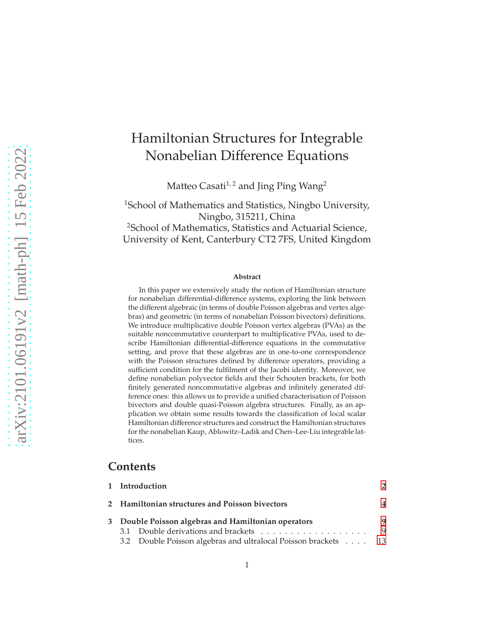# Hamiltonian Structures for Integrable Nonabelian Difference Equations

Matteo Casati<sup>1, 2</sup> and Jing Ping Wang<sup>2</sup>

<sup>1</sup>School of Mathematics and Statistics, Ningbo University, Ningbo, 315211, China <sup>2</sup>School of Mathematics, Statistics and Actuarial Science, University of Kent, Canterbury CT2 7FS, United Kingdom

#### **Abstract**

In this paper we extensively study the notion of Hamiltonian structure for nonabelian differential-difference systems, exploring the link between the different algebraic (in terms of double Poisson algebras and vertex algebras) and geometric (in terms of nonabelian Poisson bivectors) definitions. We introduce multiplicative double Poisson vertex algebras (PVAs) as the suitable noncommutative counterpart to multiplicative PVAs, used to describe Hamiltonian differential-difference equations in the commutative setting, and prove that these algebras are in one-to-one correspondence with the Poisson structures defined by difference operators, providing a sufficient condition for the fulfilment of the Jacobi identity. Moreover, we define nonabelian polyvector fields and their Schouten brackets, for both finitely generated noncommutative algebras and infinitely generated difference ones: this allows us to provide a unified characterisation of Poisson bivectors and double quasi-Poisson algebra structures. Finally, as an application we obtain some results towards the classification of local scalar Hamiltonian difference structures and construct the Hamiltonian structures for the nonabelian Kaup, Ablowitz–Ladik and Chen–Lee-Liu integrable lattices.

## **Contents**

|                                                     | 1 Introduction                                                 |   |
|-----------------------------------------------------|----------------------------------------------------------------|---|
|                                                     | 2 Hamiltonian structures and Poisson bivectors                 | 4 |
| 3 Double Poisson algebras and Hamiltonian operators |                                                                | q |
|                                                     |                                                                | 9 |
|                                                     | 3.2 Double Poisson algebras and ultralocal Poisson brackets 13 |   |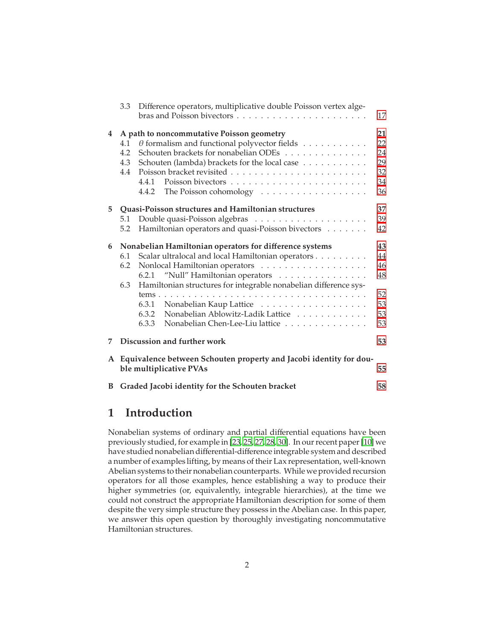|   | 3.3                      | Difference operators, multiplicative double Poisson vertex alge-                                                                                                                                                                                                             | 17                                     |
|---|--------------------------|------------------------------------------------------------------------------------------------------------------------------------------------------------------------------------------------------------------------------------------------------------------------------|----------------------------------------|
| 4 | 4.1<br>4.2<br>4.3<br>4.4 | A path to noncommutative Poisson geometry<br>$\theta$ formalism and functional polyvector fields<br>Schouten brackets for nonabelian ODEs<br>Schouten (lambda) brackets for the local case<br>4.4.1<br>The Poisson cohomology $\dots \dots \dots \dots \dots \dots$<br>4.4.2 | 21<br>22<br>24<br>29<br>32<br>34<br>36 |
| 5 |                          | Quasi-Poisson structures and Hamiltonian structures                                                                                                                                                                                                                          | 37                                     |
|   | 5.1                      |                                                                                                                                                                                                                                                                              | 39                                     |
|   | 5.2                      | Hamiltonian operators and quasi-Poisson bivectors                                                                                                                                                                                                                            | 42                                     |
| 6 |                          | Nonabelian Hamiltonian operators for difference systems                                                                                                                                                                                                                      | 43                                     |
|   | 6.1                      | Scalar ultralocal and local Hamiltonian operators                                                                                                                                                                                                                            | 44                                     |
|   | 6.2                      |                                                                                                                                                                                                                                                                              | 46                                     |
|   |                          | 6.2.1 "Null" Hamiltonian operators                                                                                                                                                                                                                                           | 48                                     |
|   | 6.3                      | Hamiltonian structures for integrable nonabelian difference sys-                                                                                                                                                                                                             |                                        |
|   |                          |                                                                                                                                                                                                                                                                              | 52                                     |
|   |                          | 6.3.1                                                                                                                                                                                                                                                                        | 53                                     |
|   |                          | Nonabelian Ablowitz-Ladik Lattice<br>6.3.2                                                                                                                                                                                                                                   | 53                                     |
|   |                          | 6.3.3<br>Nonabelian Chen-Lee-Liu lattice                                                                                                                                                                                                                                     | 53                                     |
| 7 |                          | Discussion and further work                                                                                                                                                                                                                                                  | 53                                     |
| A |                          | Equivalence between Schouten property and Jacobi identity for dou-<br>ble multiplicative PVAs                                                                                                                                                                                | 55                                     |
| B |                          | Graded Jacobi identity for the Schouten bracket                                                                                                                                                                                                                              | 58                                     |

## <span id="page-1-0"></span>**1 Introduction**

Nonabelian systems of ordinary and partial differential equations have been previously studied, for example in [\[23](#page-64-0), [25](#page-64-1), [27,](#page-64-2) [28,](#page-64-3) [30\]](#page-64-4). In our recent paper [\[10\]](#page-63-0) we have studied nonabelian differential-difference integrable system and described a number of examples lifting, by means of their Lax representation, well-known Abelian systems to their nonabelian counterparts. While we provided recursion operators for all those examples, hence establishing a way to produce their higher symmetries (or, equivalently, integrable hierarchies), at the time we could not construct the appropriate Hamiltonian description for some of them despite the very simple structure they possess in the Abelian case. In this paper, we answer this open question by thoroughly investigating noncommutative Hamiltonian structures.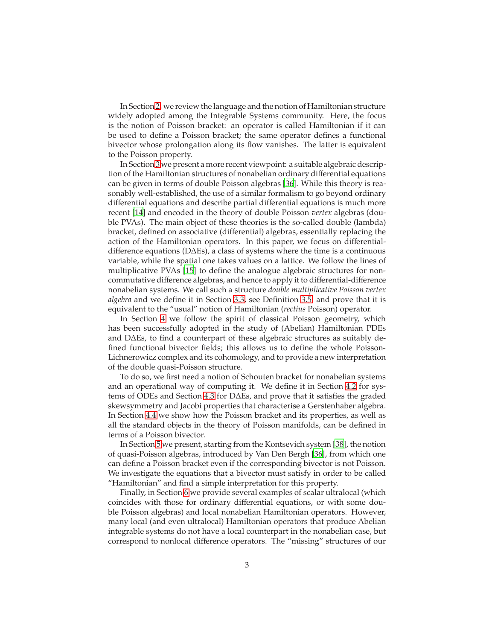In Section [2,](#page-3-0) we review the language and the notion of Hamiltonian structure widely adopted among the Integrable Systems community. Here, the focus is the notion of Poisson bracket: an operator is called Hamiltonian if it can be used to define a Poisson bracket; the same operator defines a functional bivector whose prolongation along its flow vanishes. The latter is equivalent to the Poisson property.

In Section [3](#page-8-0) we present a more recent viewpoint: a suitable algebraic description of the Hamiltonian structures of nonabelian ordinary differential equations can be given in terms of double Poisson algebras [\[36](#page-65-0)]. While this theory is reasonably well-established, the use of a similar formalism to go beyond ordinary differential equations and describe partial differential equations is much more recent [\[14\]](#page-63-1) and encoded in the theory of double Poisson *vertex* algebras (double PVAs). The main object of these theories is the so-called double (lambda) bracket, defined on associative (differential) algebras, essentially replacing the action of the Hamiltonian operators. In this paper, we focus on differentialdifference equations (D∆Es), a class of systems where the time is a continuous variable, while the spatial one takes values on a lattice. We follow the lines of multiplicative PVAs [\[15\]](#page-63-2) to define the analogue algebraic structures for noncommutative difference algebras, and hence to apply it to differential-difference nonabelian systems. We call such a structure *double multiplicative Poisson vertex algebra* and we define it in Section [3.3,](#page-16-0) see Definition [3.5,](#page-17-0) and prove that it is equivalent to the "usual" notion of Hamiltonian (*rectius* Poisson) operator.

In Section [4](#page-20-0) we follow the spirit of classical Poisson geometry, which has been successfully adopted in the study of (Abelian) Hamiltonian PDEs and D∆Es, to find a counterpart of these algebraic structures as suitably defined functional bivector fields; this allows us to define the whole Poisson-Lichnerowicz complex and its cohomology, and to provide a new interpretation of the double quasi-Poisson structure.

To do so, we first need a notion of Schouten bracket for nonabelian systems and an operational way of computing it. We define it in Section [4.2](#page-23-0) for systems of ODEs and Section [4.3](#page-28-0) for D∆Es, and prove that it satisfies the graded skewsymmetry and Jacobi properties that characterise a Gerstenhaber algebra. In Section [4.4](#page-31-0) we show how the Poisson bracket and its properties, as well as all the standard objects in the theory of Poisson manifolds, can be defined in terms of a Poisson bivector.

In Section [5](#page-36-0) we present, starting from the Kontsevich system [\[38](#page-65-1)], the notion of quasi-Poisson algebras, introduced by Van Den Bergh [\[36\]](#page-65-0), from which one can define a Poisson bracket even if the corresponding bivector is not Poisson. We investigate the equations that a bivector must satisfy in order to be called "Hamiltonian" and find a simple interpretation for this property.

Finally, in Section [6](#page-42-0) we provide several examples of scalar ultralocal (which coincides with those for ordinary differential equations, or with some double Poisson algebras) and local nonabelian Hamiltonian operators. However, many local (and even ultralocal) Hamiltonian operators that produce Abelian integrable systems do not have a local counterpart in the nonabelian case, but correspond to nonlocal difference operators. The "missing" structures of our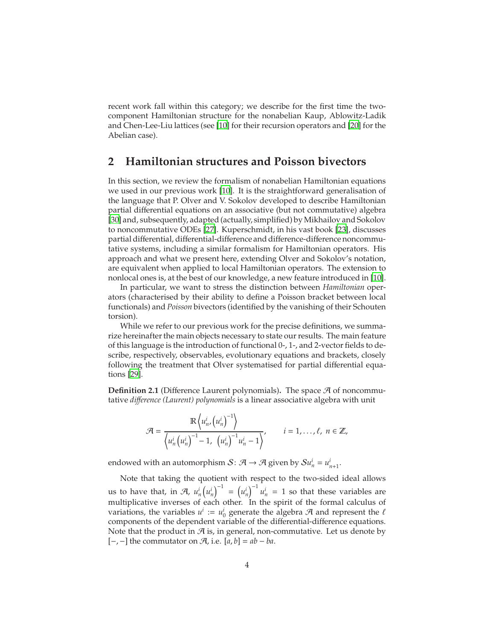recent work fall within this category; we describe for the first time the twocomponent Hamiltonian structure for the nonabelian Kaup, Ablowitz-Ladik and Chen-Lee-Liu lattices (see [\[10\]](#page-63-0) for their recursion operators and [\[20\]](#page-64-5) for the Abelian case).

## <span id="page-3-0"></span>**2 Hamiltonian structures and Poisson bivectors**

In this section, we review the formalism of nonabelian Hamiltonian equations we used in our previous work [\[10\]](#page-63-0). It is the straightforward generalisation of the language that P. Olver and V. Sokolov developed to describe Hamiltonian partial differential equations on an associative (but not commutative) algebra [\[30\]](#page-64-4) and, subsequently, adapted (actually, simplified) by Mikhailov and Sokolov to noncommutative ODEs [\[27\]](#page-64-2). Kuperschmidt, in his vast book [\[23\]](#page-64-0), discusses partial differential, differential-difference and difference-difference noncommutative systems, including a similar formalism for Hamiltonian operators. His approach and what we present here, extending Olver and Sokolov's notation, are equivalent when applied to local Hamiltonian operators. The extension to nonlocal ones is, at the best of our knowledge, a new feature introduced in [\[10\]](#page-63-0).

In particular, we want to stress the distinction between *Hamiltonian* operators (characterised by their ability to define a Poisson bracket between local functionals) and *Poisson* bivectors (identified by the vanishing of their Schouten torsion).

While we refer to our previous work for the precise definitions, we summarize hereinafter the main objects necessary to state our results. The main feature of this language is the introduction of functional 0-, 1-, and 2-vector fields to describe, respectively, observables, evolutionary equations and brackets, closely following the treatment that Olver systematised for partial differential equations [\[29](#page-64-6)].

**Definition 2.1** (Difference Laurent polynomials). The space  $A$  of noncommutative *di*ff*erence (Laurent) polynomials* is a linear associative algebra with unit

$$
\mathcal{A} = \frac{\mathbb{R}\left\langle u_n^i, \left(u_n^i\right)^{-1}\right\rangle}{\left\langle u_n^i \left(u_n^i\right)^{-1} - 1, \left(u_n^i\right)^{-1} u_n^i - 1\right\rangle}, \qquad i = 1, \dots, \ell, \ n \in \mathbb{Z},
$$

endowed with an automorphism  $S: \mathcal{A} \to \mathcal{A}$  given by  $\mathcal{S} u_n^i = u_{n+1}^i$ .

Note that taking the quotient with respect to the two-sided ideal allows us to have that, in  $\mathcal{A}$ ,  $u_n^i(u_n^i)^{-1} = (u_n^i)^{-1} u_n^i = 1$  so that these variables are multiplicative inverses of each other. In the spirit of the formal calculus of variations, the variables  $u^i := u^i_0$  generate the algebra  $\mathcal A$  and represent the  $\ell$ components of the dependent variable of the differential-difference equations. Note that the product in  $\mathcal A$  is, in general, non-commutative. Let us denote by [−, −] the commutator on A, i.e. [*a*, *b*] = *ab* − *ba*.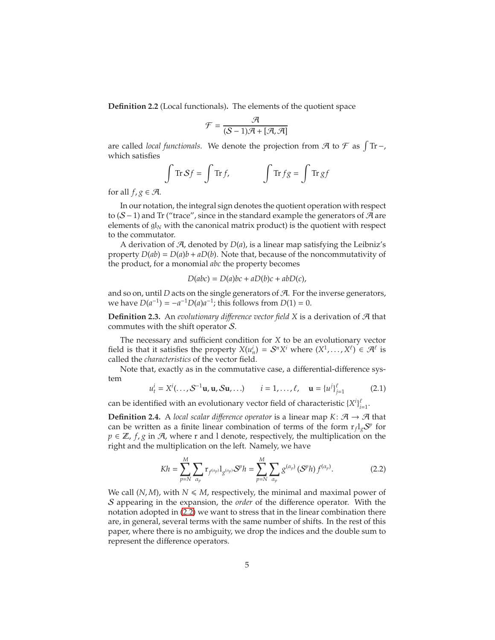**Definition 2.2** (Local functionals)**.** The elements of the quotient space

$$
\mathcal{F} = \frac{\mathcal{A}}{(\mathcal{S}-1)\mathcal{A} + [\mathcal{A},\mathcal{A}]}
$$

are called *local functionals*. We denote the projection from  $\mathcal A$  to  $\mathcal F$  as  $\int$ Tr-, which satisfies

$$
\int \operatorname{Tr} S f = \int \operatorname{Tr} f, \qquad \qquad \int \operatorname{Tr} f g = \int \operatorname{Tr} g f
$$

for all  $f, g \in \mathcal{A}$ .

In our notation, the integral sign denotes the quotient operation with respect to ( $S$  − 1) and Tr ("trace", since in the standard example the generators of  $A$  are elements of  $\mathfrak{gl}_N$  with the canonical matrix product) is the quotient with respect to the commutator.

A derivation of  $A$ , denoted by  $D(a)$ , is a linear map satisfying the Leibniz's property  $D(ab) = D(a)b + aD(b)$ . Note that, because of the noncommutativity of the product, for a monomial *abc* the property becomes

<span id="page-4-1"></span>
$$
D(abc) = D(a)bc + aD(b)c + abD(c),
$$

and so on, until *D* acts on the single generators of A. For the inverse generators, we have  $D(a^{-1}) = -a^{-1}D(a)a^{-1}$ ; this follows from  $D(1) = 0$ .

**Definition 2.3.** An *evolutionary di*ff*erence vector field X* is a derivation of A that commutes with the shift operator S.

The necessary and sufficient condition for *X* to be an evolutionary vector field is that it satisfies the property  $X(u_n^i) = S^n X^i$  where  $(X^1, \ldots, X^\ell) \in \mathcal{A}^\ell$  is called the *characteristics* of the vector field.

Note that, exactly as in the commutative case, a differential-difference system

$$
u_t^i = X^i(\ldots, S^{-1}u, u, Su, \ldots)
$$
  $i = 1, \ldots, \ell, \quad u = \{u^j\}_{j=1}^{\ell}$  (2.1)

can be identified with an evolutionary vector field of characteristic  ${X^i}_{i=1}^{\ell}$ .

**Definition 2.4.** A *local scalar difference operator* is a linear map  $K: \mathcal{A} \rightarrow \mathcal{A}$  that can be written as a finite linear combination of terms of the form  $r_f l_g S^p$  for  $p \in \mathbb{Z}$ ,  $f$ ,  $g$  in  $\mathcal{A}$ , where r and l denote, respectively, the multiplication on the right and the multiplication on the left. Namely, we have

<span id="page-4-0"></span>
$$
Kh = \sum_{p=N}^{M} \sum_{\alpha_p} \mathbf{r}_{f^{(\alpha_p)}} \mathbf{1}_{g^{(\alpha_p)}} \mathbf{S}^p h = \sum_{p=N}^{M} \sum_{\alpha_p} g^{(\alpha_p)} \left( \mathbf{S}^p h \right) f^{(\alpha_p)}.\tag{2.2}
$$

We call  $(N, M)$ , with  $N \le M$ , respectively, the minimal and maximal power of S appearing in the expansion, the *order* of the difference operator. With the notation adopted in [\(2.2\)](#page-4-0) we want to stress that in the linear combination there are, in general, several terms with the same number of shifts. In the rest of this paper, where there is no ambiguity, we drop the indices and the double sum to represent the difference operators.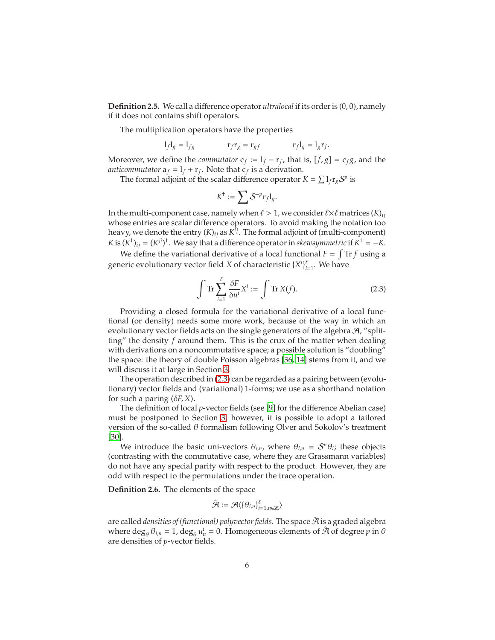<span id="page-5-2"></span>**Definition 2.5.** We call a difference operator *ultralocal* if its order is (0, 0), namely if it does not contains shift operators.

The multiplication operators have the properties

$$
l_f l_g = l_{fg} \qquad \qquad \mathbf{r}_f \mathbf{r}_g = \mathbf{r}_{gf} \qquad \qquad \mathbf{r}_f l_g = l_g \mathbf{r}_f.
$$

Moreover, we define the *commutator*  $c_f := l_f - r_f$ , that is,  $[f, g] = c_f g$ , and the *anticommutator*  $a_f = l_f + r_f$ . Note that  $c_f$  is a derivation.

The formal adjoint of the scalar difference operator  $K = \sum l_f r_g S^p$  is

$$
K^{\dagger} := \sum S^{-p} \mathbf{r}_f \mathbf{l}_g.
$$

In the multi-component case, namely when  $\ell > 1$ , we consider  $\ell \times \ell$  matrices  $(K)_{ij}$ whose entries are scalar difference operators. To avoid making the notation too heavy, we denote the entry (*K*)*ij* as *K ij*. The formal adjoint of (multi-component) *K* is  $(K^{\dagger})_{ij} = (K^{ji})^{\dagger}$ . We say that a difference operator in *skewsymmetric* if  $K^{\dagger} = -K$ .

We define the variational derivative of a local functional  $F = \int Tr f$  using a generic evolutionary vector field *X* of characteristic  ${X^{i}}_{i=1}^{\ell}$ . We have

<span id="page-5-0"></span>
$$
\int \operatorname{Tr} \sum_{i=1}^{\ell} \frac{\delta F}{\delta u^i} X^i := \int \operatorname{Tr} X(f). \tag{2.3}
$$

Providing a closed formula for the variational derivative of a local functional (or density) needs some more work, because of the way in which an evolutionary vector fields acts on the single generators of the algebra  $A$ , "splitting" the density *f* around them. This is the crux of the matter when dealing with derivations on a noncommutative space; a possible solution is "doubling" the space: the theory of double Poisson algebras [\[36,](#page-65-0) [14\]](#page-63-1) stems from it, and we will discuss it at large in Section [3.](#page-8-0)

The operation described in [\(2.3\)](#page-5-0) can be regarded as a pairing between (evolutionary) vector fields and (variational) 1-forms; we use as a shorthand notation for such a paring  $\langle \delta F, X \rangle$ .

The definition of local *p*-vector fields (see [\[9\]](#page-63-3) for the difference Abelian case) must be postponed to Section [3;](#page-8-0) however, it is possible to adopt a tailored version of the so-called  $\theta$  formalism following Olver and Sokolov's treatment [\[30\]](#page-64-4).

We introduce the basic uni-vectors  $\theta_{i,n}$ , where  $\theta_{i,n} = \mathcal{S}^n \theta_i$ ; these objects (contrasting with the commutative case, where they are Grassmann variables) do not have any special parity with respect to the product. However, they are odd with respect to the permutations under the trace operation.

<span id="page-5-1"></span>**Definition 2.6.** The elements of the space

$$
\hat{\mathcal{A}} := \mathcal{A} \langle \{\theta_{i,n}\}_{i=1,n \in \mathbb{Z}}^{\ell} \rangle
$$

are called *densities of (functional) polyvector fields*. The space  $\hat{\mathcal{A}}$  is a graded algebra where  $\deg_{\theta} \theta_{i,n} = 1$ ,  $\deg_{\theta} u_n^i = 0$ . Homogeneous elements of  $\hat{\mathcal{A}}$  of degree  $p$  in  $\theta$ are densities of *p*-vector fields.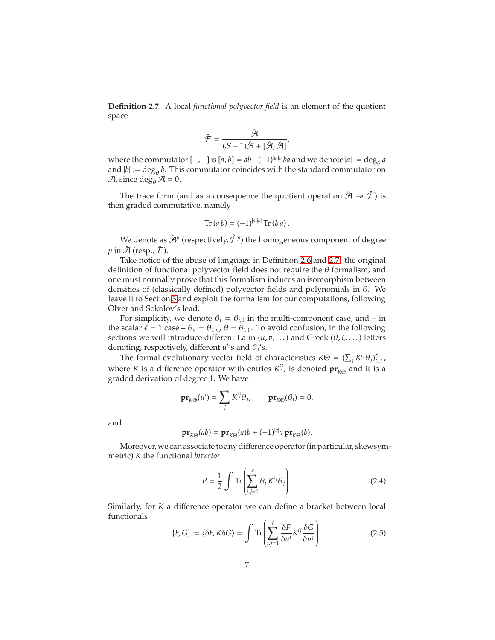<span id="page-6-0"></span>**Definition 2.7.** A local *functional polyvector field* is an element of the quotient space

$$
\hat{\mathcal{F}} = \frac{\hat{\mathcal{A}}}{(\mathcal{S} - 1)\hat{\mathcal{A}} + [\hat{\mathcal{A}}, \hat{\mathcal{A}}]}'
$$

where the commutator  $[-,-]$  is  $[a,b] = ab - (-1)^{|a||b|}ba$  and we denote  $|a| := \deg_{\theta} a$ and  $|b| := \deg_{\theta} b$ . This commutator coincides with the standard commutator on  $\mathcal{A}$ , since deg<sub>e</sub>  $\mathcal{A} = 0$ .

The trace form (and as a consequence the quotient operation  $\hat{\mathcal{A}} \twoheadrightarrow \hat{\mathcal{F}}$ ) is then graded commutative, namely

$$
\text{Tr}\,(a\,b) = (-1)^{|a||b|}\,\text{Tr}\,(b\,a)\,.
$$

We denote as  $\hat{\mathcal{A}}^p$  (respectively,  $\hat{\mathcal{F}}^p$ ) the homogeneous component of degree  $p$  in  $\hat{\mathcal{A}}$  (resp.,  $\hat{\mathcal{F}}$ ).

Take notice of the abuse of language in Definition [2.6](#page-5-1) and [2.7:](#page-6-0) the original definition of functional polyvector field does not require the  $\theta$  formalism, and one must normally prove that this formalism induces an isomorphism between densities of (classically defined) polyvector fields and polynomials in  $\theta$ . We leave it to Section [3](#page-8-0) and exploit the formalism for our computations, following Olver and Sokolov's lead.

For simplicity, we denote  $\theta_i = \theta_{i,0}$  in the multi-component case, and – in the scalar  $\ell = 1$  case  $-\theta_n = \theta_{1,n}$ ,  $\theta = \theta_{1,0}$ . To avoid confusion, in the following sections we will introduce different Latin  $(u, v, \dots)$  and Greek  $(\theta, \zeta, \dots)$  letters denoting, respectively, different  $u^{i}$ 's and  $\theta_j$ 's.

The formal evolutionary vector field of characteristics  $K\Theta = (\sum_j K^{ij}\theta_j)_{i=1}^{\ell}$ , where *K* is a difference operator with entries  $K^{ij}$ , is denoted  $pr_{K\Theta}$  and it is a graded derivation of degree 1. We have

$$
\mathbf{pr}_{K\Theta}(u^i) = \sum_j K^{ij} \theta_j, \qquad \mathbf{pr}_{K\Theta}(\theta_i) = 0,
$$

and

$$
\mathbf{pr}_{K\Theta}(ab) = \mathbf{pr}_{K\Theta}(a)b + (-1)^{|a|}a \mathbf{pr}_{K\Theta}(b).
$$

Moreover, we can associate to any difference operator (in particular, skewsymmetric) *K* the functional *bivector*

<span id="page-6-2"></span><span id="page-6-1"></span>
$$
P = \frac{1}{2} \int \text{Tr} \left( \sum_{i,j=1}^{\ell} \theta_i K^{ij} \theta_j \right). \tag{2.4}
$$

Similarly, for *K* a difference operator we can define a bracket between local functionals

$$
\{F, G\} := \langle \delta F, K \delta G \rangle = \int \text{Tr} \left( \sum_{i,j=1}^{\ell} \frac{\delta F}{\delta u^i} K^{ij} \frac{\delta G}{\delta u^j} \right). \tag{2.5}
$$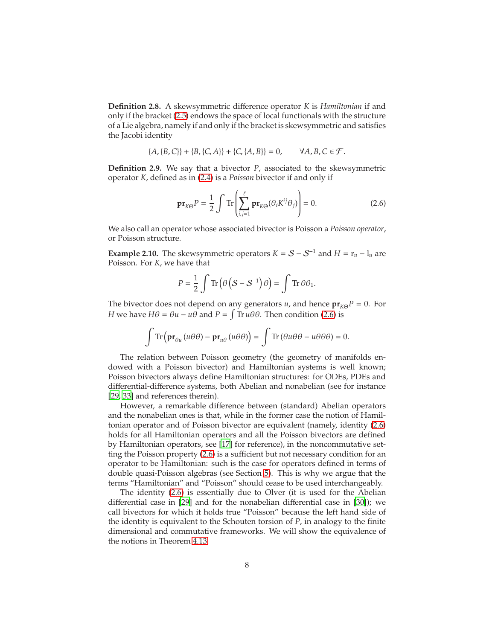**Definition 2.8.** A skewsymmetric difference operator *K* is *Hamiltonian* if and only if the bracket [\(2.5\)](#page-6-1) endows the space of local functionals with the structure of a Lie algebra, namely if and only if the bracket is skewsymmetric and satisfies the Jacobi identity

$$
\{A, \{B, C\}\} + \{B, \{C, A\}\} + \{C, \{A, B\}\} = 0, \qquad \forall A, B, C \in \mathcal{F}.
$$

<span id="page-7-1"></span>**Definition 2.9.** We say that a bivector *P*, associated to the skewsymmetric operator *K*, defined as in [\(2.4\)](#page-6-2) is a *Poisson* bivector if and only if

<span id="page-7-0"></span>
$$
\mathbf{pr}_{K\Theta}P = \frac{1}{2} \int \text{Tr}\left(\sum_{i,j=1}^{\ell} \mathbf{pr}_{K\Theta}(\theta_i K^{ij} \theta_j)\right) = 0. \tag{2.6}
$$

We also call an operator whose associated bivector is Poisson a *Poisson operator*, or Poisson structure.

**Example 2.10.** The skewsymmetric operators  $K = S - S^{-1}$  and  $H = r_u - l_u$  are Poisson. For *K*, we have that

$$
P = \frac{1}{2} \int \text{Tr} \left( \theta \left( S - S^{-1} \right) \theta \right) = \int \text{Tr} \, \theta \theta_1.
$$

The bivector does not depend on any generators *u*, and hence  $pr_{K\Theta}P = 0$ . For *H* we have  $H\theta = \theta u - u\theta$  and  $P = \int Tr u\theta \theta$ . Then condition [\(2.6\)](#page-7-0) is

$$
\int \operatorname{Tr}\left(\mathbf{pr}_{\theta u}(u\theta\theta) - \mathbf{pr}_{u\theta}(u\theta\theta)\right) = \int \operatorname{Tr}\left(\theta u\theta\theta - u\theta\theta\theta\right) = 0.
$$

The relation between Poisson geometry (the geometry of manifolds endowed with a Poisson bivector) and Hamiltonian systems is well known; Poisson bivectors always define Hamiltonian structures: for ODEs, PDEs and differential-difference systems, both Abelian and nonabelian (see for instance [\[29,](#page-64-6) [33\]](#page-65-2) and references therein).

However, a remarkable difference between (standard) Abelian operators and the nonabelian ones is that, while in the former case the notion of Hamiltonian operator and of Poisson bivector are equivalent (namely, identity [\(2.6\)](#page-7-0) holds for all Hamiltonian operators and all the Poisson bivectors are defined by Hamiltonian operators, see [\[17](#page-64-7)] for reference), in the noncommutative setting the Poisson property [\(2.6\)](#page-7-0) is a sufficient but not necessary condition for an operator to be Hamiltonian: such is the case for operators defined in terms of double quasi-Poisson algebras (see Section [5\)](#page-36-0). This is why we argue that the terms "Hamiltonian" and "Poisson" should cease to be used interchangeably.

The identity [\(2.6\)](#page-7-0) is essentially due to Olver (it is used for the Abelian differential case in [\[29](#page-64-6)] and for the nonabelian differential case in [\[30\]](#page-64-4)); we call bivectors for which it holds true "Poisson" because the left hand side of the identity is equivalent to the Schouten torsion of *P*, in analogy to the finite dimensional and commutative frameworks. We will show the equivalence of the notions in Theorem [4.13.](#page-33-1)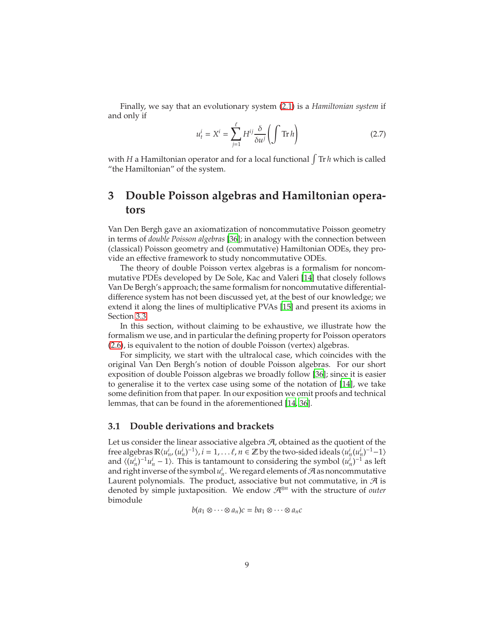Finally, we say that an evolutionary system [\(2.1\)](#page-4-1) is a *Hamiltonian system* if and only if

<span id="page-8-2"></span>
$$
u_t^i = X^i = \sum_{j=1}^{\ell} H^{ij} \frac{\delta}{\delta u^j} \left( \int \operatorname{Tr} h \right)
$$
 (2.7)

with *H* a Hamiltonian operator and for a local functional  $\int$  Tr *h* which is called "the Hamiltonian" of the system.

## <span id="page-8-0"></span>**3 Double Poisson algebras and Hamiltonian operators**

Van Den Bergh gave an axiomatization of noncommutative Poisson geometry in terms of *double Poisson algebras* [\[36](#page-65-0)]; in analogy with the connection between (classical) Poisson geometry and (commutative) Hamiltonian ODEs, they provide an effective framework to study noncommutative ODEs.

The theory of double Poisson vertex algebras is a formalism for noncommutative PDEs developed by De Sole, Kac and Valeri [\[14\]](#page-63-1) that closely follows Van De Bergh's approach; the same formalism for noncommutative differentialdifference system has not been discussed yet, at the best of our knowledge; we extend it along the lines of multiplicative PVAs [\[15\]](#page-63-2) and present its axioms in Section [3.3.](#page-16-0)

In this section, without claiming to be exhaustive, we illustrate how the formalism we use, and in particular the defining property for Poisson operators [\(2.6\)](#page-7-0), is equivalent to the notion of double Poisson (vertex) algebras.

For simplicity, we start with the ultralocal case, which coincides with the original Van Den Bergh's notion of double Poisson algebras. For our short exposition of double Poisson algebras we broadly follow [\[36](#page-65-0)]; since it is easier to generalise it to the vertex case using some of the notation of [\[14](#page-63-1)], we take some definition from that paper. In our exposition we omit proofs and technical lemmas, that can be found in the aforementioned [\[14,](#page-63-1) [36\]](#page-65-0).

### <span id="page-8-1"></span>**3.1 Double derivations and brackets**

Let us consider the linear associative algebra  $A$ , obtained as the quotient of the free algebras  $\mathbb{R}\langle u_n^i, (u_n^i)^{-1}\rangle$ ,  $i = 1, \ldots \ell, n \in \mathbb{Z}$  by the two-sided ideals  $\langle u_n^i (u_n^i)^{-1} - 1 \rangle$ and  $\langle (u_n^i)^{-1}u_n^i - 1 \rangle$ . This is tantamount to considering the symbol  $(u_n^i)^{-1}$  as left and right inverse of the symbol  $u_n^i$ . We regard elements of  $\mathcal A$  as noncommutative Laurent polynomials. The product, associative but not commutative, in  $\mathcal A$  is denoted by simple juxtaposition. We endow A<sup>⊗</sup>*<sup>n</sup>* with the structure of *outer* bimodule

$$
b(a_1\otimes\cdots\otimes a_n)c=ba_1\otimes\cdots\otimes a_nc
$$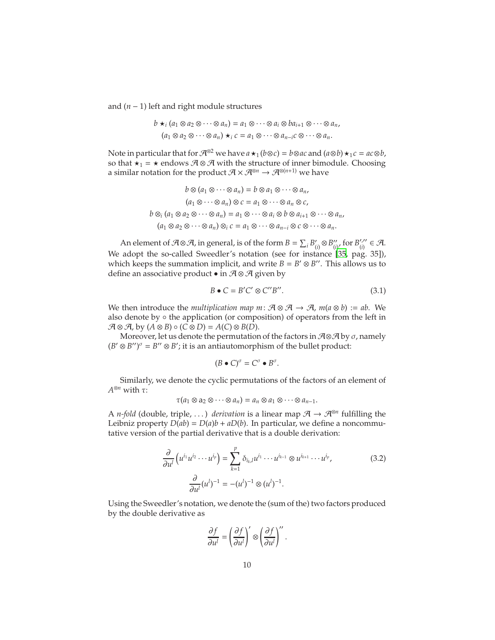and (*n* − 1) left and right module structures

$$
b \star_i (a_1 \otimes a_2 \otimes \cdots \otimes a_n) = a_1 \otimes \cdots \otimes a_i \otimes ba_{i+1} \otimes \cdots \otimes a_n,
$$
  

$$
(a_1 \otimes a_2 \otimes \cdots \otimes a_n) \star_i c = a_1 \otimes \cdots \otimes a_{n-i} c \otimes \cdots \otimes a_n.
$$

Note in particular that for  $\mathcal{A}^{\otimes 2}$  we have  $a \star_1 (b \otimes c) = b \otimes ac$  and  $(a \otimes b) \star_1 c = ac \otimes b$ , so that  $\star_1$  =  $\star$  endows  $A \otimes A$  with the structure of inner bimodule. Choosing a similar notation for the product  $\mathcal{A} \times \mathcal{A}^{\otimes n} \to \mathcal{A}^{\otimes (n+1)}$  we have

$$
b \otimes (a_1 \otimes \cdots \otimes a_n) = b \otimes a_1 \otimes \cdots \otimes a_n,
$$
  
\n
$$
(a_1 \otimes \cdots \otimes a_n) \otimes c = a_1 \otimes \cdots \otimes a_n \otimes c,
$$
  
\n
$$
b \otimes_i (a_1 \otimes a_2 \otimes \cdots \otimes a_n) = a_1 \otimes \cdots \otimes a_i \otimes b \otimes a_{i+1} \otimes \cdots \otimes a_n,
$$
  
\n
$$
(a_1 \otimes a_2 \otimes \cdots \otimes a_n) \otimes_i c = a_1 \otimes \cdots \otimes a_{n-i} \otimes c \otimes \cdots \otimes a_n.
$$

An element of  $\mathcal{A} \otimes \mathcal{A}$ , in general, is of the form  $B = \sum_i B'_i$  $'_{(i)}$ ⊗ $B''_{(i)}$  $''_{(i)}$ , for  $B'^{,\prime\prime}_{(i)}$  $'_{(i)}'' \in \mathcal{A}.$ We adopt the so-called Sweedler's notation (see for instance [\[35](#page-65-3), pag. 35]), which keeps the summation implicit, and write  $B = B' \otimes B''$ . This allows us to define an associative product • in  $A \otimes A$  given by

<span id="page-9-1"></span>
$$
B \bullet C = B'C' \otimes C''B''.
$$
\n(3.1)

We then introduce the *multiplication map*  $m: \mathcal{A} \otimes \mathcal{A} \rightarrow \mathcal{A}$ ,  $m(a \otimes b) := ab$ . We also denote by  $\circ$  the application (or composition) of operators from the left in  $\mathcal{A} \otimes \mathcal{A}$ , by  $(A \otimes B) \circ (C \otimes D) = A(C) \otimes B(D)$ .

Moreover, let us denote the permutation of the factors in  $\mathcal{A} \otimes \mathcal{A}$  by  $\sigma$ , namely  $(B' \otimes B'')^{\sigma} = B'' \otimes B'$ ; it is an antiautomorphism of the bullet product:

$$
(B \bullet C)^{\sigma} = C^{\sigma} \bullet B^{\sigma}.
$$

Similarly, we denote the cyclic permutations of the factors of an element of *A* <sup>⊗</sup>*<sup>n</sup>* with τ:

$$
\tau(a_1\otimes a_2\otimes \cdots \otimes a_n)=a_n\otimes a_1\otimes \cdots \otimes a_{n-1}.
$$

A *n-fold* (double, triple, ...) *derivation* is a linear map  $A \rightarrow A^{\otimes n}$  fulfilling the Leibniz property  $D(ab) = D(a)b + aD(b)$ . In particular, we define a noncommutative version of the partial derivative that is a double derivation:

$$
\frac{\partial}{\partial u^l} \left( u^{i_1} u^{i_2} \cdots u^{i_p} \right) = \sum_{k=1}^p \delta_{i_k, l} u^{i_1} \cdots u^{i_{k-1}} \otimes u^{i_{k+1}} \cdots u^{i_p},
$$
\n
$$
\frac{\partial}{\partial u^l} (u^l)^{-1} = -(u^l)^{-1} \otimes (u^l)^{-1}.
$$
\n(3.2)

Using the Sweedler's notation, we denote the (sum of the) two factors produced by the double derivative as

<span id="page-9-0"></span>
$$
\frac{\partial f}{\partial u^l} = \left(\frac{\partial f}{\partial u^l}\right)' \otimes \left(\frac{\partial f}{\partial u^l}\right)''.
$$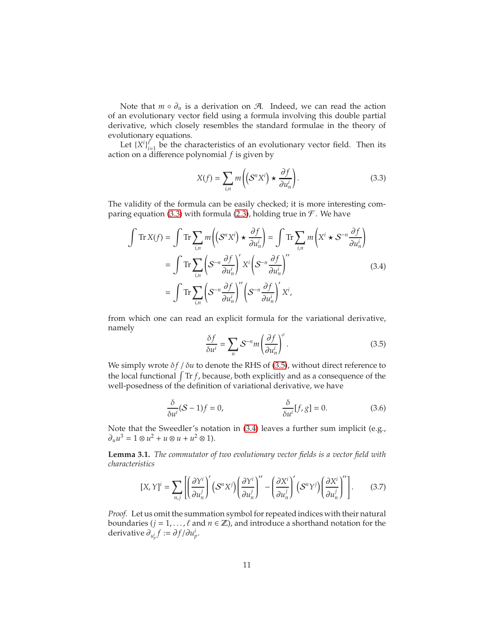Note that  $m \circ \partial_u$  is a derivation on  $\mathcal{A}$ . Indeed, we can read the action of an evolutionary vector field using a formula involving this double partial derivative, which closely resembles the standard formulae in the theory of evolutionary equations.

Let  $\{X^i\}_{i=1}^{\ell}$  be the characteristics of an evolutionary vector field. Then its action on a difference polynomial *f* is given by

<span id="page-10-0"></span>
$$
X(f) = \sum_{i,n} m\bigg(\big(S^n X^i\big) \star \frac{\partial f}{\partial u_n^i}\bigg). \tag{3.3}
$$

The validity of the formula can be easily checked; it is more interesting com-paring equation [\(3.3\)](#page-10-0) with formula [\(2.3\)](#page-5-0), holding true in  $\mathcal F$ . We have

$$
\int \operatorname{Tr} X(f) = \int \operatorname{Tr} \sum_{i,n} m \left( \left( S^n X^i \right) \star \frac{\partial f}{\partial u_n^i} \right) = \int \operatorname{Tr} \sum_{i,n} m \left( X^i \star S^{-n} \frac{\partial f}{\partial u_n^i} \right)
$$

$$
= \int \operatorname{Tr} \sum_{i,n} \left( S^{-n} \frac{\partial f}{\partial u_n^i} \right)' X^i \left( S^{-n} \frac{\partial f}{\partial u_n^i} \right)''
$$
(3.4)
$$
= \int \operatorname{Tr} \sum_{i,n} \left( S^{-n} \frac{\partial f}{\partial u_n^i} \right)'' \left( S^{-n} \frac{\partial f}{\partial u_n^i} \right)' X^i,
$$

from which one can read an explicit formula for the variational derivative, namely

<span id="page-10-4"></span><span id="page-10-2"></span><span id="page-10-1"></span>
$$
\frac{\delta f}{\delta u^i} = \sum_n \mathcal{S}^{-n} m \left( \frac{\partial f}{\partial u_n^i} \right)^{\sigma} . \tag{3.5}
$$

We simply wrote  $\delta f / \delta u$  to denote the RHS of [\(3.5\)](#page-10-1), without direct reference to the local functional  $\int \text{Tr} f$ , because, both explicitly and as a consequence of the well-posedness of the definition of variational derivative, we have

<span id="page-10-3"></span>
$$
\frac{\delta}{\delta u^{i}}(S-1)f = 0, \qquad \frac{\delta}{\delta u^{i}}[f,g] = 0. \qquad (3.6)
$$

Note that the Sweedler's notation in [\(3.4\)](#page-10-2) leaves a further sum implicit (e.g.,  $\partial_{u}u^{3} = 1 \otimes u^{2} + u \otimes u + u^{2} \otimes 1$ .

<span id="page-10-5"></span>**Lemma 3.1.** *The commutator of two evolutionary vector fields is a vector field with characteristics*

$$
[X, Y]^i = \sum_{n,j} \left[ \left( \frac{\partial Y^i}{\partial u_n^j} \right)' \left( S^n X^j \right) \left( \frac{\partial Y^i}{\partial u_n^j} \right)'' - \left( \frac{\partial X^i}{\partial u_n^j} \right)' \left( S^n Y^j \right) \left( \frac{\partial X^i}{\partial u_n^j} \right)'' \right].
$$
 (3.7)

*Proof.* Let us omit the summation symbol for repeated indices with their natural boundaries ( $j = 1, ..., \ell$  and  $n \in \mathbb{Z}$ ), and introduce a shorthand notation for the derivative  $\partial_{u_p^i} f := \partial f / \partial u_p^i$ .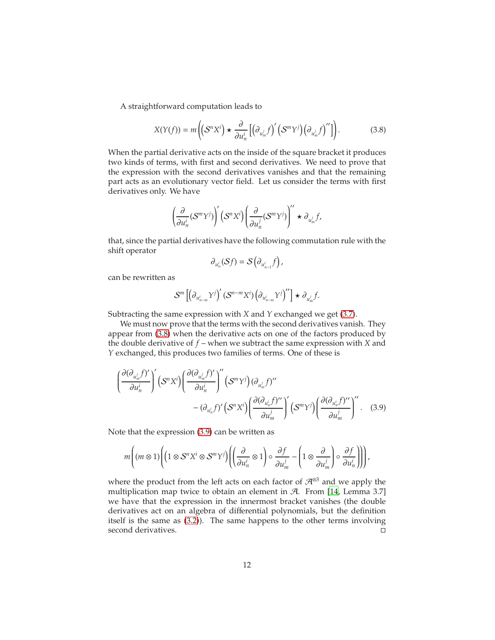A straightforward computation leads to

$$
X(Y(f)) = m\left(\left(S^n X^i\right) \star \frac{\partial}{\partial u_n^i} \left[\left(\partial_{u_m^j} f\right)' \left(S^m Y^j\right) \left(\partial_{u_m^j} f\right)''\right]\right). \tag{3.8}
$$

When the partial derivative acts on the inside of the square bracket it produces two kinds of terms, with first and second derivatives. We need to prove that the expression with the second derivatives vanishes and that the remaining part acts as an evolutionary vector field. Let us consider the terms with first derivatives only. We have

$$
\left(\frac{\partial}{\partial u^i_n}(\mathcal{S}^m Y^j)\right)' \left(\mathcal{S}^n X^i\right)\left(\frac{\partial}{\partial u^j_n}(\mathcal{S}^m Y^j)\right)'' \star \partial_{u^j_m} f,
$$

that, since the partial derivatives have the following commutation rule with the shift operator

<span id="page-11-1"></span><span id="page-11-0"></span>
$$
\partial_{u_n^i}(\mathcal{S}f)=\mathcal{S}\big(\partial_{u_{n-1}^i}f\big)\,,
$$

can be rewritten as

$$
\mathcal{S}^m\left[\left(\partial_{u_{n-m}^i}Y^j\right)'(\mathcal{S}^{n-m}X^i)\left(\partial_{u_{n-m}^i}Y^j\right)''\right]\star\partial_{u_m^j}f.
$$

Subtracting the same expression with *X* and *Y* exchanged we get [\(3.7\)](#page-10-3).

We must now prove that the terms with the second derivatives vanish. They appear from [\(3.8\)](#page-11-0) when the derivative acts on one of the factors produced by the double derivative of *f* – when we subtract the same expression with *X* and *Y* exchanged, this produces two families of terms. One of these is

$$
\left(\frac{\partial(\partial_{u_m^j}f)'}{\partial u_n^i}\right)'(S^nX^i)\left(\frac{\partial(\partial_{u_m^j}f)'}{\partial u_n^i}\right)''(S^mY^j)(\partial_{u_m^j}f)''
$$

$$
-(\partial_{u_n^i}f)'(S^nX^i)\left(\frac{\partial(\partial_{u_n^i}f)''}{\partial u_m^i}\right)'(S^mY^j)\left(\frac{\partial(\partial_{u_n^i}f)''}{\partial u_m^i}\right)'.
$$
 (3.9)

Note that the expression [\(3.9\)](#page-11-1) can be written as

$$
m\left((m\otimes 1)\left((1\otimes S^{n}X^{i}\otimes S^{m}Y^{j})\left((\frac{\partial}{\partial u_{n}^{i}}\otimes 1)\circ\frac{\partial f}{\partial u_{m}^{j}} - \left(1\otimes\frac{\partial}{\partial u_{m}^{j}}\right)\circ\frac{\partial f}{\partial u_{n}^{i}}\right)\right)\right),
$$

where the product from the left acts on each factor of  $\mathcal{A}^{\otimes 3}$  and we apply the multiplication map twice to obtain an element in  $A$ . From [\[14](#page-63-1), Lemma 3.7] we have that the expression in the innermost bracket vanishes (the double derivatives act on an algebra of differential polynomials, but the definition itself is the same as [\(3.2\)](#page-9-0)). The same happens to the other terms involving second derivatives.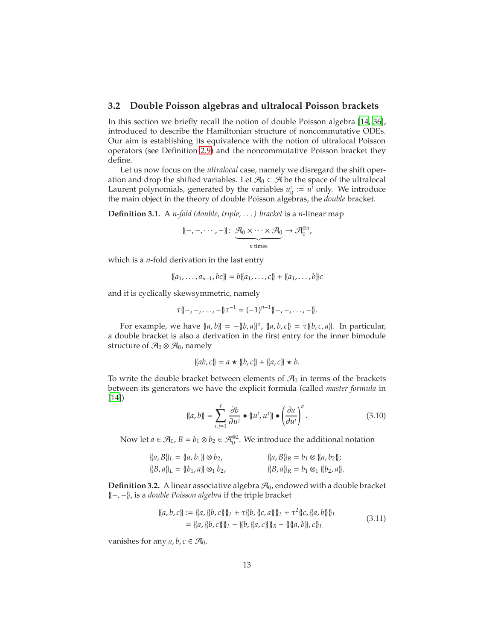### <span id="page-12-0"></span>**3.2 Double Poisson algebras and ultralocal Poisson brackets**

In this section we briefly recall the notion of double Poisson algebra [\[14](#page-63-1), [36\]](#page-65-0), introduced to describe the Hamiltonian structure of noncommutative ODEs. Our aim is establishing its equivalence with the notion of ultralocal Poisson operators (see Definition [2.9\)](#page-7-1) and the noncommutative Poisson bracket they define.

Let us now focus on the *ultralocal* case, namely we disregard the shift operation and drop the shifted variables. Let  $\mathcal{A}_0 \subset \mathcal{A}$  be the space of the ultralocal Laurent polynomials, generated by the variables  $u_0^i := u^i$  only. We introduce the main object in the theory of double Poisson algebras, the *double* bracket.

**Definition 3.1.** A *n-fold (double, triple, . . . ) bracket* is a *n*-linear map

$$
\{-,-,\cdots,-\}:\underbrace{\mathcal{A}_0\times\cdots\times\mathcal{A}_0}_{n \text{ times}}\to\mathcal{A}_0^{\otimes n},
$$

which is a *n*-fold derivation in the last entry

$$
\{a_1,\ldots,a_{n-1},bc\}=b\{a_1,\ldots,c\}+\{a_1,\ldots,b\}c
$$

and it is cyclically skewsymmetric, namely

$$
\tau\{-,-,\ldots,-\}\tau^{-1}=(-1)^{n+1}\{-,-,\ldots,-\}.
$$

For example, we have  $\{(a, b)\} = -\{(b, a)\}$ <sup>*σ*</sup>,  $\{(a, b, c)\} = \tau\{(b, c, a)\}$ . In particular, a double bracket is also a derivation in the first entry for the inner bimodule structure of  $\mathcal{A}_0 \otimes \mathcal{A}_0$ , namely

<span id="page-12-1"></span>
$$
\{ \{ab, c\} \} = a \star \{ \{b, c\} \} + \{ \{a, c\} \star b.
$$

To write the double bracket between elements of  $\mathcal{A}_0$  in terms of the brackets between its generators we have the explicit formula (called *master formula* in [\[14](#page-63-1)])

$$
\{\!\{a, b\}\!\} = \sum_{i,j=1}^{\ell} \frac{\partial b}{\partial u^j} \bullet \{\!\{u^i, u^j\}\!\} \bullet \left(\frac{\partial a}{\partial u^i}\right)^{\sigma}.\tag{3.10}
$$

Now let  $a \in \mathcal{A}_0$ ,  $B = b_1 \otimes b_2 \in \mathcal{A}_0^{\otimes 2}$ . We introduce the additional notation

$$
\begin{aligned}\n\{a, B\}\_L &= \{ \{a, b_1\} \otimes b_2, \\
\{B, a\}\_L &= \{ \{b_1, a\} \otimes_1 b_2, \\
\{B, a\}\_R &= b_1 \otimes_1 \{b_2, a\}.\n\end{aligned}
$$

**Definition 3.2.** A linear associative algebra  $\mathcal{A}_0$ , endowed with a double bracket {{−, −}}, is a *double Poisson algebra* if the triple bracket

<span id="page-12-2"></span>
$$
\begin{aligned} \n\{a, b, c\} &:= \{a, \{b, c\}\}\}_L + \tau \{b, \{c, a\}\}\}_L + \tau^2 \{c, \{a, b\}\}_L \\
&= \{a, \{b, c\}\}\}_L - \{b, \{a, c\}\}_R - \{\{a, b\}, c\}_L\n\end{aligned} \tag{3.11}
$$

vanishes for any  $a, b, c \in \mathcal{A}_0$ .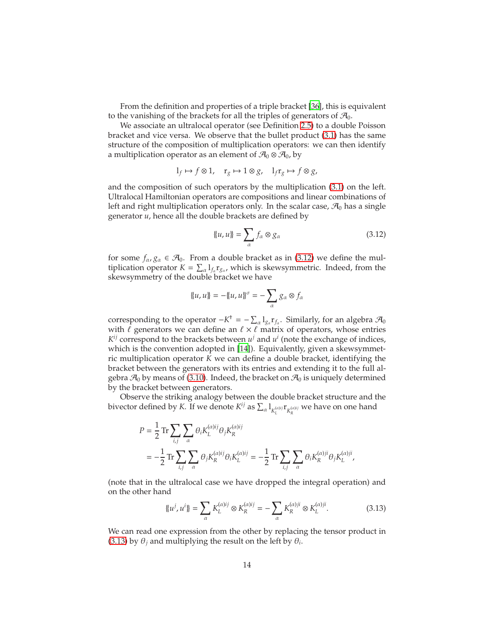From the definition and properties of a triple bracket [\[36\]](#page-65-0), this is equivalent to the vanishing of the brackets for all the triples of generators of  $\mathcal{A}_0$ .

We associate an ultralocal operator (see Definition [2.5\)](#page-5-2) to a double Poisson bracket and vice versa. We observe that the bullet product [\(3.1\)](#page-9-1) has the same structure of the composition of multiplication operators: we can then identify a multiplication operator as an element of  $\mathcal{A}_0 \otimes \mathcal{A}_0$ , by

$$
l_f \mapsto f \otimes 1
$$
,  $r_g \mapsto 1 \otimes g$ ,  $l_f r_g \mapsto f \otimes g$ ,

and the composition of such operators by the multiplication [\(3.1\)](#page-9-1) on the left. Ultralocal Hamiltonian operators are compositions and linear combinations of left and right multiplication operators only. In the scalar case,  $\mathcal{A}_0$  has a single generator *u*, hence all the double brackets are defined by

<span id="page-13-0"></span>
$$
\{u, u\} = \sum_{\alpha} f_{\alpha} \otimes g_{\alpha} \tag{3.12}
$$

for some  $f_{\alpha}$ ,  $g_{\alpha} \in \mathcal{A}_0$ . From a double bracket as in [\(3.12\)](#page-13-0) we define the multiplication operator  $K = \sum_{\alpha} 1_{f_{\alpha}} r_{g_{\alpha}}$ , which is skewsymmetric. Indeed, from the skewsymmetry of the double bracket we have

$$
\{u, u\} = -\{u, u\}^\sigma = -\sum_\alpha g_\alpha \otimes f_\alpha
$$

corresponding to the operator  $-K^{\dagger} = -\sum_{\alpha} 1_{g_{\alpha}} r_{f_{\alpha}}$ . Similarly, for an algebra  $\mathcal{A}_0$ with  $\ell$  generators we can define an  $\ell \times \ell$  matrix of operators, whose entries  $K^{ij}$  correspond to the brackets between  $u^j$  and  $u^i$  (note the exchange of indices, which is the convention adopted in [\[14\]](#page-63-1)). Equivalently, given a skewsymmetric multiplication operator *K* we can define a double bracket, identifying the bracket between the generators with its entries and extending it to the full algebra  $\mathcal{A}_0$  by means of [\(3.10\)](#page-12-1). Indeed, the bracket on  $\mathcal{A}_0$  is uniquely determined by the bracket between generators.

Observe the striking analogy between the double bracket structure and the bivector defined by *K*. If we denote  $K^{ij}$  as  $\sum_{\alpha} 1_{K_L^{(\alpha)ij}} \mathbf{r}_{K_R^{(\alpha)ij}}$  we have on one hand

$$
P = \frac{1}{2} \operatorname{Tr} \sum_{i,j} \sum_{\alpha} \theta_i K_L^{(\alpha)ij} \theta_j K_R^{(\alpha)ij}
$$
  
=  $-\frac{1}{2} \operatorname{Tr} \sum_{i,j} \sum_{\alpha} \theta_j K_R^{(\alpha)ij} \theta_i K_L^{(\alpha)ij} = -\frac{1}{2} \operatorname{Tr} \sum_{i,j} \sum_{\alpha} \theta_i K_R^{(\alpha)ji} \theta_j K_L^{(\alpha)ji}$ ,

(note that in the ultralocal case we have dropped the integral operation) and on the other hand

<span id="page-13-1"></span>
$$
\{\{u^j, u^i\} = \sum_{\alpha} K_L^{(\alpha)ij} \otimes K_R^{(\alpha)ij} = -\sum_{\alpha} K_R^{(\alpha)ji} \otimes K_L^{(\alpha)ji}.
$$
 (3.13)

We can read one expression from the other by replacing the tensor product in [\(3.13\)](#page-13-1) by  $\theta_j$  and multiplying the result on the left by  $\theta_i$ .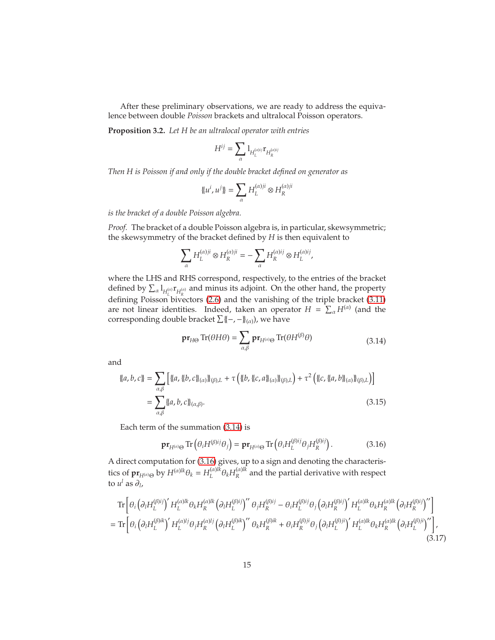After these preliminary observations, we are ready to address the equivalence between double *Poisson* brackets and ultralocal Poisson operators.

<span id="page-14-4"></span>**Proposition 3.2.** *Let H be an ultralocal operator with entries*

$$
H^{ij}=\sum_{\alpha}1_{H^{(\alpha)ij}_L}\mathbf{r}_{H^{(\alpha)ij}_R}
$$

*Then H is Poisson if and only if the double bracket defined on generator as*

$$
\{u^i, u^j\} = \sum_{\alpha} H_L^{(\alpha)ji} \otimes H_R^{(\alpha)ji}
$$

*is the bracket of a double Poisson algebra.*

*Proof.* The bracket of a double Poisson algebra is, in particular, skewsymmetric; the skewsymmetry of the bracket defined by *H* is then equivalent to

$$
\sum_{\alpha} H_L^{(\alpha)ji} \otimes H_R^{(\alpha)ji} = -\sum_{\alpha} H_R^{(\alpha)ij} \otimes H_L^{(\alpha)ij},
$$

where the LHS and RHS correspond, respectively, to the entries of the bracket defined by  $\sum_{\alpha} 1_{H_{R}^{(\alpha)}} \mathbf{r}_{H_{R}^{(\alpha)}}$  and minus its adjoint. On the other hand, the property defining Poisson bivectors [\(2.6\)](#page-7-0) and the vanishing of the triple bracket [\(3.11\)](#page-12-2) are not linear identities. Indeed, taken an operator  $H = \sum_{\alpha} H^{(\alpha)}$  (and the corresponding double bracket  $\sum {(-, -}^N_{(\alpha)})$ , we have

<span id="page-14-3"></span><span id="page-14-0"></span>
$$
\mathbf{pr}_{H\Theta} \operatorname{Tr}(\theta H \theta) = \sum_{\alpha,\beta} \mathbf{pr}_{H^{(\alpha)}\Theta} \operatorname{Tr}(\theta H^{(\beta)} \theta) \tag{3.14}
$$

and

$$
\{\{a, b, c\}\} = \sum_{\alpha, \beta} \left[ \{\{a, \{(b, c)\}_{(\alpha)}\}\}_{(\beta),L} + \tau \left( \{\{b, \{(c, a)\}_{(\alpha)}\}\}_{(\beta),L} \right) + \tau^2 \left( \{(c, \{(a, b)\}_{(\alpha)}\}\}_{(\beta),L} \right) \right]
$$
\n
$$
= \sum_{\alpha, \beta} \{\{a, b, c\}_{(\alpha, \beta)}.\tag{3.15}
$$

Each term of the summation [\(3.14\)](#page-14-0) is

<span id="page-14-2"></span><span id="page-14-1"></span>
$$
\mathbf{pr}_{H^{(\alpha)}\Theta} \operatorname{Tr}\left(\theta_i H^{(\beta)ij}\theta_j\right) = \mathbf{pr}_{H^{(\alpha)}\Theta} \operatorname{Tr}\left(\theta_i H_L^{(\beta)ij}\theta_j H_R^{(\beta)ij}\right). \tag{3.16}
$$

A direct computation for [\(3.16\)](#page-14-1) gives, up to a sign and denoting the characteristics of  $\mathbf{pr}_{H^{(\alpha)}\Theta}$  by  $H^{(\alpha)lk}\theta_k = H^{(\alpha)lk}_{L}$ *L* θ*kH* (α)*lk*  $R$ <sup>(*a*)<sup>*k*</sup></sup> and the partial derivative with respect to  $u^l$  as  $\partial_l$ ,

$$
\begin{split} &\text{Tr}\left[\theta_{i}\left(\partial_{l}H_{L}^{(\beta)i j}\right)'H_{L}^{(\alpha)lk}\theta_{k}H_{R}^{(\alpha)lk}\left(\partial_{l}H_{L}^{(\beta)ij}\right)''\theta_{j}H_{R}^{(\beta)ij}-\theta_{i}H_{L}^{(\beta)ij}\theta_{j}\left(\partial_{l}H_{R}^{(\beta)ij}\right)'H_{L}^{(\alpha)lk}\theta_{k}H_{R}^{(\alpha)lk}\left(\partial_{l}H_{R}^{(\beta)ij}\right)''\right] \\ &=\text{Tr}\left[\theta_{i}\left(\partial_{l}H_{L}^{(\beta)ik}\right)'H_{L}^{(\alpha)lj}\theta_{j}H_{R}^{(\alpha)lj}\left(\partial_{l}H_{L}^{(\beta)ik}\right)''\theta_{k}H_{R}^{(\beta)ik}+\theta_{i}H_{R}^{(\beta)ji}\theta_{j}\left(\partial_{l}H_{L}^{(\beta)ji}\right)'H_{L}^{(\alpha)lk}\theta_{k}H_{R}^{(\alpha)lk}\left(\partial_{l}H_{L}^{(\beta)ji}\right)''\right],\end{split} \tag{3.17}
$$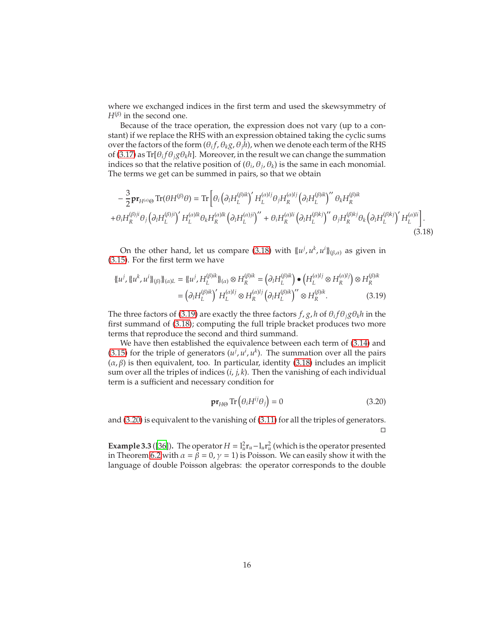where we exchanged indices in the first term and used the skewsymmetry of  $H^{(\beta)}$  in the second one.

Because of the trace operation, the expression does not vary (up to a constant) if we replace the RHS with an expression obtained taking the cyclic sums over the factors of the form  $(\theta_i f, \theta_k g, \theta_j h)$ , when we denote each term of the RHS of [\(3.17\)](#page-14-2) as  $\text{Tr}[\theta_i f \theta_j g \theta_k h]$ . Moreover, in the result we can change the summation indices so that the relative position of  $(\theta_i, \theta_j, \theta_k)$  is the same in each monomial. The terms we get can be summed in pairs, so that we obtain

$$
-\frac{3}{2}\mathbf{p}\mathbf{r}_{H^{(\alpha)}\Theta}\operatorname{Tr}(\theta H^{(\beta)}\theta) = \operatorname{Tr}\left[\theta_i\left(\partial_l H_L^{(\beta)ik}\right)'H_L^{(\alpha)lj}\theta_jH_R^{(\alpha)lj}\left(\partial_l H_L^{(\beta)ik}\right)''\theta_kH_R^{(\beta)ik}\right.\n\left.+\theta_iH_R^{(\beta)ji}\theta_j\left(\partial_l H_L^{(\beta)ji}\right)'H_L^{(\alpha)lk}\theta_kH_R^{(\alpha)lk}\left(\partial_l H_L^{(\alpha)ji}\right)''+\theta_iH_R^{(\alpha)li}\left(\partial_l H_L^{(\beta)kj}\right)''\theta_jH_R^{(\beta)kj}\theta_k\left(\partial_l H_L^{(\beta)kj}\right)'H_L^{(\alpha)li}\right].
$$
\n(3.18)

On the other hand, let us compare [\(3.18\)](#page-15-0) with  $\{u^j, u^k, u^i\}_{(\beta,\alpha)}$  as given in [\(3.15\)](#page-14-3). For the first term we have

$$
\{ \{u^j, \{ \{u^k, u^i \} \}_{(\beta)} \}_{\{\alpha\}L} = \{ \{u^j, H_L^{(\beta)ik} \}_{\{\alpha\}} \otimes H_R^{(\beta)ik} = (\partial_l H_L^{(\beta)ik}) \bullet \left( H_L^{(\alpha)lj} \otimes H_R^{(\alpha)lj} \right) \otimes H_R^{(\beta)ik}
$$

$$
= (\partial_l H_L^{(\beta)ik})' H_L^{(\alpha)lj} \otimes H_R^{(\alpha)lj} (\partial_l H_L^{(\beta)ik})'' \otimes H_R^{(\beta)ik}.
$$
(3.19)

The three factors of [\(3.19\)](#page-15-1) are exactly the three factors  $f$ ,  $g$ ,  $h$  of  $\theta_i f \theta_j g \theta_k h$  in the first summand of [\(3.18\)](#page-15-0); computing the full triple bracket produces two more terms that reproduce the second and third summand.

We have then established the equivalence between each term of [\(3.14\)](#page-14-0) and [\(3.15\)](#page-14-3) for the triple of generators  $(u^j, u^i, u^k)$ . The summation over all the pairs  $(\alpha, \beta)$  is then equivalent, too. In particular, identity [\(3.18\)](#page-15-0) includes an implicit sum over all the triples of indices (*i*, *j*, *k*). Then the vanishing of each individual term is a sufficient and necessary condition for

<span id="page-15-2"></span><span id="page-15-1"></span><span id="page-15-0"></span>
$$
\mathbf{pr}_{H\Theta} \operatorname{Tr} \left( \theta_i H^{ij} \theta_j \right) = 0 \tag{3.20}
$$

and [\(3.20\)](#page-15-2) is equivalent to the vanishing of [\(3.11\)](#page-12-2) for all the triples of generators.  $\Box$ 

**Example 3.3** ([\[36\]](#page-65-0)). The operator  $H = I_u^2 r_u - I_u r_u^2$  (which is the operator presented in Theorem [6.2](#page-44-0) with  $\alpha = \beta = 0$ ,  $\gamma = 1$ ) is Poisson. We can easily show it with the language of double Poisson algebras: the operator corresponds to the double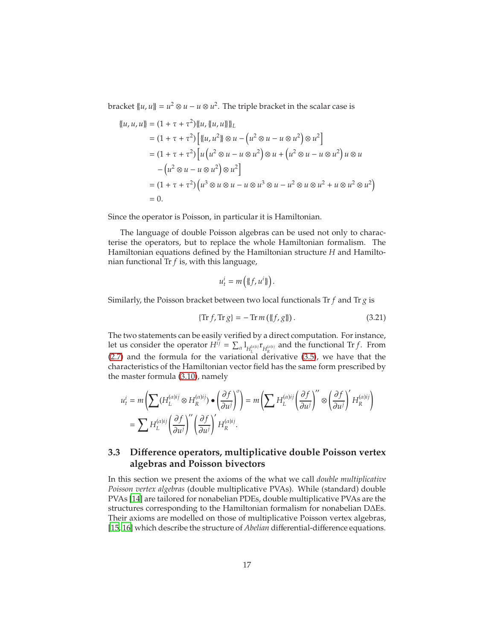bracket  $\{u, u\} = u^2 \otimes u - u \otimes u^2$ . The triple bracket in the scalar case is

$$
\begin{aligned} \n\{\{u, u, u\} = (1 + \tau + \tau^2) \{u, \{u, u\}\}\}_L \\ \n&= (1 + \tau + \tau^2) \left[ \{u, u^2\} \otimes u - \left(u^2 \otimes u - u \otimes u^2\right) \otimes u^2 \right] \\ \n&= (1 + \tau + \tau^2) \left[ u \left(u^2 \otimes u - u \otimes u^2\right) \otimes u + \left(u^2 \otimes u - u \otimes u^2\right) u \otimes u \right. \\ \n&\quad - \left(u^2 \otimes u - u \otimes u^2\right) \otimes u^2 \right] \\ \n&= (1 + \tau + \tau^2) \left(u^3 \otimes u \otimes u - u \otimes u^3 \otimes u - u^2 \otimes u \otimes u^2 + u \otimes u^2 \otimes u^2 \right) \\ \n&= 0. \n\end{aligned}
$$

Since the operator is Poisson, in particular it is Hamiltonian.

The language of double Poisson algebras can be used not only to characterise the operators, but to replace the whole Hamiltonian formalism. The Hamiltonian equations defined by the Hamiltonian structure *H* and Hamiltonian functional Tr *f* is, with this language,

<span id="page-16-1"></span>
$$
u_t^i = m\left(\{\!\{f,u^i\}\!\}\right).
$$

Similarly, the Poisson bracket between two local functionals Tr *f* and Tr *g* is

$$
\{\text{Tr } f, \text{Tr } g\} = -\text{Tr } m\left(\{f, g\}\right). \tag{3.21}
$$

The two statements can be easily verified by a direct computation. For instance, let us consider the operator  $H^{ij} = \sum_{\alpha} l_{H^{(\alpha)ij}_l} r_{H^{(\alpha)ij}_k}$  and the functional Tr *f*. From [\(2.7\)](#page-8-2) and the formula for the variational derivative [\(3.5\)](#page-10-1), we have that the characteristics of the Hamiltonian vector field has the same form prescribed by the master formula [\(3.10\)](#page-12-1), namely

$$
u_t^i = m \left( \sum (H_L^{(\alpha)ij} \otimes H_R^{(\alpha)ij}) \bullet \left( \frac{\partial f}{\partial u^j} \right)^{\sigma} \right) = m \left( \sum H_L^{(\alpha)ij} \left( \frac{\partial f}{\partial u^j} \right)^{\sigma} \otimes \left( \frac{\partial f}{\partial u^j} \right)^{\sigma} H_R^{(\alpha)ij} \right)
$$
  
= 
$$
\sum H_L^{(\alpha)ij} \left( \frac{\partial f}{\partial u^j} \right)^{\sigma} \left( \frac{\partial f}{\partial u^j} \right)^{\sigma} H_R^{(\alpha)ij}.
$$

### <span id="page-16-0"></span>**3.3 Di**ff**erence operators, multiplicative double Poisson vertex algebras and Poisson bivectors**

In this section we present the axioms of the what we call *double multiplicative Poisson vertex algebras* (double multiplicative PVAs). While (standard) double PVAs [\[14](#page-63-1)] are tailored for nonabelian PDEs, double multiplicative PVAs are the structures corresponding to the Hamiltonian formalism for nonabelian D∆Es. Their axioms are modelled on those of multiplicative Poisson vertex algebras, [\[15](#page-63-2), [16\]](#page-64-8) which describe the structure of *Abelian* differential-difference equations.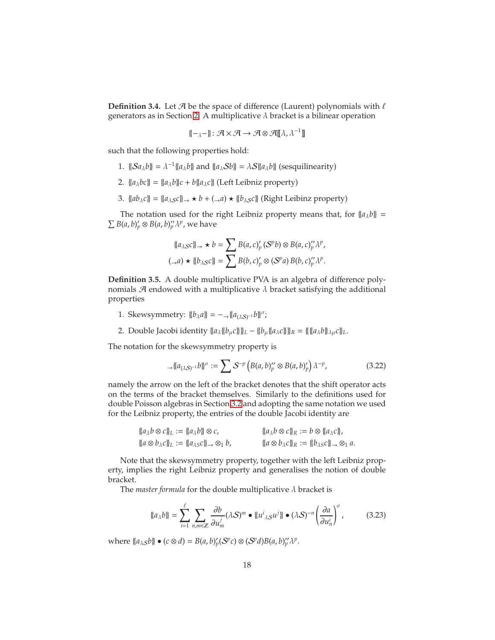<span id="page-17-3"></span>**Definition 3.4.** Let  $\mathcal{A}$  be the space of difference (Laurent) polynomials with  $\ell$ generators as in Section [2.](#page-3-0) A multiplicative  $\lambda$  bracket is a bilinear operation

$$
\{-\lambda^{-}\}: \mathcal{A} \times \mathcal{A} \to \mathcal{A} \otimes \mathcal{A}[\![\lambda,\lambda^{-1}]\!]
$$

such that the following properties hold:

- 1.  $\{\mathcal{S}a_{\lambda}b\} = \lambda^{-1}\{a_{\lambda}b\}$  and  $\{a_{\lambda}Sb\} = \lambda S\{a_{\lambda}b\}$  (sesquilinearity)
- 2.  ${a_{\lambda}bc}$  =  ${a_{\lambda}b}c + b{a_{\lambda}c}$  (Left Leibniz property)
- 3.  ${ab_{\lambda}c} = {a_{\lambda}sc} \rightarrow b + (\rightarrow a) \star {b_{\lambda}sc}$  (Right Leibinz property)

The notation used for the right Leibniz property means that, for  ${a_\lambda b} =$  $\sum B(a, b)'_p \otimes B(a, b)''_p \lambda^p$ , we have

$$
\begin{aligned} \n\{\{a_{\lambda S}c\}\}\n\rightarrow \star b &= \sum B(a,c)'_p \,(S^p b) \otimes B(a,c)'_p \,\lambda^p, \\ \n(\rightarrow a) \star \{\{b_{\lambda S}c\}\} &= \sum B(b,c)'_p \otimes (S^p a) \,B(b,c)'_p \,\lambda^p. \n\end{aligned}
$$

<span id="page-17-0"></span>**Definition 3.5.** A double multiplicative PVA is an algebra of difference polynomials  $\mathcal A$  endowed with a multiplicative  $\lambda$  bracket satisfying the additional properties

- 1. Skewsymmetry:  $\{b_{\lambda}a\} = -\lambda \{a_{(\lambda S)^{-1}}b\}$ <sup>*o*</sup>;
- 2. Double Jacobi identity  $\{a_{\lambda}\{b_{\mu}c\}\}_{L} \{b_{\mu}\{a_{\lambda}c\}\}_{R} = \{\{\{a_{\lambda}b\}_{\lambda\mu}c\}_{L}$ .

The notation for the skewsymmetry property is

<span id="page-17-1"></span>
$$
\mathcal{A}\left\{a_{(\lambda S)^{-1}}b\right\}^{\sigma} := \sum S^{-p}\left(B(a,b)'_p \otimes B(a,b)'_p\right)\lambda^{-p},\tag{3.22}
$$

namely the arrow on the left of the bracket denotes that the shift operator acts on the terms of the bracket themselves. Similarly to the definitions used for double Poisson algebras in Section [3.2](#page-12-0) and adopting the same notation we used for the Leibniz property, the entries of the double Jacobi identity are

$$
\begin{aligned}\n\{\{a_{\lambda}b\otimes c\}\}_L &:= \{\{a_{\lambda}b\}\}\otimes c, &\{\{a_{\lambda}b\otimes c\}\}_R &:= b\otimes \{\{a_{\lambda}c\}\}, \\
\{\{a\otimes b_{\lambda}c\}\}_L &:= \{\{a_{\lambda s}c\}\}\to \otimes_1 b, &\{\{a\otimes b_{\lambda}c\}\}_R &:= \{\{b_{\lambda s}c\}\}\to \otimes_1 a.\n\end{aligned}
$$

Note that the skewsymmetry property, together with the left Leibniz property, implies the right Leibniz property and generalises the notion of double bracket.

The *master formula* for the double multiplicative  $\lambda$  bracket is

<span id="page-17-2"></span>
$$
\{\!\{a_{\lambda}b\}\!\} = \sum_{i=1}^{\ell} \sum_{n,m \in \mathbb{Z}} \frac{\partial b}{\partial u_m^j} (\lambda S)^m \bullet \{\!\{u_{\lambda S}^i u^j\}\!\} \bullet (\lambda S)^{-n} \left(\frac{\partial a}{\partial u_n^i}\right)^{\sigma},\tag{3.23}
$$

where  $\{a_{\lambda S}b\} \bullet (c \otimes d) = B(a, b)'_p(S^pc) \otimes (S^pd)B(a, b)''_p \lambda^p$ .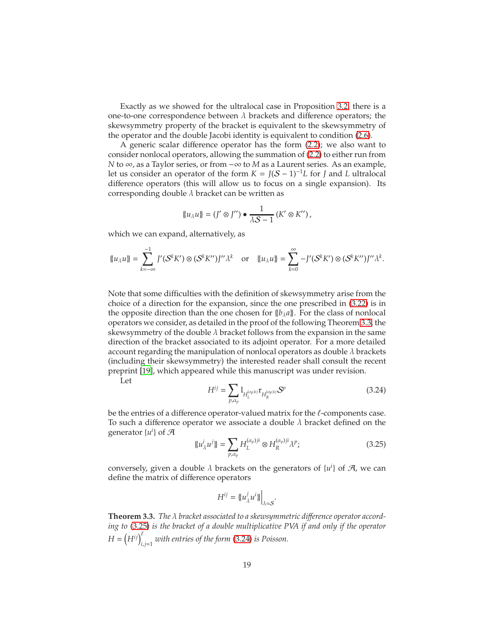Exactly as we showed for the ultralocal case in Proposition [3.2,](#page-14-4) there is a one-to-one correspondence between  $\lambda$  brackets and difference operators; the skewsymmetry property of the bracket is equivalent to the skewsymmetry of the operator and the double Jacobi identity is equivalent to condition [\(2.6\)](#page-7-0).

A generic scalar difference operator has the form [\(2.2\)](#page-4-0); we also want to consider nonlocal operators, allowing the summation of [\(2.2\)](#page-4-0) to either run from *N* to ∞, as a Taylor series, or from −∞ to *M* as a Laurent series. As an example, let us consider an operator of the form  $K = J(S-1)^{-1}L$  for *J* and *L* ultralocal difference operators (this will allow us to focus on a single expansion). Its corresponding double  $\lambda$  bracket can be written as

$$
\{u_\lambda u\} = (J' \otimes J'') \bullet \frac{1}{\lambda S - 1} (K' \otimes K''),
$$

which we can expand, alternatively, as

$$
\|u_{\lambda}u\|=\sum_{k=-\infty}^{-1}J'(S^kK')\otimes (S^kK'')J''\lambda^k\quad\text{or}\quad \|u_{\lambda}u\|=\sum_{k=0}^{\infty}-J'(S^kK')\otimes (S^kK'')J''\lambda^k.
$$

Note that some difficulties with the definition of skewsymmetry arise from the choice of a direction for the expansion, since the one prescribed in [\(3.22\)](#page-17-1) is in the opposite direction than the one chosen for  $\{\{b_\lambda a\}\}\$ . For the class of nonlocal operators we consider, as detailed in the proof of the following Theorem [3.3,](#page-18-0) the skewsymmetry of the double  $\lambda$  bracket follows from the expansion in the same direction of the bracket associated to its adjoint operator. For a more detailed account regarding the manipulation of nonlocal operators as double  $\lambda$  brackets (including their skewsymmetry) the interested reader shall consult the recent preprint [\[19\]](#page-64-9), which appeared while this manuscript was under revision.

Let

<span id="page-18-2"></span>
$$
H^{ij} = \sum_{p,\alpha_p} 1_{H_L^{(\alpha_p)ij}} \mathbf{r}_{H_R^{(\alpha_p)ij}} \mathcal{S}^p
$$
 (3.24)

be the entries of a difference operator-valued matrix for the ℓ-components case. To such a difference operator we associate a double  $\lambda$  bracket defined on the generator  $\{u^i\}$  of  $\mathcal{A}$ 

$$
\{u_{\lambda}^{i}u^{j}\} = \sum_{p,\alpha_{p}} H_{L}^{(\alpha_{p})ji} \otimes H_{R}^{(\alpha_{p})ji}\lambda^{p};
$$
\n(3.25)

conversely, given a double  $\lambda$  brackets on the generators of  $\{u^i\}$  of  $\mathcal{A}$ , we can define the matrix of difference operators

<span id="page-18-1"></span>
$$
H^{ij} = \{ \{ u^j_{\lambda} u^i \} \Big|_{\lambda = S}.
$$

<span id="page-18-0"></span>**Theorem 3.3.** *The* λ *bracket associated to a skewsymmetric di*ff*erence operator according to* [\(3.25\)](#page-18-1) *is the bracket of a double multiplicative PVA if and only if the operator*  $H = (H^{ij})_{i,j=1}^{\ell}$  with entries of the form [\(3.24\)](#page-18-2) is Poisson.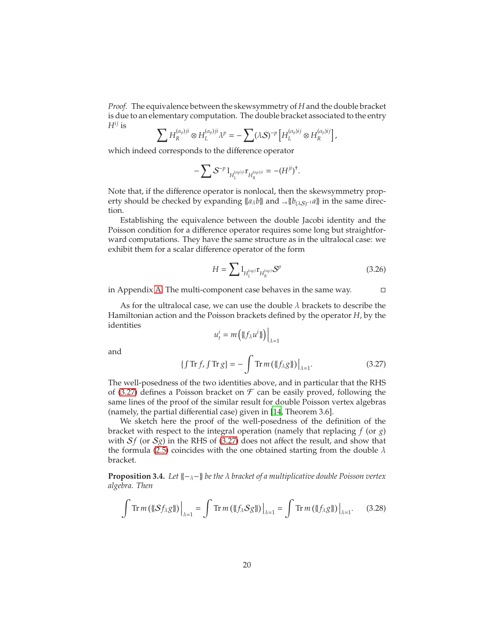*Proof.* The equivalence between the skewsymmetry of *H* and the double bracket is due to an elementary computation. The double bracket associated to the entry  $H^{ij}$  is

$$
\sum H_R^{(\alpha_p)ji} \otimes H_L^{(\alpha_p)ji} \lambda^p = -\sum (\lambda S)^{-p} \left[ H_L^{(\alpha_p)ij} \otimes H_R^{(\alpha_p)ij} \right],
$$

which indeed corresponds to the difference operator

$$
-\sum S^{-p} 1_{H_L^{(\alpha_p)j\bar{i}}}\mathbf{r}_{H_R^{(\alpha_p)j\bar{i}}} = -(H^{j\bar{i}})^{\dagger}.
$$

Note that, if the difference operator is nonlocal, then the skewsymmetry property should be checked by expanding  $\{a_{\lambda}b\}$  and  $\rightarrow \{b_{(\lambda S)^{-1}}a\}$  in the same direction.

Establishing the equivalence between the double Jacobi identity and the Poisson condition for a difference operator requires some long but straightforward computations. They have the same structure as in the ultralocal case: we exhibit them for a scalar difference operator of the form

<span id="page-19-2"></span>
$$
H = \sum \mathbf{1}_{H_L^{(\alpha_p)}} \mathbf{r}_{H_R^{(\alpha_p)}} \mathcal{S}^p \tag{3.26}
$$

in Appendix [A.](#page-54-0) The multi-component case behaves in the same way.

As for the ultralocal case, we can use the double  $\lambda$  brackets to describe the Hamiltonian action and the Poisson brackets defined by the operator *H*, by the identities

<span id="page-19-1"></span><span id="page-19-0"></span>
$$
u_t^i = m\left(\mathopen{\{\!\!\{}f_{\lambda}u^i\mathclose{\}\!\!\}}\right)\Big|_{\lambda=1}
$$

and

$$
\{\int \operatorname{Tr} f, \int \operatorname{Tr} g\} = -\int \operatorname{Tr} m \left( \{\!\{\!f_{\lambda} g\}\!\}\right) \Big|_{\lambda=1}.\tag{3.27}
$$

The well-posedness of the two identities above, and in particular that the RHS of [\(3.27\)](#page-19-0) defines a Poisson bracket on  $\mathcal F$  can be easily proved, following the same lines of the proof of the similar result for double Poisson vertex algebras (namely, the partial differential case) given in [\[14,](#page-63-1) Theorem 3.6].

We sketch here the proof of the well-posedness of the definition of the bracket with respect to the integral operation (namely that replacing *f* (or *g*) with  $S_f$  (or  $S_g$ ) in the RHS of [\(3.27\)](#page-19-0) does not affect the result, and show that the formula [\(2.5\)](#page-6-1) coincides with the one obtained starting from the double  $\lambda$ bracket.

**Proposition 3.4.** *Let* {{−λ−}} *be the* λ *bracket of a multiplicative double Poisson vertex algebra. Then*

$$
\int \operatorname{Tr} m\left(\left\{\left(\mathcal{S}f_{\lambda}\mathcal{G}\right\}\right)\right)_{\lambda=1} = \int \operatorname{Tr} m\left(\left\{\left\{f_{\lambda}\mathcal{S}\mathcal{G}\right\}\right\}\right)_{\lambda=1} = \int \operatorname{Tr} m\left(\left\{\left\{f_{\lambda}\mathcal{G}\right\}\right\}\right)_{\lambda=1}.
$$
 (3.28)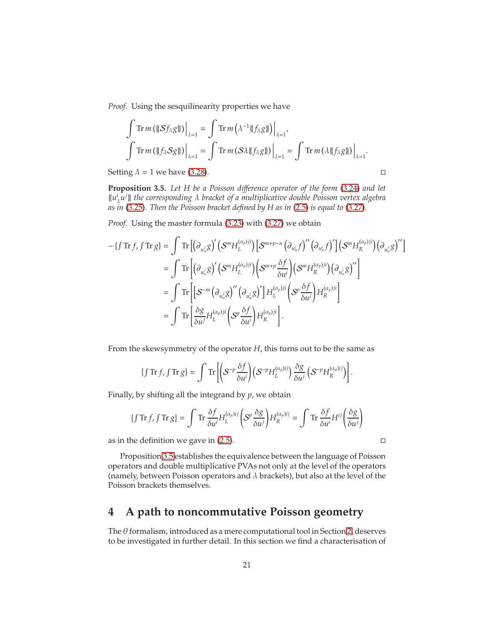*Proof.* Using the sesquilinearity properties we have

$$
\int \operatorname{Tr} m \left( \left\{ \left\langle S f_{\lambda} g \right\} \right\rangle \right|_{\lambda=1} = \int \operatorname{Tr} m \left( \lambda^{-1} \left\{ \left\langle f_{\lambda} g \right\rangle \right\} \right|_{\lambda=1},
$$
\n
$$
\int \operatorname{Tr} m \left( \left\{ \left\langle f_{\lambda} S g \right\rangle \right\} \right|_{\lambda=1} = \int \operatorname{Tr} m \left( S \lambda \left\{ \left\langle f_{\lambda} g \right\rangle \right\} \right|_{\lambda=1} = \int \operatorname{Tr} m \left( \lambda \left\{ \left\langle f_{\lambda} g \right\rangle \right\} \right|_{\lambda=1}.
$$

Setting  $\lambda = 1$  we have [\(3.28\)](#page-19-1).

<span id="page-20-1"></span>**Proposition 3.5.** *Let H be a Poisson di*ff*erence operator of the form* [\(3.24\)](#page-18-2) *and let* {{*u i* λ *u j* }} *the corresponding* λ *bracket of a multiplicative double Poisson vertex algebra as in* [\(3.25\)](#page-18-1)*. Then the Poisson bracket defined by H as in* [\(2.5\)](#page-6-1) *is equal to* [\(3.27\)](#page-19-0)*.*

*Proof.* Using the master formula [\(3.23\)](#page-17-2) with [\(3.27\)](#page-19-0) we obtain

$$
- \{f \operatorname{Tr} f, f \operatorname{Tr} g\} = \int \operatorname{Tr} \left[ \left( \partial_{u_n^j} g \right)' \left( S^m H_L^{(\alpha_p)ji} \right) \left[ S^{m+p-n} \left( \partial_{u_n^i} f \right)'' \left( \partial_{u_n^i} f \right)' \right] \left( S^m H_R^{(\alpha_p)ji} \right) \left( \partial_{u_n^j} g \right)'' \right]
$$
  
\n
$$
= \int \operatorname{Tr} \left[ \left( \partial_{u_n^j} g \right)' \left( S^m H_L^{(\alpha_p)ji} \right) \left( S^{m+p} \frac{\delta f}{\delta u^i} \right) \left( S^m H_R^{(\alpha_p)ji} \right) \left( \partial_{u_n^j} g \right)'' \right]
$$
  
\n
$$
= \int \operatorname{Tr} \left[ \left[ S^{-m} \left( \partial_{u_n^j} g \right)'' \left( \partial_{u_n^j} g \right)' \right] H_L^{(\alpha_p)ji} \left( S^p \frac{\delta f}{\delta u^i} \right) H_R^{(\alpha_p)ji} \right]
$$
  
\n
$$
= \int \operatorname{Tr} \left[ \frac{\delta g}{\delta u^j} H_L^{(\alpha_p)ji} \left( S^p \frac{\delta f}{\delta u^i} \right) H_R^{(\alpha_p)ji} \right].
$$

From the skewsymmetry of the operator *H*, this turns out to be the same as

$$
\{\int \operatorname{Tr} f, \int \operatorname{Tr} g\} = \int \operatorname{Tr} \left[ \left( S^{-p} \frac{\delta f}{\delta u^i} \right) \left( S^{-p} H_L^{(\alpha_p)ij} \right) \frac{\delta g}{\delta u^j} \left( S^{-p} H_R^{(\alpha_p)ij} \right) \right].
$$

Finally, by shifting all the integrand by *p*, we obtain

$$
\{\int \operatorname{Tr} f, \int \operatorname{Tr} g\} = \int \operatorname{Tr} \frac{\delta f}{\delta u^i} H_L^{(\alpha_p)ij} \left( S^p \frac{\delta g}{\delta u^j} \right) H_R^{(\alpha_p)ij} = \int \operatorname{Tr} \frac{\delta f}{\delta u^i} H^{ij} \left( \frac{\delta g}{\delta u^j} \right)
$$

as in the definition we gave in  $(2.5)$ .

Proposition [3.5](#page-20-1) establishes the equivalence between the language of Poisson operators and double multiplicative PVAs not only at the level of the operators (namely, between Poisson operators and  $\lambda$  brackets), but also at the level of the Poisson brackets themselves.

## <span id="page-20-0"></span>**4 A path to noncommutative Poisson geometry**

The  $\theta$  formalism, introduced as a mere computational tool in Section [2,](#page-3-0) deserves to be investigated in further detail. In this section we find a characterisation of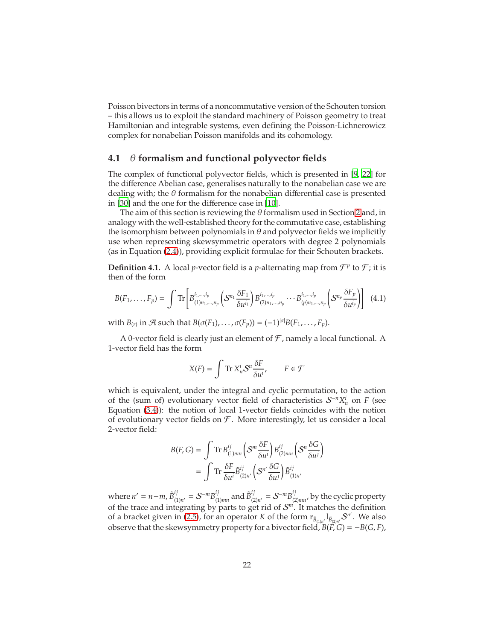Poisson bivectors in terms of a noncommutative version of the Schouten torsion – this allows us to exploit the standard machinery of Poisson geometry to treat Hamiltonian and integrable systems, even defining the Poisson-Lichnerowicz complex for nonabelian Poisson manifolds and its cohomology.

### <span id="page-21-0"></span>**4.1** θ **formalism and functional polyvector fields**

The complex of functional polyvector fields, which is presented in [\[9,](#page-63-3) [22](#page-64-10)] for the difference Abelian case, generalises naturally to the nonabelian case we are dealing with; the  $\theta$  formalism for the nonabelian differential case is presented in [\[30](#page-64-4)] and the one for the difference case in [\[10\]](#page-63-0).

The aim of this section is reviewing the  $\theta$  formalism used in Section [2](#page-3-0) and, in analogy with the well-established theory for the commutative case, establishing the isomorphism between polynomials in  $\theta$  and polyvector fields we implicitly use when representing skewsymmetric operators with degree 2 polynomials (as in Equation [\(2.4\)](#page-6-2)), providing explicit formulae for their Schouten brackets.

**Definition 4.1.** A local *p*-vector field is a *p*-alternating map from  $\mathcal{F}^p$  to  $\mathcal{F}$ ; it is then of the form

$$
B(F_1, \ldots, F_p) = \int \text{Tr} \left[ B^{i_1, \ldots, i_p}_{(1) n_1, \ldots, n_p} \left( S^{n_1} \frac{\delta F_1}{\delta u^{i_1}} \right) B^{i_1, \ldots, i_p}_{(2) n_1, \ldots, n_p} \cdots B^{i_1, \ldots, i_p}_{(p) n_1, \ldots, n_p} \left( S^{n_p} \frac{\delta F_p}{\delta u^{i_p}} \right) \right] \tag{4.1}
$$

with  $B(r)$  in  $\mathcal A$  such that  $B(\sigma(F_1), \ldots, \sigma(F_p)) = (-1)^{|\sigma|} B(F_1, \ldots, F_p)$ .

A 0-vector field is clearly just an element of  $\mathcal F$ , namely a local functional. A 1-vector field has the form

<span id="page-21-1"></span>
$$
X(F) = \int \text{Tr}\, X_n^i S^n \frac{\delta F}{\delta u^i}, \qquad F \in \mathcal{F}
$$

which is equivalent, under the integral and cyclic permutation, to the action of the (sum of) evolutionary vector field of characteristics  $S^{-n}X_n^i$  on *F* (see Equation [\(3.4\)](#page-10-2)): the notion of local 1-vector fields coincides with the notion of evolutionary vector fields on  $\mathcal F$ . More interestingly, let us consider a local 2-vector field:

$$
B(F, G) = \int \text{Tr } B_{(1)mn}^{ij} \left( S^m \frac{\delta F}{\delta u^i} \right) B_{(2)mn}^{ij} \left( S^n \frac{\delta G}{\delta u^j} \right)
$$
  
= 
$$
\int \text{Tr } \frac{\delta F}{\delta u^i} \tilde{B}_{(2) n'}^{ij} \left( S^{n'} \frac{\delta G}{\delta u^j} \right) \tilde{B}_{(1) n'}^{ij}
$$

where  $n' = n-m$ ,  $\tilde{B}_{1}^{ij}$  $j_{(1)n'}$  =  $S^{-m}B_{(1)}^{ij}$  $_{(1)mn}^{ij}$  and  $\tilde{B}_{(2)}^{ij}$  $j_{(2)n'}$  =  $S^{-m}B^{ij}_{(2)}$  $\sum_{(2)mn}^{U}$ , by the cyclic property of the trace and integrating by parts to get rid of  $S<sup>m</sup>$ . It matches the definition of a bracket given in [\(2.5\)](#page-6-1), for an operator *K* of the form  $r_{\tilde{B}_{(1)n'}} l_{\tilde{B}_{(2)n'}} S^{n'}$ . We also observe that the skewsymmetry property for a bivector field,  $B(F, G) = -B(G, F)$ ,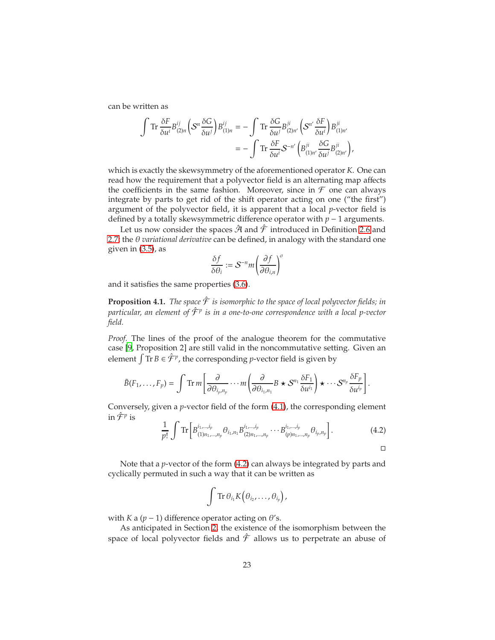can be written as

$$
\int \operatorname{Tr} \frac{\delta F}{\delta u^i} B^{ij}_{(2)n} \left( S^n \frac{\delta G}{\delta u^j} \right) B^{ij}_{(1)n} = - \int \operatorname{Tr} \frac{\delta G}{\delta u^j} B^{ji}_{(2)n'} \left( S^{n'} \frac{\delta F}{\delta u^i} \right) B^{ji}_{(1)n'} \n= - \int \operatorname{Tr} \frac{\delta F}{\delta u^i} S^{-n'} \left( B^{ji}_{(1)n'} \frac{\delta G}{\delta u^j} B^{ji}_{(2)n'} \right),
$$

which is exactly the skewsymmetry of the aforementioned operator *K*. One can read how the requirement that a polyvector field is an alternating map affects the coefficients in the same fashion. Moreover, since in  $\mathcal F$  one can always integrate by parts to get rid of the shift operator acting on one ("the first") argument of the polyvector field, it is apparent that a local *p*-vector field is defined by a totally skewsymmetric difference operator with *p* − 1 arguments.

Let us now consider the spaces  $\hat{\mathcal{A}}$  and  $\hat{\mathcal{F}}$  introduced in Definition [2.6](#page-5-1) and [2.7;](#page-6-0) the θ *variational derivative* can be defined, in analogy with the standard one given in [\(3.5\)](#page-10-1), as

$$
\frac{\delta f}{\delta \theta_i} := \mathcal{S}^{-n} m \left( \frac{\partial f}{\partial \theta_{i,n}} \right)^{\sigma}
$$

and it satisfies the same properties [\(3.6\)](#page-10-4).

**Proposition 4.1.** *The space*  $\hat{\mathcal{F}}$  *is isomorphic to the space of local polyvector fields; in particular, an element of* Fˆ *<sup>p</sup> is in a one-to-one correspondence with a local p-vector field.*

*Proof.* The lines of the proof of the analogue theorem for the commutative case [\[9](#page-63-3), Proposition 2] are still valid in the noncommutative setting. Given an element  $\int \text{Tr } B \in \hat{\mathcal{F}}^p$ , the corresponding *p*-vector field is given by

$$
\tilde{B}(F_1,\ldots,F_p)=\int \mathrm{Tr}\, m\left[\frac{\partial}{\partial\theta_{i_p,n_p}}\cdots m\left(\frac{\partial}{\partial\theta_{i_1,n_1}}B\star\mathcal{S}^{n_1}\frac{\delta F_1}{\delta u^{i_1}}\right)\star\cdots\mathcal{S}^{n_p}\frac{\delta F_p}{\delta u^{i_p}}\right]
$$

Conversely, given a *p*-vector field of the form [\(4.1\)](#page-21-1), the corresponding element in  $\hat{\mathcal{F}}^p$  is

$$
\frac{1}{p!} \int \text{Tr} \left[ B_{(1)n_1,...,n_p}^{i_1,...,i_p} \theta_{i_1,n_1} B_{(2)n_1,...,n_p}^{i_1,...,i_p} \cdots B_{(p)n_1,...,n_p}^{i_1,...,i_p} \theta_{i_p,n_p} \right]. \tag{4.2}
$$

<span id="page-22-0"></span>.

Note that a *p*-vector of the form [\(4.2\)](#page-22-0) can always be integrated by parts and cyclically permuted in such a way that it can be written as

$$
\int \mathrm{Tr}\,\theta_{i_1} K\big(\theta_{i_2},\ldots,\theta_{i_p}\big),\,
$$

with *K* a ( $p - 1$ ) difference operator acting on  $\theta$ 's.

As anticipated in Section [2,](#page-3-0) the existence of the isomorphism between the space of local polyvector fields and  $\hat{\mathcal{F}}$  allows us to perpetrate an abuse of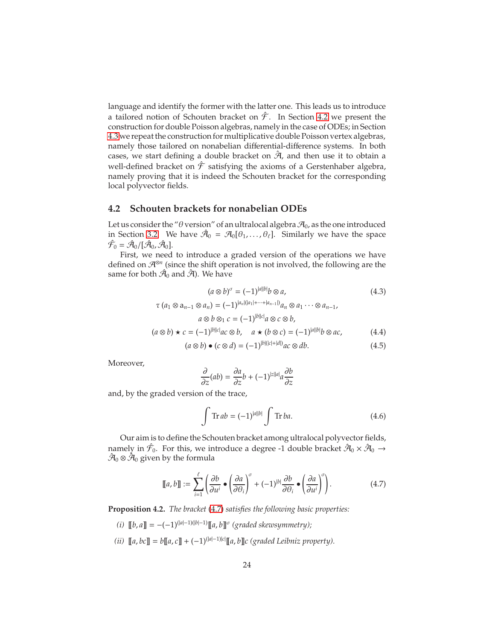language and identify the former with the latter one. This leads us to introduce a tailored notion of Schouten bracket on  $\hat{\mathcal{F}}$ . In Section [4.2](#page-23-0) we present the construction for double Poisson algebras, namely in the case of ODEs; in Section [4.3](#page-28-0) we repeat the construction for multiplicative double Poisson vertex algebras, namely those tailored on nonabelian differential-difference systems. In both cases, we start defining a double bracket on  $\hat{\mathcal{A}}$ , and then use it to obtain a well-defined bracket on  $\hat{\mathcal{F}}$  satisfying the axioms of a Gerstenhaber algebra, namely proving that it is indeed the Schouten bracket for the corresponding local polyvector fields.

### <span id="page-23-0"></span>**4.2 Schouten brackets for nonabelian ODEs**

Let us consider the " $\theta$  version" of an ultralocal algebra  $\mathcal{A}_0$ , as the one introduced in Section [3.2.](#page-12-0) We have  $\hat{\mathcal{A}}_0 = \mathcal{A}_0[\theta_1,\ldots,\theta_\ell]$ . Similarly we have the space  $\hat{\mathcal{F}}_0 = \hat{\mathcal{A}}_0/[\hat{\mathcal{A}}_0, \hat{\mathcal{A}}_0].$ 

First, we need to introduce a graded version of the operations we have defined on A⊗*<sup>n</sup>* (since the shift operation is not involved, the following are the same for both  $\hat{\mathcal{A}}_0$  and  $\hat{\mathcal{A}}$ ). We have

$$
(a \otimes b)^{\sigma} = (-1)^{|a||b|}b \otimes a,
$$
  
\n
$$
\tau (a_1 \otimes a_{n-1} \otimes a_n) = (-1)^{|a_n|(|a_1| + \dots + |a_{n-1}|)} a_n \otimes a_1 \dots \otimes a_{n-1},
$$
  
\n
$$
a \otimes b \otimes_1 c = (-1)^{|b||c|}a \otimes c \otimes b,
$$
  
\n
$$
(a \otimes b) \star c = (-1)^{|b||c|}ac \otimes b, \quad a \star (b \otimes c) = (-1)^{|a||b|}b \otimes ac,
$$
  
\n
$$
(4.4)
$$

$$
(a \otimes b) \bullet (c \otimes d) = (-1)^{|b|(|c|+|d|)} ac \otimes db.
$$
 (4.5)

Moreover,

<span id="page-23-6"></span><span id="page-23-3"></span><span id="page-23-2"></span>
$$
\frac{\partial}{\partial z}(ab) = \frac{\partial a}{\partial z}b + (-1)^{|z||a|}a\frac{\partial b}{\partial z}
$$

and, by the graded version of the trace,

<span id="page-23-5"></span><span id="page-23-1"></span>
$$
\int \operatorname{Tr} ab = (-1)^{|a||b|} \int \operatorname{Tr} ba.
$$
\n(4.6)

Our aim is to define the Schouten bracket among ultralocal polyvector fields, namely in  $\hat{\mathcal{F}}_0$ . For this, we introduce a degree -1 double bracket  $\hat{\mathcal{A}}_0\times\hat{\mathcal{A}}_0\to$  $\hat{\mathcal{A}}_0 \otimes \hat{\mathcal{A}}_0$  given by the formula

$$
\llbracket a, b \rrbracket := \sum_{i=1}^{\ell} \left( \frac{\partial b}{\partial u^i} \bullet \left( \frac{\partial a}{\partial \theta_i} \right)^{\sigma} + (-1)^{|b|} \frac{\partial b}{\partial \theta_i} \bullet \left( \frac{\partial a}{\partial u^i} \right)^{\sigma} \right).
$$
 (4.7)

<span id="page-23-4"></span>**Proposition 4.2.** *The bracket* [\(4.7\)](#page-23-1) *satisfies the following basic properties:*

- (*i*)  $[[b, a]] = -(-1)^{(|a|-1)(|b|-1)}[[a, b]]<sup>σ</sup>$  (*graded skewsymmetry*);
- (*ii*)  $[[a, bc]] = b[[a, c]] + (-1)^{(|a|-1)|c|}[[a, b]]c$  (graded Leibniz property).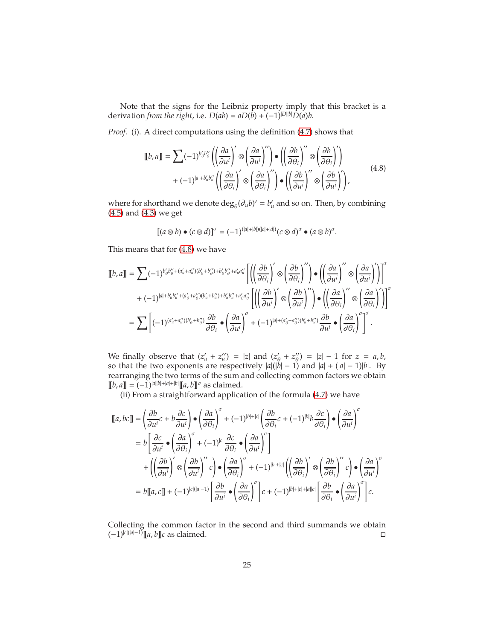Note that the signs for the Leibniz property imply that this bracket is a derivation *from the right*, i.e.  $D(ab) = aD(b) + (-1)^{|D||b|}D(a)b$ .

*Proof.* (i). A direct computations using the definition [\(4.7\)](#page-23-1) shows that

$$
\llbracket b, a \rrbracket = \sum (-1)^{b'_{0}b''_{0}} \left( \left( \frac{\partial a}{\partial u^{i}} \right)' \otimes \left( \frac{\partial a}{\partial u^{i}} \right)'' \right) \bullet \left( \left( \frac{\partial b}{\partial \theta_{i}} \right)'' \otimes \left( \frac{\partial b}{\partial \theta_{i}} \right)' \right) + (-1)^{|a|+b'_{u}b''_{u}} \left( \left( \frac{\partial a}{\partial \theta_{i}} \right)' \otimes \left( \frac{\partial a}{\partial \theta_{i}} \right)'' \right) \bullet \left( \left( \frac{\partial b}{\partial u^{i}} \right)'' \otimes \left( \frac{\partial b}{\partial u^{i}} \right)' \right),
$$
(4.8)

where for shorthand we denote  $\deg_{\theta}(\partial_u b)' = b'_u$  and so on. Then, by combining [\(4.5\)](#page-23-2) and [\(4.3\)](#page-23-3) we get

<span id="page-24-0"></span>
$$
[(a\otimes b)\bullet (c\otimes d)]^{\sigma}=(-1)^{(|a|+|b|)(|c|+|d|)}(c\otimes d)^{\sigma}\bullet (a\otimes b)^{\sigma}.
$$

This means that for [\(4.8\)](#page-24-0) we have

$$
\llbracket b, a \rrbracket = \sum (-1)^{b_0' b_0'' + (a_u' + a_u'') (b_0' + b_0'') + b_0' b_0'' + a_u' a_u''} \left[ \left( \left( \frac{\partial b}{\partial \theta_i} \right)' \otimes \left( \frac{\partial b}{\partial \theta_i} \right)'' \right) \bullet \left( \left( \frac{\partial a}{\partial u^i} \right)'' \otimes \left( \frac{\partial a}{\partial u^i} \right)' \right) \right]^{\sigma} + (-1)^{|a| + b_u' b_u'' + (a_0' + a_0'') (b_u' + b_u'') + b_u' b_u'' + a_0' a_0''} \left[ \left( \left( \frac{\partial b}{\partial u^i} \right)' \otimes \left( \frac{\partial b}{\partial u^i} \right)'' \right) \bullet \left( \left( \frac{\partial a}{\partial \theta_i} \right)'' \otimes \left( \frac{\partial a}{\partial \theta_i} \right)' \right) \right]^{\sigma} = \sum \left[ (-1)^{(a_u' + a_u'') (b_0' + b_0'')} \frac{\partial b}{\partial \theta_i} \bullet \left( \frac{\partial a}{\partial u^i} \right)^{\sigma} + (-1)^{|a| + (a_0' + a_0'') (b_u' + b_u'')} \frac{\partial b}{\partial u^i} \bullet \left( \frac{\partial a}{\partial \theta_i} \right)^{\sigma} \right]^{\sigma}.
$$

We finally observe that  $(z'_u + z''_u) = |z|$  and  $(z'_\ell)$  $\frac{\partial}{\partial t} + z''_{\theta}$  $\binom{n}{\theta} = |z| - 1$  for  $z = a, b$ , so that the two exponents are respectively |*a*|(|*b*| − 1) and |*a*| + (|*a*| − 1)|*b*|. By rearranging the two terms of the sum and collecting common factors we obtain  $[[b, a]] = (-1)^{|a||b| + |a| + |b|} [[a, b]]^{\sigma}$  as claimed.

(ii) From a straightforward application of the formula [\(4.7\)](#page-23-1) we have

$$
\llbracket a, bc \rrbracket = \left( \frac{\partial b}{\partial u^{i}} c + b \frac{\partial c}{\partial u^{i}} \right) \bullet \left( \frac{\partial a}{\partial \theta_{i}} \right)^{\sigma} + (-1)^{|b| + |c|} \left( \frac{\partial b}{\partial \theta_{i}} c + (-1)^{|b|} b \frac{\partial c}{\partial \theta_{i}} \right) \bullet \left( \frac{\partial a}{\partial u^{i}} \right)^{\sigma}
$$
\n
$$
= b \left[ \frac{\partial c}{\partial u^{i}} \bullet \left( \frac{\partial a}{\partial \theta_{i}} \right)^{\sigma} + (-1)^{|c|} \frac{\partial c}{\partial \theta_{i}} \bullet \left( \frac{\partial a}{\partial u^{i}} \right)^{\sigma} \right]
$$
\n
$$
+ \left( \left( \frac{\partial b}{\partial u^{i}} \right)^{i} \otimes \left( \frac{\partial b}{\partial u^{i}} \right)^{i'} c \right) \bullet \left( \frac{\partial a}{\partial \theta_{i}} \right)^{\sigma} + (-1)^{|b| + |c|} \left( \left( \frac{\partial b}{\partial \theta_{i}} \right)^{i} \otimes \left( \frac{\partial b}{\partial \theta_{i}} \right)^{i'} c \right) \bullet \left( \frac{\partial a}{\partial u^{i}} \right)^{\sigma}
$$
\n
$$
= b \llbracket a, c \rrbracket + (-1)^{|c|(|a|-1)} \left[ \frac{\partial b}{\partial u^{i}} \bullet \left( \frac{\partial a}{\partial \theta_{i}} \right)^{\sigma} \right] c + (-1)^{|b| + |c| + |a||c|} \left[ \frac{\partial b}{\partial \theta_{i}} \bullet \left( \frac{\partial a}{\partial u^{i}} \right)^{\sigma} \right] c.
$$

Collecting the common factor in the second and third summands we obtain  $(-1)^{|c|(|a|-1)}$ [[a, b]]c as claimed.  $□$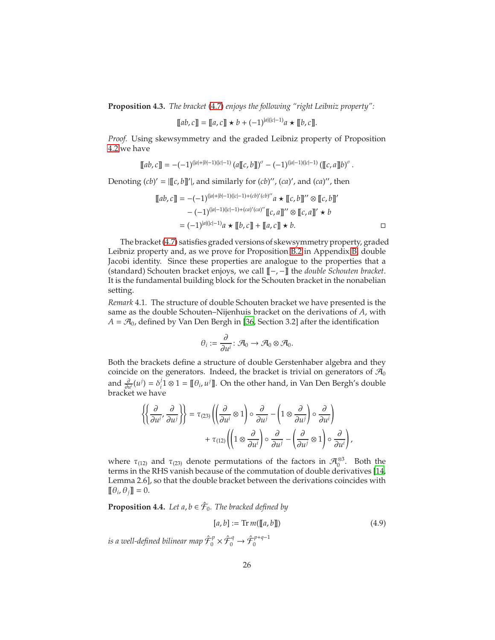**Proposition 4.3.** *The bracket* [\(4.7\)](#page-23-1) *enjoys the following "right Leibniz property":*

$$
[[ab, c]] = [[a, c]] \star b + (-1)^{|a|(|c|-1)} a \star [[b, c]].
$$

*Proof.* Using skewsymmetry and the graded Leibniz property of Proposition [4.2](#page-23-4) we have

$$
[\![ab,c]\!] = -(-1)^{(|a|+|b|-1)(|c|-1)} \left(a [\![c,b]\!]\right)^\sigma - (-1)^{(|a|-1)(|c|-1)} \left([\![c,a]\!]\!|b\right)^\sigma.
$$

Denoting  $(cb)' = |[[c, b]]'|$ , and similarly for  $(cb)''$ ,  $(ca)'$ , and  $(ca)''$ , then

$$
[[ab, c]] = -(-1)^{(|a|+|b|-1)(|c|-1)+(cb)'(cb)''}a \star [[c, b]]'' \otimes [[c, b]]'
$$
  

$$
-(-1)^{(|a|-1)(|c|-1)+(ca)'(ca)''}[[c, a]]'' \otimes [[c, a]]' \star b
$$
  

$$
= (-1)^{|a|(|c|-1)}a \star [[b, c]] + [[a, c]] \star b.
$$

The bracket [\(4.7\)](#page-23-1) satisfies graded versions of skewsymmetryproperty, graded Leibniz property and, as we prove for Proposition [B.2](#page-58-0) in Appendix [B,](#page-57-0) double Jacobi identity. Since these properties are analogue to the properties that a (standard) Schouten bracket enjoys, we call [[−, −]] the *double Schouten bracket*. It is the fundamental building block for the Schouten bracket in the nonabelian setting.

*Remark* 4.1*.* The structure of double Schouten bracket we have presented is the same as the double Schouten–Nijenhuis bracket on the derivations of *A*, with  $A = \mathcal{A}_0$ , defined by Van Den Bergh in [\[36](#page-65-0), Section 3.2] after the identification

$$
\theta_i := \frac{\partial}{\partial u^i} \colon \mathcal{A}_0 \to \mathcal{A}_0 \otimes \mathcal{A}_0.
$$

Both the brackets define a structure of double Gerstenhaber algebra and they coincide on the generators. Indeed, the bracket is trivial on generators of  $\mathcal{A}_0$ and  $\frac{\partial}{\partial u^i}(u^j) = \delta_i^j$  $J_i^j$ 1 ⊗ 1 =  $[\![\theta_i, u^j]\!]$ . On the other hand, in Van Den Bergh's double bracket we have

$$
\left\{ \left\{ \frac{\partial}{\partial u^i}, \frac{\partial}{\partial u^j} \right\} \right\} = \tau_{(23)} \left( \left( \frac{\partial}{\partial u^i} \otimes 1 \right) \circ \frac{\partial}{\partial u^j} - \left( 1 \otimes \frac{\partial}{\partial u^j} \right) \circ \frac{\partial}{\partial u^i} \right) + \tau_{(12)} \left( \left( 1 \otimes \frac{\partial}{\partial u^i} \right) \circ \frac{\partial}{\partial u^j} - \left( \frac{\partial}{\partial u^j} \otimes 1 \right) \circ \frac{\partial}{\partial u^i} \right),
$$

where  $\tau_{(12)}$  and  $\tau_{(23)}$  denote permutations of the factors in  $\mathcal{A}_0^{\otimes 3}$ . Both the terms in the RHS vanish because of the commutation of double derivatives [\[14,](#page-63-1) Lemma 2.6], so that the double bracket between the derivations coincides with  $[\![\theta_i, \theta_j]\!] = 0.$ 

<span id="page-25-1"></span>**Proposition 4.4.** Let  $a, b \in \hat{\mathcal{F}}_0$ . The bracked defined by

<span id="page-25-0"></span>
$$
[a, b] := \text{Tr } m([\![a, b]\!]) \tag{4.9}
$$

is a well-defined bilinear map  $\hat{\cal F}_0^p$  $\hat{\mathcal{F}}_0^p \times \hat{\mathcal{F}}_0^q \to \hat{\mathcal{F}}_0^{p+q-1}$  $\mathbf{0}$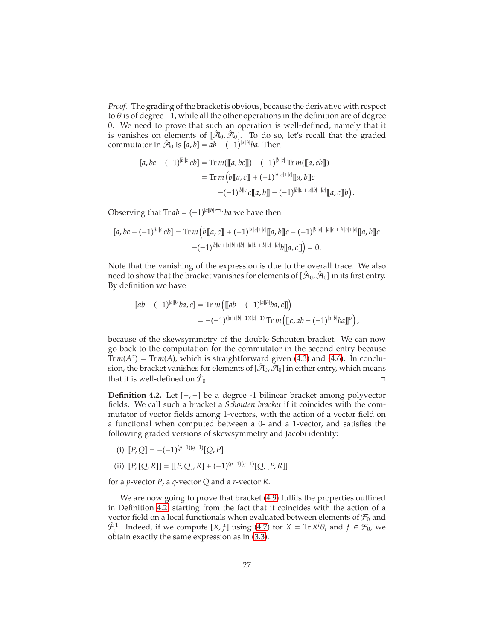*Proof.* The grading of the bracket is obvious, because the derivative with respect to  $\theta$  is of degree -1, while all the other operations in the definition are of degree 0. We need to prove that such an operation is well-defined, namely that it is vanishes on elements of  $[\hat{\mathcal{A}}_0, \hat{\mathcal{A}}_0]$ . To do so, let's recall that the graded commutator in  $\hat{\mathcal{A}}_0$  is  $[a, b] = ab - (-1)^{|a||b|}ba$ . Then

$$
[a, bc - (-1)^{|b||c|}cb] = \text{Tr } m([\![a, bc]\!]) - (-1)^{|b||c|} \text{Tr } m([\![a, cb]\!])
$$
  
= 
$$
\text{Tr } m\left(b[\![a, c]\!] + (-1)^{|a||c|+|c|} [\![a, b]\!]c
$$
  

$$
-(-1)^{|b||c|}c[\![a, b]\!] - (-1)^{|b||c|+|a||b|+|b|}[\![a, c]\!]b\right).
$$

Observing that  $\text{Tr } ab = (-1)^{|a||b|} \text{Tr } ba$  we have then

$$
[a, bc - (-1)^{|b||c|}cb] = \text{Tr}\,m\left(b[[a, c]] + (-1)^{|a||c|+|c|}[[a, b]]c - (-1)^{|b||c|+|a||c|+|b||c|+|c|}[[a, b]]c\right) -(-1)^{|b||c|+|a||b|+|b|+|b||c|+|b|}b[[a, c]]) = 0.
$$

Note that the vanishing of the expression is due to the overall trace. We also need to show that the bracket vanishes for elements of  $[\hat{\mathcal{A}}_0,\hat{\mathcal{A}}_0]$  in its first entry. By definition we have

$$
[ab - (-1)^{|a||b|}ba, c] = \text{Tr}\,m\left(\llbracket ab - (-1)^{|a||b|}ba, c\rrbracket\right)
$$
  
= -(-1)<sup>(|a|+|b|-1)(|c|-1)</sup> Tr  $m\left(\llbracket c, ab - (-1)^{|a||b|}ba\rrbracket^{\sigma}\right),$ 

because of the skewsymmetry of the double Schouten bracket. We can now go back to the computation for the commutator in the second entry because Tr  $m(A^{\sigma}) = Tr m(A)$ , which is straightforward given [\(4.3\)](#page-23-3) and [\(4.6\)](#page-23-5). In conclusion, the bracket vanishes for elements of  $[\hat{\mathcal{A}}_0,\hat{\check{\mathcal{A}}}_0]$  in either entry, which means that it is well-defined on  $\hat{\mathcal{F}}_0$ .  $\overline{0}$ .

<span id="page-26-0"></span>**Definition 4.2.** Let [−, −] be a degree -1 bilinear bracket among polyvector fields. We call such a bracket a *Schouten bracket* if it coincides with the commutator of vector fields among 1-vectors, with the action of a vector field on a functional when computed between a 0- and a 1-vector, and satisfies the following graded versions of skewsymmetry and Jacobi identity:

- (i)  $[P,Q] = -(-1)^{(p-1)(q-1)}[Q,P]$
- (ii)  $[P, [Q, R]] = [[P, Q], R] + (-1)^{(p-1)(q-1)}[Q, [P, R]]$

for a *p*-vector *P*, a *q*-vector *Q* and a *r*-vector *R*.

We are now going to prove that bracket [\(4.9\)](#page-25-0) fulfils the properties outlined in Definition [4.2,](#page-26-0) starting from the fact that it coincides with the action of a vector field on a local functionals when evaluated between elements of  $\mathcal{F}_0$  and  $\hat{\mathcal{F}}_0^1$ . Indeed, if we compute  $[X, f]$  using [\(4.7\)](#page-23-1) for  $X = \text{Tr } X^i \theta_i$  and  $f \in \mathcal{F}_0$ , we obtain exactly the same expression as in [\(3.3\)](#page-10-0).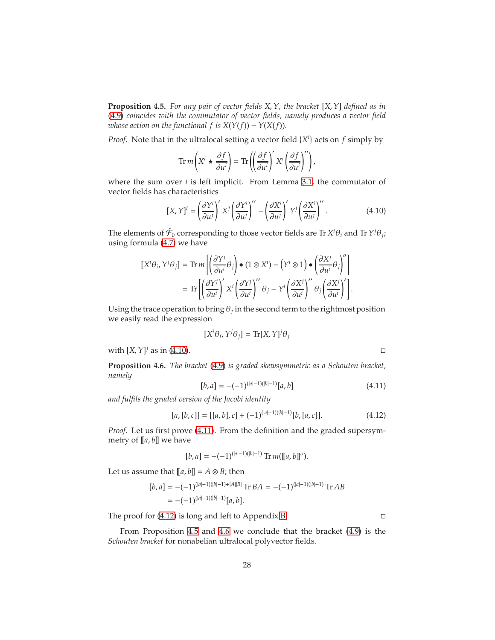<span id="page-27-3"></span>**Proposition 4.5.** *For any pair of vector fields X*, *Y, the bracket* [*X*, *Y*] *defined as in* [\(4.9\)](#page-25-0) *coincides with the commutator of vector fields, namely produces a vector field whose action on the functional f is*  $X(Y(f)) - Y(X(f))$ .

*Proof.* Note that in the ultralocal setting a vector field {*X i* } acts on *f* simply by

$$
\operatorname{Tr} m\left(X^{i} \star \frac{\partial f}{\partial u^{i}}\right) = \operatorname{Tr}\left(\left(\frac{\partial f}{\partial u^{i}}\right)' X^{i} \left(\frac{\partial f}{\partial u^{i}}\right)''\right),\,
$$

where the sum over *i* is left implicit. From Lemma [3.1,](#page-10-5) the commutator of vector fields has characteristics

$$
[X, Y]^i = \left(\frac{\partial Y^i}{\partial u^j}\right)' X^j \left(\frac{\partial Y^i}{\partial u^j}\right)'' - \left(\frac{\partial X^i}{\partial u^j}\right)' Y^j \left(\frac{\partial X^i}{\partial u^j}\right)''.
$$
 (4.10)

The elements of  $\hat{\mathcal{F}}_0$  corresponding to those vector fields are Tr  $X^i\theta_i$  and Tr  $Y^j\theta_j$ ; using formula [\(4.7\)](#page-23-1) we have

$$
\begin{split} \left[X^i\theta_i,Y^j\theta_j\right] &=\text{Tr}\,m\left[\left(\frac{\partial Y^j}{\partial u^i}\theta_j\right)\bullet\left(1\otimes X^i\right)-\left(Y^i\otimes 1\right)\bullet\left(\frac{\partial X^j}{\partial u^i}\theta_j\right)^{\sigma}\right]\\ &=\text{Tr}\left[\left(\frac{\partial Y^j}{\partial u^i}\right)'X^i\left(\frac{\partial Y^j}{\partial u^i}\right)''\,\theta_j-Y^i\left(\frac{\partial X^j}{\partial u^i}\right)''\,\theta_j\left(\frac{\partial X^j}{\partial u^i}\right)'\right]. \end{split}
$$

Using the trace operation to bring  $\theta_j$  in the second term to the rightmost position we easily read the expression

$$
[X^i \theta_i, Y^j \theta_j] = \text{Tr}[X, Y]^j \theta_j
$$

with  $[X, Y]^j$  as in [\(4.10\)](#page-27-0).

<span id="page-27-4"></span>**Proposition 4.6.** *The bracket* [\(4.9\)](#page-25-0) *is graded skewsymmetric as a Schouten bracket, namely*

$$
[b,a] = -(-1)^{(|a|-1)(|b|-1)} [a,b] \tag{4.11}
$$

*and fulfils the graded version of the Jacobi identity*

$$
[a, [b, c]] = [[a, b], c] + (-1)^{(|a|-1)(|b|-1)} [b, [a, c]]. \qquad (4.12)
$$

*Proof.* Let us first prove [\(4.11\)](#page-27-1). From the definition and the graded supersymmetry of [[*a*, *b*]] we have

$$
[b,a] = -(-1)^{(|a|-1)(|b|-1)} \operatorname{Tr} m([\![a,b]\!]^\sigma).
$$

Let us assume that  $[[a, b]] = A \otimes B$ ; then

$$
[b,a] = -(-1)^{(|a|-1)(|b|-1)+|A||B|} \operatorname{Tr} BA = -(-1)^{(|a|-1)(|b|-1)} \operatorname{Tr} AB
$$
  
= -(-1)^{(|a|-1)(|b|-1)} [a, b].

The proof for  $(4.12)$  is long and left to Appendix [B.](#page-57-0)

From Proposition [4.5](#page-27-3) and [4.6](#page-27-4) we conclude that the bracket [\(4.9\)](#page-25-0) is the *Schouten bracket* for nonabelian ultralocal polyvector fields.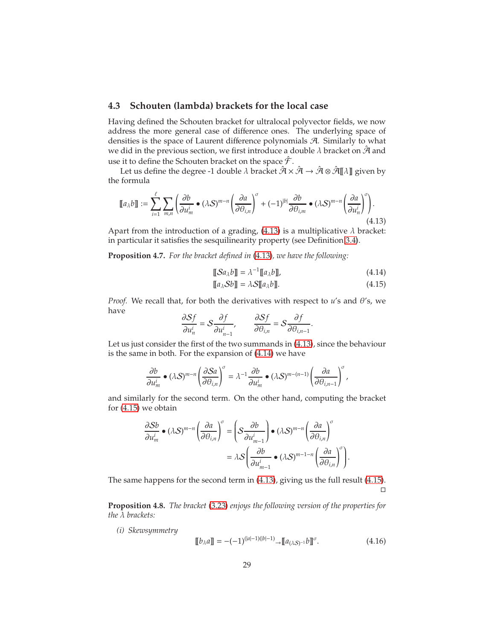### <span id="page-28-0"></span>**4.3 Schouten (lambda) brackets for the local case**

Having defined the Schouten bracket for ultralocal polyvector fields, we now address the more general case of difference ones. The underlying space of densities is the space of Laurent difference polynomials A. Similarly to what we did in the previous section, we first introduce a double  $\lambda$  bracket on  $\hat{\mathcal{A}}$  and use it to define the Schouten bracket on the space  $\hat{\mathcal{F}}$  .

Let us define the degree -1 double  $\lambda$  bracket  $\hat{\mathcal{A}} \times \hat{\mathcal{A}} \to \hat{\mathcal{A}} \otimes \hat{\mathcal{A}}[\![\lambda]\!]$  given by the formula

$$
\llbracket a_{\lambda}b \rrbracket := \sum_{i=1}^{\ell} \sum_{m,n} \left( \frac{\partial b}{\partial u_m^i} \bullet (\lambda S)^{m-n} \left( \frac{\partial a}{\partial \theta_{i,n}} \right)^{\sigma} + (-1)^{|b|} \frac{\partial b}{\partial \theta_{i,m}} \bullet (\lambda S)^{m-n} \left( \frac{\partial a}{\partial u_n^i} \right)^{\sigma} \right).
$$
\n(4.13)

Apart from the introduction of a grading,  $(4.13)$  is a multiplicative  $\lambda$  bracket: in particular it satisfies the sesquilinearity property (see Definition [3.4\)](#page-17-3).

**Proposition 4.7.** *For the bracket defined in* [\(4.13\)](#page-28-1)*, we have the following:*

<span id="page-28-1"></span>
$$
\llbracket \mathcal{S} a_{\lambda} b \rrbracket = \lambda^{-1} \llbracket a_{\lambda} b \rrbracket, \tag{4.14}
$$

<span id="page-28-3"></span><span id="page-28-2"></span>
$$
\llbracket a_{\lambda} S b \rrbracket = \lambda S \llbracket a_{\lambda} b \rrbracket. \tag{4.15}
$$

*Proof.* We recall that, for both the derivatives with respect to *u*'s and θ's, we have

$$
\frac{\partial Sf}{\partial u_n^i} = S \frac{\partial f}{\partial u_{n-1}^i}, \qquad \frac{\partial Sf}{\partial \theta_{i,n}} = S \frac{\partial f}{\partial \theta_{i,n-1}}.
$$

Let us just consider the first of the two summands in [\(4.13\)](#page-28-1), since the behaviour is the same in both. For the expansion of [\(4.14\)](#page-28-2) we have

$$
\frac{\partial b}{\partial u_m^i} \bullet (\lambda S)^{m-n} \left(\frac{\partial S a}{\partial \theta_{i,n}}\right)^\sigma = \lambda^{-1} \frac{\partial b}{\partial u_m^i} \bullet (\lambda S)^{m-(n-1)} \left(\frac{\partial a}{\partial \theta_{i,n-1}}\right)^\sigma,
$$

and similarly for the second term. On the other hand, computing the bracket for [\(4.15\)](#page-28-3) we obtain

$$
\frac{\partial Sb}{\partial u_m^i} \bullet (\lambda S)^{m-n} \left(\frac{\partial a}{\partial \theta_{i,n}}\right)^{\sigma} = \left(S \frac{\partial b}{\partial u_{m-1}^i}\right) \bullet (\lambda S)^{m-n} \left(\frac{\partial a}{\partial \theta_{i,n}}\right)^{\sigma}
$$

$$
= \lambda S \left(\frac{\partial b}{\partial u_{m-1}^i} \bullet (\lambda S)^{m-1-n} \left(\frac{\partial a}{\partial \theta_{i,n}}\right)^{\sigma}\right).
$$

The same happens for the second term in [\(4.13\)](#page-28-1), giving us the full result [\(4.15\)](#page-28-3).  $\Box$ 

<span id="page-28-5"></span>**Proposition 4.8.** *The bracket* [\(3.23\)](#page-17-2) *enjoys the following version of the properties for the* λ *brackets:*

*(i) Skewsymmetry*

<span id="page-28-4"></span>
$$
[[b_{\lambda}a]] = -(-1)^{(|a|-1)(|b|-1)} \to [[a_{(\lambda S)^{-1}}b]]^{\sigma}.
$$
\n(4.16)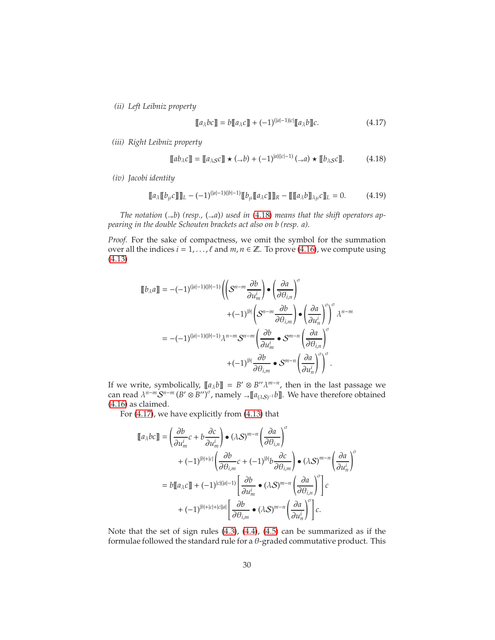*(ii) Left Leibniz property*

<span id="page-29-2"></span><span id="page-29-1"></span><span id="page-29-0"></span>
$$
[[a_{\lambda}bc]] = b[[a_{\lambda}c]] + (-1)^{(|a|-1)|c|}[[a_{\lambda}b]]c.
$$
 (4.17)

*(iii) Right Leibniz property*

$$
\llbracket ab_{\lambda} c \rrbracket = \llbracket a_{\lambda S} c \rrbracket \star ( \to b) + (-1)^{|a|(|c|-1)} (\to a) \star \llbracket b_{\lambda S} c \rrbracket. \tag{4.18}
$$

*(iv) Jacobi identity*

$$
[\![a_{\lambda}[\![b_{\mu}c]\!] ]\!]_L - (-1)^{(|a|-1)(|b|-1)} [\![b_{\mu}[\![a_{\lambda}c]\!] ]\!]_R - [\![[\![a_{\lambda}b]\!]_{\lambda\mu}c]\!]_L = 0. \tag{4.19}
$$

*The notation*  $(\rightarrow b)$  (resp.,  $(\rightarrow a)$ ) used in [\(4.18\)](#page-29-0) means that the shift operators ap*pearing in the double Schouten brackets act also on b (resp. a).*

*Proof.* For the sake of compactness, we omit the symbol for the summation over all the indices  $i = 1, ..., \ell$  and  $m, n \in \mathbb{Z}$ . To prove [\(4.16\)](#page-28-4), we compute using [\(4.13\)](#page-28-1)

$$
\llbracket b_{\lambda} a \rrbracket = -(-1)^{(|a|-1)(|b|-1)} \left( \left( S^{n-m} \frac{\partial b}{\partial u_m^i} \right) \bullet \left( \frac{\partial a}{\partial \theta_{i,n}} \right)^{\sigma} \right. \\ \left. + (-1)^{|b|} \left( S^{n-m} \frac{\partial b}{\partial \theta_{i,m}} \right) \bullet \left( \frac{\partial a}{\partial u_n^i} \right)^{\sigma} \right)^{\sigma} \lambda^{n-m} \\ = -(-1)^{(|a|-1)(|b|-1)} \lambda^{n-m} S^{n-m} \left( \frac{\partial b}{\partial u_m^i} \bullet S^{m-n} \left( \frac{\partial a}{\partial \theta_{i,m}} \right)^{\sigma} \\ + (-1)^{|b|} \frac{\partial b}{\partial \theta_{i,m}} \bullet S^{m-n} \left( \frac{\partial a}{\partial u_n^i} \right)^{\sigma} \right)^{\sigma}.
$$

If we write, symbolically,  $[[a_{\lambda}b]] = B' \otimes B'' \lambda^{m-n}$ , then in the last passage we can read  $\lambda^{n-m} \mathcal{S}^{n-m} (B' \otimes B'')^{\sigma}$ , namely  $\rightarrow [\![a_{(\lambda S)^{-1}}b]\!]$ . We have therefore obtained [\(4.16\)](#page-28-4) as claimed.

For [\(4.17\)](#page-29-1), we have explicitly from [\(4.13\)](#page-28-1) that

$$
\llbracket a_{\lambda}bc \rrbracket = \left(\frac{\partial b}{\partial u_{m}^{i}}c + b\frac{\partial c}{\partial u_{m}^{i}}\right) \bullet (\lambda S)^{m-n} \left(\frac{\partial a}{\partial \theta_{i,n}}\right)^{\sigma} \n+ (-1)^{|b|+|c|} \left(\frac{\partial b}{\partial \theta_{i,m}}c + (-1)^{|b|}b\frac{\partial c}{\partial \theta_{i,m}}\right) \bullet (\lambda S)^{m-n} \left(\frac{\partial a}{\partial u_{n}^{i}}\right)^{\sigma} \n= b\llbracket a_{\lambda}c \rrbracket + (-1)^{|c|(|a|-1)} \left[\frac{\partial b}{\partial u_{m}^{i}} \bullet (\lambda S)^{m-n} \left(\frac{\partial a}{\partial \theta_{i,n}}\right)^{\sigma}\right] c \n+ (-1)^{|b|+|c|+|c||a|} \left[\frac{\partial b}{\partial \theta_{i,m}} \bullet (\lambda S)^{m-n} \left(\frac{\partial a}{\partial u_{n}^{i}}\right)^{\sigma}\right] c.
$$

Note that the set of sign rules [\(4.3\)](#page-23-3), [\(4.4\)](#page-23-6), [\(4.5\)](#page-23-2) can be summarized as if the formulae followed the standard rule for a  $\theta$ -graded commutative product. This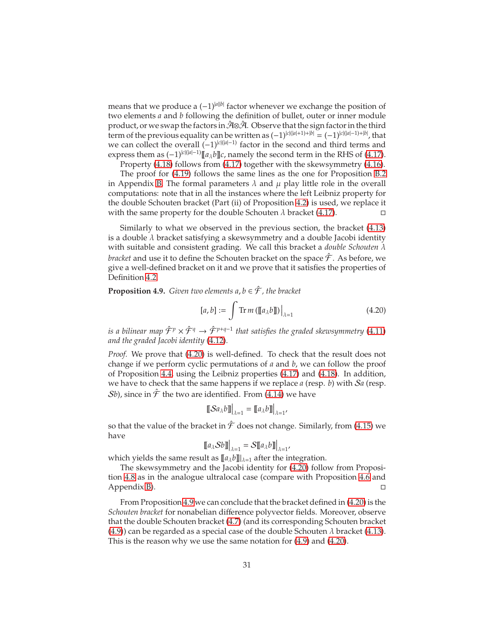means that we produce a  $(-1)^{|a||b|}$  factor whenever we exchange the position of two elements *a* and *b* following the definition of bullet, outer or inner module product, or we swap the factors in  $\mathcal{A}\otimes\mathcal{A}$ . Observe that the sign factor in the third term of the previous equality can be written as (−1)|*c*|(|*a*|+1)+|*b*<sup>|</sup> = (−1)|*c*|(|*a*|−1)+|*b*<sup>|</sup> , that we can collect the overall  $(-1)^{|c|(|a|-1)}$  factor in the second and third terms and express them as  $(-1)^{|c|(|a|-1)}[\![a_{\lambda}b]\!]c$ , namely the second term in the RHS of [\(4.17\)](#page-29-1).

Property [\(4.18\)](#page-29-0) follows from [\(4.17\)](#page-29-1) together with the skewsymmetry [\(4.16\)](#page-28-4).

The proof for [\(4.19\)](#page-29-2) follows the same lines as the one for Proposition [B.2](#page-58-0) in Appendix [B.](#page-57-0) The formal parameters  $\lambda$  and  $\mu$  play little role in the overall computations: note that in all the instances where the left Leibniz property for the double Schouten bracket (Part (ii) of Proposition [4.2\)](#page-23-4) is used, we replace it with the same property for the double Schouten  $\lambda$  bracket [\(4.17\)](#page-29-1).

Similarly to what we observed in the previous section, the bracket [\(4.13\)](#page-28-1) is a double  $\lambda$  bracket satisfying a skewsymmetry and a double Jacobi identity with suitable and consistent grading. We call this bracket a *double Schouten* λ *bracket* and use it to define the Schouten bracket on the space  $\hat{\mathcal{F}}$  . As before, we give a well-defined bracket on it and we prove that it satisfies the properties of Definition [4.2.](#page-26-0)

<span id="page-30-1"></span>**Proposition 4.9.** *Given two elements*  $a, b \in \hat{\mathcal{F}}$ *, the bracket* 

$$
[a, b] := \int \operatorname{Tr} m \left( [\![ a_{\lambda} b ]\!] \right) \Big|_{\lambda = 1} \tag{4.20}
$$

<span id="page-30-0"></span>,

*is a bilinear map*  $\hat{\mathcal{F}}^p \times \hat{\mathcal{F}}^q \rightarrow \hat{\mathcal{F}}^{p+q-1}$  *that satisfies the graded skewsymmetry (*4.11) *and the graded Jacobi identity* [\(4.12\)](#page-27-2)*.*

*Proof.* We prove that [\(4.20\)](#page-30-0) is well-defined. To check that the result does not change if we perform cyclic permutations of *a* and *b*, we can follow the proof of Proposition [4.4,](#page-25-1) using the Leibniz properties [\(4.17\)](#page-29-1) and [\(4.18\)](#page-29-0). In addition, we have to check that the same happens if we replace *a* (resp. *b*) with S*a* (resp.  $\mathcal{S}b$ ), since in  $\hat{\mathcal{F}}$  the two are identified. From [\(4.14\)](#page-28-2) we have

$$
\llbracket \mathcal{S} a_{\lambda} b \rrbracket \Big|_{\lambda = 1} = \llbracket a_{\lambda} b \rrbracket \Big|_{\lambda = 1}
$$

so that the value of the bracket in  $\hat{\mathcal{F}}$  does not change. Similarly, from [\(4.15\)](#page-28-3) we have

$$
\llbracket a_{\lambda} S b \rrbracket \Big|_{\lambda=1} = S \llbracket a_{\lambda} b \rrbracket \Big|_{\lambda=1},
$$

which yields the same result as  $[[a_{\lambda}b]]_{\lambda=1}$  after the integration.

The skewsymmetry and the Jacobi identity for [\(4.20\)](#page-30-0) follow from Proposition [4.8](#page-28-5) as in the analogue ultralocal case (compare with Proposition [4.6](#page-27-4) and Appendix [B\)](#page-57-0).

From Proposition [4.9](#page-30-1) we can conclude that the bracket defined in [\(4.20\)](#page-30-0) is the *Schouten bracket* for nonabelian difference polyvector fields. Moreover, observe that the double Schouten bracket [\(4.7\)](#page-23-1) (and its corresponding Schouten bracket  $(4.9)$ ) can be regarded as a special case of the double Schouten  $\lambda$  bracket [\(4.13\)](#page-28-1). This is the reason why we use the same notation for [\(4.9\)](#page-25-0) and [\(4.20\)](#page-30-0).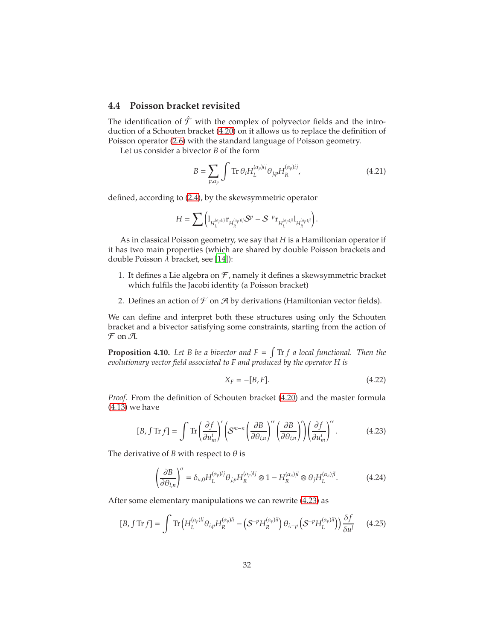### <span id="page-31-0"></span>**4.4 Poisson bracket revisited**

The identification of  $\hat{\mathcal{F}}$  with the complex of polyvector fields and the introduction of a Schouten bracket [\(4.20\)](#page-30-0) on it allows us to replace the definition of Poisson operator [\(2.6\)](#page-7-0) with the standard language of Poisson geometry.

Let us consider a bivector *B* of the form

<span id="page-31-4"></span>
$$
B = \sum_{p,\alpha_p} \int \text{Tr}\,\theta_i H_L^{(\alpha_p)ij} \theta_{j,p} H_R^{(\alpha_p)ij},\tag{4.21}
$$

defined, according to [\(2.4\)](#page-6-2), by the skewsymmetric operator

$$
H = \sum \Big( {\mathbb{1}}_{H_L^{(\alpha_p)ij}} r_{H_R^{(\alpha_p)ij}} S^p - S^{-p} r_{H_L^{(\alpha_p)ji}} {\mathbb{1}}_{H_R^{(\alpha_p)ji}} \Big).
$$

As in classical Poisson geometry, we say that *H* is a Hamiltonian operator if it has two main properties (which are shared by double Poisson brackets and double Poisson  $\lambda$  bracket, see [\[14](#page-63-1)]):

- 1. It defines a Lie algebra on  $\mathcal F$ , namely it defines a skewsymmetric bracket which fulfils the Jacobi identity (a Poisson bracket)
- 2. Defines an action of  $\mathcal F$  on  $\mathcal A$  by derivations (Hamiltonian vector fields).

We can define and interpret both these structures using only the Schouten bracket and a bivector satisfying some constraints, starting from the action of  $\mathcal F$  on  $\mathcal A$ .

**Proposition 4.10.** Let B be a bivector and  $F = \int Tr f$  a local functional. Then the *evolutionary vector field associated to F and produced by the operator H is*

<span id="page-31-5"></span><span id="page-31-3"></span><span id="page-31-2"></span><span id="page-31-1"></span>
$$
X_F = -[B, F].\tag{4.22}
$$

*Proof.* From the definition of Schouten bracket [\(4.20\)](#page-30-0) and the master formula [\(4.13\)](#page-28-1) we have

$$
[B, \int \text{Tr} f] = \int \text{Tr} \left( \frac{\partial f}{\partial u_m^i} \right)' \left( S^{m-n} \left( \frac{\partial B}{\partial \theta_{i,n}} \right)'' \left( \frac{\partial B}{\partial \theta_{i,n}} \right)' \right) \left( \frac{\partial f}{\partial u_m^i} \right)''.
$$
 (4.23)

The derivative of *B* with respect to  $\theta$  is

$$
\left(\frac{\partial B}{\partial \theta_{l,n}}\right)^{\sigma} = \delta_{n,0} H_L^{(\alpha_p)l} \theta_{j,p} H_R^{(\alpha_p)l} \otimes 1 - H_R^{(\alpha_n)l} \otimes \theta_j H_L^{(\alpha_n)l}.
$$
 (4.24)

After some elementary manipulations we can rewrite [\(4.23\)](#page-31-1) as

$$
[B, \int \text{Tr}\, f] = \int \text{Tr}\left(H_L^{(\alpha_p)li}\theta_{i,p}H_R^{(\alpha_p)li} - \left(\mathcal{S}^{-p}H_R^{(\alpha_p)il}\right)\theta_{i,-p}\left(\mathcal{S}^{-p}H_L^{(\alpha_p)il}\right)\right)\frac{\delta f}{\delta u^l} \tag{4.25}
$$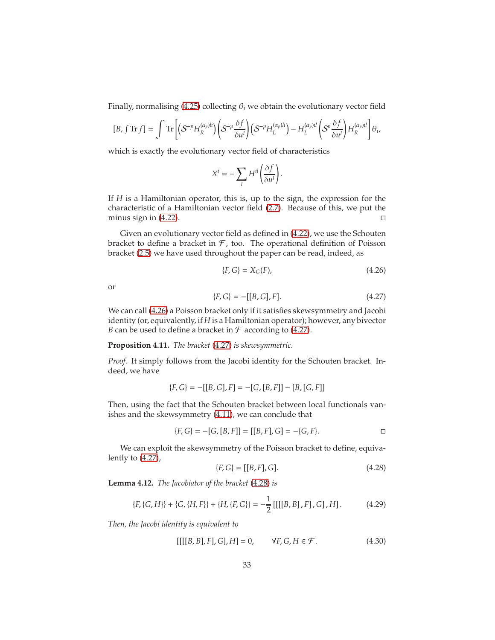Finally, normalising [\(4.25\)](#page-31-2) collecting  $\theta_i$  we obtain the evolutionary vector field

$$
[B, \int \text{Tr} f] = \int \text{Tr} \left[ \left( S^{-p} H_R^{(\alpha_p)li} \right) \left( S^{-p} \frac{\delta f}{\delta u^l} \right) \left( S^{-p} H_L^{(\alpha_p)li} \right) - H_L^{(\alpha_p)il} \left( S^p \frac{\delta f}{\delta u^l} \right) H_R^{(\alpha_p)il} \right] \theta_i,
$$

which is exactly the evolutionary vector field of characteristics

$$
X^i = -\sum_l H^{il} \bigg( \frac{\delta f}{\delta u^l} \bigg).
$$

If *H* is a Hamiltonian operator, this is, up to the sign, the expression for the characteristic of a Hamiltonian vector field [\(2.7\)](#page-8-2). Because of this, we put the minus sign in [\(4.22\)](#page-31-3).  $\Box$ 

Given an evolutionary vector field as defined in [\(4.22\)](#page-31-3), we use the Schouten bracket to define a bracket in  $\mathcal F$ , too. The operational definition of Poisson bracket [\(2.5\)](#page-6-1) we have used throughout the paper can be read, indeed, as

<span id="page-32-1"></span><span id="page-32-0"></span>
$$
\{F, G\} = X_G(F),\tag{4.26}
$$

or

$$
\{F, G\} = -[[B, G], F].\tag{4.27}
$$

We can call [\(4.26\)](#page-32-0) a Poisson bracket only if it satisfies skewsymmetry and Jacobi identity (or, equivalently, if *H* is a Hamiltonian operator); however, any bivector *B* can be used to define a bracket in  $\mathcal F$  according to [\(4.27\)](#page-32-1).

#### <span id="page-32-5"></span>**Proposition 4.11.** *The bracket* [\(4.27\)](#page-32-1) *is skewsymmetric.*

*Proof.* It simply follows from the Jacobi identity for the Schouten bracket. Indeed, we have

$$
{F, G} = -[[B, G], F] = -[G, [B, F]] - [B, [G, F]]
$$

Then, using the fact that the Schouten bracket between local functionals vanishes and the skewsymmetry [\(4.11\)](#page-27-1), we can conclude that

$$
\{F, G\} = -[G, [B, F]] = [[B, F], G] = -\{G, F\}.
$$

We can exploit the skewsymmetry of the Poisson bracket to define, equivalently to [\(4.27\)](#page-32-1),

<span id="page-32-4"></span><span id="page-32-3"></span><span id="page-32-2"></span>
$$
\{F, G\} = [[B, F], G].\tag{4.28}
$$

**Lemma 4.12.** *The Jacobiator of the bracket* [\(4.28\)](#page-32-2) *is*

$$
\{F, \{G, H\}\} + \{G, \{H, F\}\} + \{H, \{F, G\}\} = -\frac{1}{2}[[[[B, B], F], G], H].
$$
 (4.29)

*Then, the Jacobi identity is equivalent to*

$$
[[[[B, B], F], G], H] = 0, \t\forall F, G, H \in \mathcal{F}.
$$
 (4.30)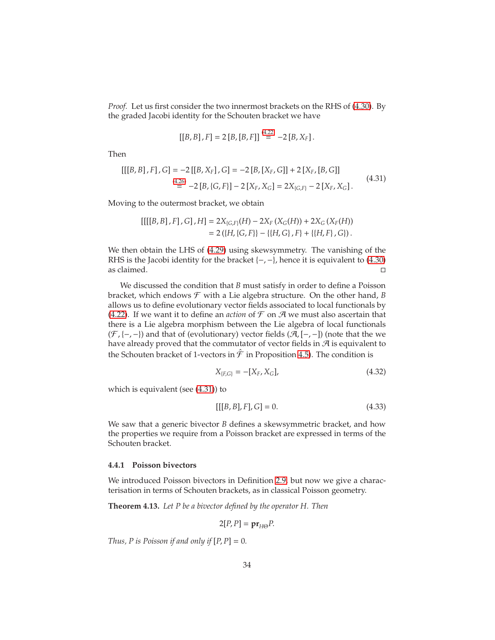*Proof.* Let us first consider the two innermost brackets on the RHS of [\(4.30\)](#page-32-3). By the graded Jacobi identity for the Schouten bracket we have

<span id="page-33-2"></span>
$$
[[B, B], F] = 2 [B, [B, F]]^{(4.22)} = -2 [B, X_F].
$$

Then

$$
\begin{aligned} [[[B,B],F],G] &= -2\left[[B,X_F],G\right] = -2\left[B,[X_F,G]\right] + 2\left[X_F,[B,G]\right] \\ &= -2\left[B,[G,F]\right] - 2\left[X_F,X_G\right] = 2X_{[G,F]} - 2\left[X_F,X_G\right].\end{aligned} \tag{4.31}
$$

Moving to the outermost bracket, we obtain

$$
\begin{aligned} [[[[B,B],F],G],H] &= 2X_{[G,F]}(H) - 2X_F\left(X_G(H)\right) + 2X_G\left(X_F(H)\right) \\ &= 2\left(\{H,\{G,F\}\} - \{\{H,G\},F\} + \{\{H,F\},G\}\right). \end{aligned}
$$

We then obtain the LHS of [\(4.29\)](#page-32-4) using skewsymmetry. The vanishing of the RHS is the Jacobi identity for the bracket  $\{-,-\}$ , hence it is equivalent to [\(4.30\)](#page-32-3)  $\Box$ as claimed.

We discussed the condition that *B* must satisfy in order to define a Poisson bracket, which endows  $\mathcal F$  with a Lie algebra structure. On the other hand, *B* allows us to define evolutionary vector fields associated to local functionals by [\(4.22\)](#page-31-3). If we want it to define an *action* of  $\mathcal F$  on  $\mathcal A$  we must also ascertain that there is a Lie algebra morphism between the Lie algebra of local functionals  $(\mathcal{F}, \{-,-\})$  and that of (evolutionary) vector fields  $(\mathcal{A}, [-,-])$  (note that the we have already proved that the commutator of vector fields in  $\mathcal A$  is equivalent to the Schouten bracket of 1-vectors in  $\hat{\mathcal{F}}$  in Proposition [4.5\)](#page-27-3). The condition is

<span id="page-33-3"></span>
$$
X_{\{F,G\}} = -[X_F, X_G],\tag{4.32}
$$

which is equivalent (see [\(4.31\)](#page-33-2)) to

<span id="page-33-4"></span>
$$
[[[B, B], F], G] = 0.
$$
\n(4.33)

We saw that a generic bivector *B* defines a skewsymmetric bracket, and how the properties we require from a Poisson bracket are expressed in terms of the Schouten bracket.

#### <span id="page-33-0"></span>**4.4.1 Poisson bivectors**

We introduced Poisson bivectors in Definition [2.9,](#page-7-1) but now we give a characterisation in terms of Schouten brackets, as in classical Poisson geometry.

<span id="page-33-1"></span>**Theorem 4.13.** *Let P be a bivector defined by the operator H. Then*

$$
2[P, P] = \mathbf{pr}_{H\Theta} P.
$$

*Thus, P is Poisson if and only if*  $[P, P] = 0$ *.*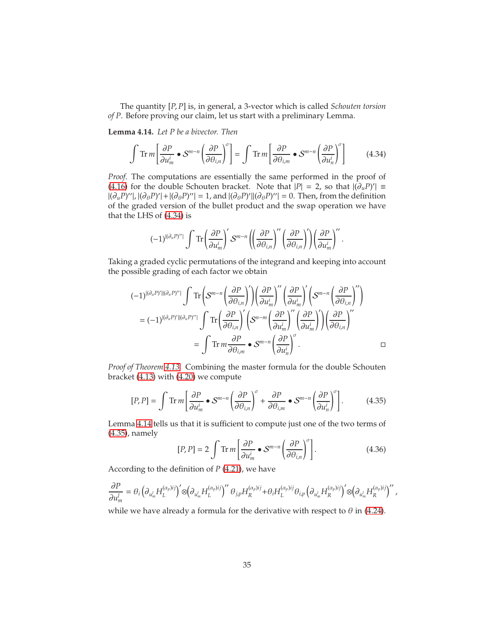The quantity [*P*, *P*] is, in general, a 3-vector which is called *Schouten torsion of P*. Before proving our claim, let us start with a preliminary Lemma.

<span id="page-34-1"></span>**Lemma 4.14.** *Let P be a bivector. Then*

$$
\int \operatorname{Tr} m \left[ \frac{\partial P}{\partial u_m^i} \bullet S^{m-n} \left( \frac{\partial P}{\partial \theta_{i,n}} \right)^{\sigma} \right] = \int \operatorname{Tr} m \left[ \frac{\partial P}{\partial \theta_{i,m}} \bullet S^{m-n} \left( \frac{\partial P}{\partial u_n^i} \right)^{\sigma} \right] \tag{4.34}
$$

*Proof.* The computations are essentially the same performed in the proof of [\(4.16\)](#page-28-4) for the double Schouten bracket. Note that  $|P| = 2$ , so that  $|(\partial_u P)'|$  ≡  $|(\partial_u P)''|, |(\partial_\theta P)'| + |(\partial_\theta P)''| = 1$ , and  $|(\partial_\theta P)'|(\partial_\theta P)''| = 0$ . Then, from the definition of the graded version of the bullet product and the swap operation we have that the LHS of [\(4.34\)](#page-34-0) is

<span id="page-34-0"></span>
$$
(-1)^{|(\partial_u P)''|}\int\mathrm{Tr}\left(\frac{\partial P}{\partial u^i_m}\right)'S^{m-n}\left(\left(\frac{\partial P}{\partial \theta_{i,n}}\right)''\left(\frac{\partial P}{\partial \theta_{i,n}}\right)'\right)\left(\frac{\partial P}{\partial u^i_m}\right)''\,.
$$

Taking a graded cyclic permutations of the integrand and keeping into account the possible grading of each factor we obtain

$$
\begin{split} (-1)^{ |(\partial_u P)'| |(\partial_u P)''|} \int \text{Tr}\left( \mathcal{S}^{m-n}\left(\frac{\partial P}{\partial \theta_{i,n}}\right)' \right) & \left(\frac{\partial P}{\partial u^i_m}\right)'' \left(\frac{\partial P}{\partial u^i_m}\right)' \left(\mathcal{S}^{m-n}\left(\frac{\partial P}{\partial \theta_{i,n}}\right)''\right) \\ & = (-1)^{ |(\partial_u P)'| |(\partial_u P)''|} \int \text{Tr}\left(\frac{\partial P}{\partial \theta_{i,n}}\right)' \left(\mathcal{S}^{n-m}\left(\frac{\partial P}{\partial u^i_m}\right)'' \left(\frac{\partial P}{\partial u^i_m}\right)' \right) & \left(\frac{\partial P}{\partial \theta_{i,n}}\right)'' \\ & = \int \text{Tr}\, m \frac{\partial P}{\partial \theta_{i,m}} \bullet \mathcal{S}^{m-n}\left(\frac{\partial P}{\partial u^i_n}\right)^\sigma. \end{split}
$$

*Proof of Theorem [4.13.](#page-33-1)* Combining the master formula for the double Schouten bracket [\(4.13\)](#page-28-1) with [\(4.20\)](#page-30-0) we compute

$$
[P, P] = \int \text{Tr } m \left[ \frac{\partial P}{\partial u_m^i} \bullet \mathcal{S}^{m-n} \left( \frac{\partial P}{\partial \theta_{i,n}} \right)^{\sigma} + \frac{\partial P}{\partial \theta_{i,m}} \bullet \mathcal{S}^{m-n} \left( \frac{\partial P}{\partial u_n^i} \right)^{\sigma} \right].
$$
 (4.35)

Lemma [4.14](#page-34-1) tells us that it is sufficient to compute just one of the two terms of [\(4.35\)](#page-34-2), namely

<span id="page-34-3"></span><span id="page-34-2"></span>
$$
[P, P] = 2 \int \text{Tr } m \left[ \frac{\partial P}{\partial u_m^i} \bullet S^{m-n} \left( \frac{\partial P}{\partial \theta_{i,n}} \right)^{\sigma} \right]. \tag{4.36}
$$

According to the definition of *P* [\(4.21\)](#page-31-4), we have

$$
\frac{\partial P}{\partial u_m^l} = \theta_i \left( \partial_{u_m^l} H_L^{(\alpha_p)ij} \right)' \otimes \left( \partial_{u_m^l} H_L^{(\alpha_p)ij} \right)'' \theta_{j,p} H_R^{(\alpha_p)ij} + \theta_i H_L^{(\alpha_p)ij} \theta_{i,p} \left( \partial_{u_m^l} H_R^{(\alpha_p)ij} \right)' \otimes \left( \partial_{u_m^l} H_R^{(\alpha_p)ij} \right)'' \, ,
$$

while we have already a formula for the derivative with respect to  $\theta$  in [\(4.24\)](#page-31-5).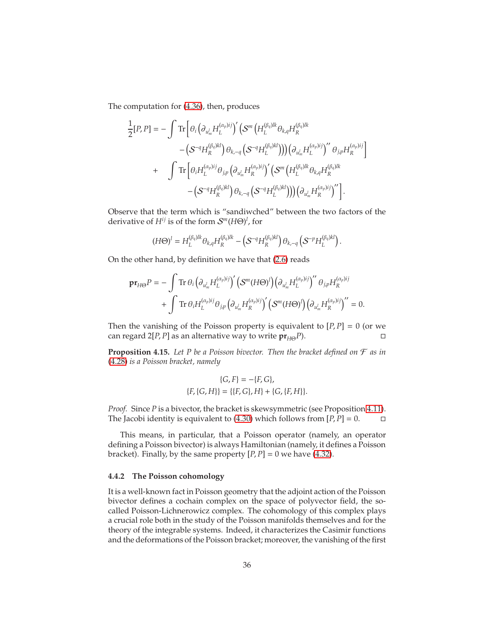The computation for [\(4.36\)](#page-34-3), then, produces

$$
\frac{1}{2}[P,P] = -\int \text{Tr}\left[\theta_i \left(\partial_{u_m^l} H_L^{(\alpha_p)ij}\right)' \left(\mathcal{S}^m \left(H_L^{(\beta_q)lk}\theta_{k,q} H_R^{(\beta_q)lk}\right) \right.\\ \left. - \left(\mathcal{S}^{-q} H_R^{(\beta_q)kl}\right) \theta_{k,-q} \left(\mathcal{S}^{-q} H_L^{(\beta_q)kl}\right)\right) \right) \left(\partial_{u_m^l} H_L^{(\alpha_p)ij}\right)'' \theta_{j,p} H_R^{(\alpha_p)ij}\right] \\ + \int \text{Tr}\left[\theta_i H_L^{(\alpha_p)ij}\theta_{j,p} \left(\partial_{u_m^l} H_R^{(\alpha_p)ij}\right)' \left(\mathcal{S}^m \left(H_L^{(\beta_q)lk}\theta_{k,q} H_R^{(\beta_q)lk}\right) \right.\\ \left. - \left(\mathcal{S}^{-q} H_R^{(\beta_q)kl}\right) \theta_{k,-q} \left(\mathcal{S}^{-q} H_L^{(\beta_q)kl}\right)\right) \right) \left(\partial_{u_m^l} H_R^{(\alpha_p)ij}\right)''\right].
$$

Observe that the term which is "sandiwched" between the two factors of the derivative of *Hij* is of the form S *<sup>m</sup>*(*H*Θ) *l* , for

$$
(H\Theta)^l=H_L^{(\beta_q)lk}\theta_{k,q}H_R^{(\beta_q)lk}-\left(\mathcal{S}^{-q}H_R^{(\beta_q)kl}\right)\theta_{k,-q}\left(\mathcal{S}^{-p}H_L^{(\beta_q)kl}\right).
$$

On the other hand, by definition we have that [\(2.6\)](#page-7-0) reads

$$
\mathbf{pr}_{H\Theta}P = -\int \text{Tr} \,\theta_i \Big(\partial_{u_m^l} H_L^{(\alpha_p)ij}\Big)' \Big(\mathcal{S}^m (H\Theta)^l\Big) \Big(\partial_{u_m^l} H_L^{(\alpha_p)ij}\Big)'' \,\theta_{jp} H_R^{(\alpha_p)ij} \\ + \int \text{Tr} \,\theta_i H_L^{(\alpha_p)ij} \theta_{jp} \Big(\partial_{u_m^l} H_R^{(\alpha_p)ij}\Big)' \Big(\mathcal{S}^m (H\Theta)^l\Big) \Big(\partial_{u_m^l} H_R^{(\alpha_p)ij}\Big)'' = 0.
$$

Then the vanishing of the Poisson property is equivalent to  $[P, P] = 0$  (or we can regard 2[*P*, *P*] as an alternative way to write  $pr_{H\Theta}P$ ). □

<span id="page-35-1"></span>**Proposition 4.15.** *Let P be a Poisson bivector. Then the bracket defined on* F *as in* [\(4.28\)](#page-32-2) *is a Poisson bracket, namely*

$$
\{G, F\} = -\{F, G\},
$$
  

$$
\{F, \{G, H\}\} = \{\{F, G\}, H\} + \{G, \{F, H\}\}.
$$

*Proof.* Since *P* is a bivector, the bracket is skewsymmetric (see Proposition [4.11\)](#page-32-5). The Jacobi identity is equivalent to [\(4.30\)](#page-32-3) which follows from  $[P, P] = 0$ .

This means, in particular, that a Poisson operator (namely, an operator defining a Poisson bivector) is always Hamiltonian (namely, it defines a Poisson bracket). Finally, by the same property  $[P, P] = 0$  we have [\(4.32\)](#page-33-3).

#### <span id="page-35-0"></span>**4.4.2 The Poisson cohomology**

It is a well-known fact in Poisson geometry that the adjoint action of the Poisson bivector defines a cochain complex on the space of polyvector field, the socalled Poisson-Lichnerowicz complex. The cohomology of this complex plays a crucial role both in the study of the Poisson manifolds themselves and for the theory of the integrable systems. Indeed, it characterizes the Casimir functions and the deformations of the Poisson bracket; moreover, the vanishing of the first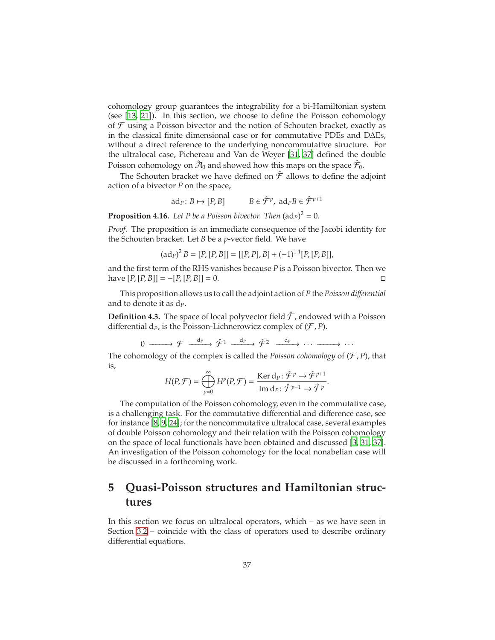cohomology group guarantees the integrability for a bi-Hamiltonian system (see [\[13,](#page-63-4) [21\]](#page-64-11)). In this section, we choose to define the Poisson cohomology of  $\mathcal F$  using a Poisson bivector and the notion of Schouten bracket, exactly as in the classical finite dimensional case or for commutative PDEs and D∆Es, without a direct reference to the underlying noncommutative structure. For the ultralocal case, Pichereau and Van de Weyer [\[31](#page-64-12), [37](#page-65-4)] defined the double Poisson cohomology on  $\hat{\mathcal{A}}_0$  and showed how this maps on the space  $\hat{\mathcal{F}}_0.$ 

The Schouten bracket we have defined on  $\hat{\mathcal{F}}$  allows to define the adjoint action of a bivector *P* on the space,

$$
ad_P: B \mapsto [P, B] \qquad B \in \hat{\mathcal{F}}^p, \ ad_P B \in \hat{\mathcal{F}}^{p+1}
$$

**Proposition 4.16.** Let P be a Poisson bivector. Then  $(ad_P)^2 = 0$ .

*Proof.* The proposition is an immediate consequence of the Jacobi identity for the Schouten bracket. Let *B* be a *p*-vector field. We have

$$
(\mathrm{ad}_P)^2 B = [P, [P, B]] = [[P, P], B] + (-1)^{1 \cdot 1} [P, [P, B]],
$$

and the first term of the RHS vanishes because *P* is a Poisson bivector. Then we have  $[P, [P, B]] = -[P, [P, B]] = 0.$ 

This proposition allows us to call the adjoint action of *P* the *Poisson di*ff*erential* and to denote it as d*P*.

**Definition 4.3.** The space of local polyvector field  $\hat{\mathcal{F}}$ , endowed with a Poisson differential  $d_p$ , is the Poisson-Lichnerowicz complex of  $(\mathcal{F}, P)$ .

 $0 \longrightarrow \mathcal{F} \xrightarrow{d_P} \hat{\mathcal{F}}^1 \xrightarrow{d_P} \hat{\mathcal{F}}^2 \xrightarrow{d_P} \cdots \xrightarrow{d_P} \cdots$ 

The cohomology of the complex is called the *Poisson cohomology* of  $(F, P)$ , that is,

$$
H(P,\mathcal{F}) = \bigoplus_{p=0}^{\infty} H^p(P,\mathcal{F}) = \frac{\text{Ker d}_P \colon \hat{\mathcal{F}}^p \to \hat{\mathcal{F}}^{p+1}}{\text{Im d}_P \colon \hat{\mathcal{F}}^{p-1} \to \hat{\mathcal{F}}^p}.
$$

The computation of the Poisson cohomology, even in the commutative case, is a challenging task. For the commutative differential and difference case, see for instance [\[8](#page-63-5), [9,](#page-63-3) [24](#page-64-13)]; for the noncommutative ultralocal case, several examples of double Poisson cohomology and their relation with the Poisson cohomology on the space of local functionals have been obtained and discussed [\[3](#page-63-6), [31,](#page-64-12) [37\]](#page-65-4). An investigation of the Poisson cohomology for the local nonabelian case will be discussed in a forthcoming work.

## <span id="page-36-0"></span>**5 Quasi-Poisson structures and Hamiltonian structures**

In this section we focus on ultralocal operators, which – as we have seen in Section [3.2](#page-12-0) – coincide with the class of operators used to describe ordinary differential equations.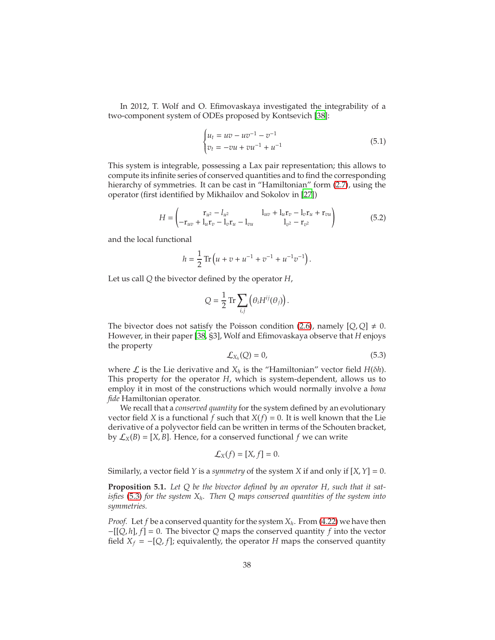In 2012, T. Wolf and O. Efimovaskaya investigated the integrability of a two-component system of ODEs proposed by Kontsevich [\[38](#page-65-1)]:

<span id="page-37-3"></span>
$$
\begin{cases} u_t = uv - uv^{-1} - v^{-1} \\ v_t = -vu + vu^{-1} + u^{-1} \end{cases}
$$
 (5.1)

This system is integrable, possessing a Lax pair representation; this allows to compute its infinite series of conserved quantities and to find the corresponding hierarchy of symmetries. It can be cast in "Hamiltonian" form  $(2.7)$ , using the operator (first identified by Mikhailov and Sokolov in [\[27\]](#page-64-2))

$$
H = \begin{pmatrix} r_{u^2} - l_{u^2} & l_{uv} + l_u r_v - l_v r_u + r_{vu} \\ -r_{uv} + l_u r_v - l_v r_u - l_{vu} & l_{v^2} - r_{v^2} \end{pmatrix}
$$
(5.2)

and the local functional

$$
h = \frac{1}{2} \operatorname{Tr} \left( u + v + u^{-1} + v^{-1} + u^{-1} v^{-1} \right).
$$

Let us call *Q* the bivector defined by the operator *H*,

<span id="page-37-2"></span>
$$
Q = \frac{1}{2} \operatorname{Tr} \sum_{i,j} \left( \theta_i H^{ij}(\theta_j) \right).
$$

The bivector does not satisfy the Poisson condition [\(2.6\)](#page-7-0), namely  $[Q, Q] \neq 0$ . However, in their paper [\[38,](#page-65-1) §3], Wolf and Efimovaskaya observe that *H* enjoys the property

<span id="page-37-0"></span>
$$
\mathcal{L}_{X_h}(Q) = 0,\tag{5.3}
$$

where  $\mathcal L$  is the Lie derivative and  $X_h$  is the "Hamiltonian" vector field  $H(\delta h)$ . This property for the operator *H*, which is system-dependent, allows us to employ it in most of the constructions which would normally involve a *bona fide* Hamiltonian operator.

We recall that a *conserved quantity* for the system defined by an evolutionary vector field *X* is a functional *f* such that  $X(f) = 0$ . It is well known that the Lie derivative of a polyvector field can be written in terms of the Schouten bracket, by  $\mathcal{L}_X(B) = [X, B]$ . Hence, for a conserved functional f we can write

$$
\mathcal{L}_X(f)=[X,f]=0.
$$

Similarly, a vector field *Y* is a *symmetry* of the system *X* if and only if [*X*, *Y*] = 0.

<span id="page-37-1"></span>**Proposition 5.1.** *Let Q be the bivector defined by an operator H, such that it satisfies* [\(5.3\)](#page-37-0) *for the system Xh. Then Q maps conserved quantities of the system into symmetries.*

*Proof.* Let *f* be a conserved quantity for the system *Xh*. From [\(4.22\)](#page-31-3) we have then −[[*Q*, *h*], *f*] = 0. The bivector *Q* maps the conserved quantity *f* into the vector field  $X_f = -[Q, f]$ ; equivalently, the operator *H* maps the conserved quantity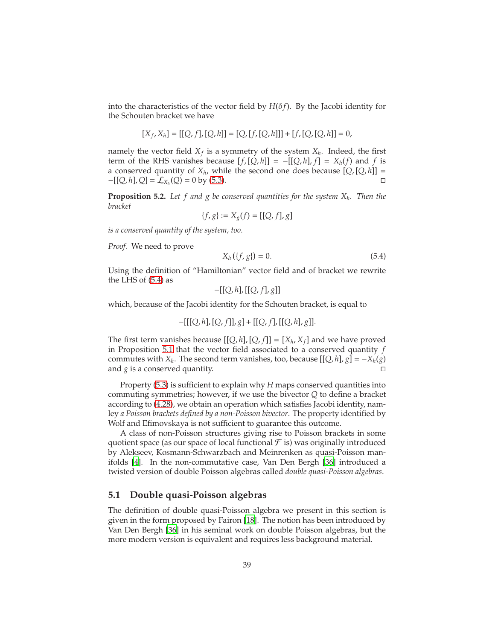into the characteristics of the vector field by  $H(\delta f)$ . By the Jacobi identity for the Schouten bracket we have

$$
[X_f, X_h] = [[Q, f], [Q, h]] = [Q, [f, [Q, h]]] + [f, [Q, [Q, h]] = 0,
$$

namely the vector field *X<sup>f</sup>* is a symmetry of the system *Xh*. Indeed, the first term of the RHS vanishes because  $[f, [Q, h]] = -[[Q, h], f] = X_h(f)$  and *f* is a conserved quantity of  $X_h$ , while the second one does because  $[Q, [Q, h]] =$  $-[[Q, h], Q] = \mathcal{L}_{X_h}(Q) = 0$  by [\(5.3\)](#page-37-0). □

**Proposition 5.2.** *Let f and g be conserved quantities for the system Xh. Then the bracket*

$$
\{f, g\} := X_g(f) = [[Q, f], g]
$$

*is a conserved quantity of the system, too.*

*Proof.* We need to prove

<span id="page-38-1"></span>
$$
X_h(\{f, g\}) = 0. \t(5.4)
$$

Using the definition of "Hamiltonian" vector field and of bracket we rewrite the LHS of [\(5.4\)](#page-38-1) as

$$
-[[Q,h],[[Q,f],g]]
$$

which, because of the Jacobi identity for the Schouten bracket, is equal to

$$
-[[[Q,h],[Q,f]],g]+[[Q,f],[[Q,h],g]].
$$

The first term vanishes because  $[[Q, h], [Q, f]] = [X_h, X_f]$  and we have proved in Proposition [5.1](#page-37-1) that the vector field associated to a conserved quantity *f* commutes with *X*<sup>*h*</sup>. The second term vanishes, too, because  $[[Q, h], g] = -X_h(g)$ and *g* is a conserved quantity.

Property [\(5.3\)](#page-37-0) is sufficient to explain why *H* maps conserved quantities into commuting symmetries; however, if we use the bivector *Q* to define a bracket according to [\(4.28\)](#page-32-2), we obtain an operation which satisfies Jacobi identity, namley *a Poisson brackets defined by a non-Poisson bivector*. The property identified by Wolf and Efimovskaya is not sufficient to guarantee this outcome.

A class of non-Poisson structures giving rise to Poisson brackets in some quotient space (as our space of local functional  $\mathcal F$  is) was originally introduced by Alekseev, Kosmann-Schwarzbach and Meinrenken as quasi-Poisson manifolds [\[4](#page-63-7)]. In the non-commutative case, Van Den Bergh [\[36](#page-65-0)] introduced a twisted version of double Poisson algebras called *double quasi-Poisson algebras*.

### <span id="page-38-0"></span>**5.1 Double quasi-Poisson algebras**

The definition of double quasi-Poisson algebra we present in this section is given in the form proposed by Fairon [\[18\]](#page-64-14). The notion has been introduced by Van Den Bergh [\[36](#page-65-0)] in his seminal work on double Poisson algebras, but the more modern version is equivalent and requires less background material.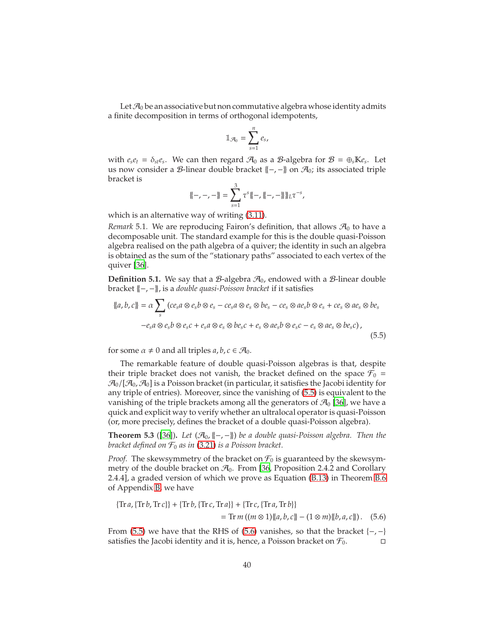Let  $\mathcal{A}_0$  be an associative but non commutative algebra whose identity admits a finite decomposition in terms of orthogonal idempotents,

$$
\mathbb{1}_{\mathcal{A}_0} = \sum_{s=1}^n e_s,
$$

with  $e_s e_t = \delta_{st} e_s$ . We can then regard  $\mathcal{A}_0$  as a  $\mathcal{B}$ -algebra for  $\mathcal{B} = \bigoplus_s \mathbb{K} e_s$ . Let us now consider a *B*-linear double bracket  $\{-, -\}$  on  $\mathcal{A}_0$ ; its associated triple bracket is

<span id="page-39-0"></span>
$$
\{-,-,-\} = \sum_{s=1}^{3} \tau^{s} \{-,\{-,-\}\}_{L} \tau^{-s},
$$

which is an alternative way of writing  $(3.11)$ .

*Remark* 5.1. We are reproducing Fairon's definition, that allows  $A_0$  to have a decomposable unit. The standard example for this is the double quasi-Poisson algebra realised on the path algebra of a quiver; the identity in such an algebra is obtained as the sum of the "stationary paths" associated to each vertex of the quiver [\[36\]](#page-65-0).

<span id="page-39-3"></span>**Definition 5.1.** We say that a  $\mathcal{B}$ -algebra  $\mathcal{A}_0$ , endowed with a  $\mathcal{B}$ -linear double bracket {{−, −}}, is a *double quasi-Poisson bracket* if it satisfies

$$
\begin{aligned} \n\{a, b, c\} &= \alpha \sum_{s} \left( ce_{s}a \otimes e_{s}b \otimes e_{s} - ce_{s}a \otimes e_{s} \otimes be_{s} - ce_{s} \otimes ae_{s}b \otimes e_{s} + ce_{s} \otimes ae_{s} \otimes be_{s} \right. \\ \n&\left.-e_{s}a \otimes e_{s}b \otimes e_{s}c + e_{s}a \otimes e_{s} \otimes be_{s}c + e_{s} \otimes ae_{s}b \otimes e_{s}c - e_{s} \otimes ae_{s} \otimes be_{s}c \right), \n\end{aligned} \tag{5.5}
$$

for some  $\alpha \neq 0$  and all triples  $a, b, c \in \mathcal{A}_0$ .

The remarkable feature of double quasi-Poisson algebras is that, despite their triple bracket does not vanish, the bracket defined on the space  $\mathcal{F}_0$  =  $\mathcal{A}_0/[\mathcal{A}_0,\mathcal{A}_0]$  is a Poisson bracket (in particular, it satisfies the Jacobi identity for any triple of entries). Moreover, since the vanishing of [\(5.5\)](#page-39-0) is equivalent to the vanishing of the triple brackets among all the generators of  $\mathcal{A}_0$  [\[36\]](#page-65-0), we have a quick and explicit way to verify whether an ultralocal operator is quasi-Poisson (or, more precisely, defines the bracket of a double quasi-Poisson algebra).

<span id="page-39-2"></span>**Theorem 5.3** ([\[36\]](#page-65-0)). *Let*  $(\mathcal{A}_0, \{-, -\})$  *be a double quasi-Poisson algebra. Then the bracket defined on*  $\mathcal{F}_0$  *as in* [\(3.21\)](#page-16-1) *is a Poisson bracket.* 

*Proof.* The skewsymmetry of the bracket on  $\mathcal{F}_0$  is guaranteed by the skewsymmetry of the double bracket on  $\mathcal{A}_0$ . From [\[36,](#page-65-0) Proposition 2.4.2 and Corollary 2.4.4], a graded version of which we prove as Equation [\(B.13\)](#page-62-0) in Theorem [B.6](#page-61-0) of Appendix [B,](#page-57-0) we have

<span id="page-39-1"></span>
$$
\begin{aligned} \{ \text{Tr}\,a, \{\text{Tr}\,b, \text{Tr}\,c\} \} + \{ \text{Tr}\,b, \{\text{Tr}\,c, \text{Tr}\,a\} \} + \{ \text{Tr}\,c, \{\text{Tr}\,a, \text{Tr}\,b\} \} \\ &= \text{Tr}\,m\left( (m \otimes 1) \{ \{a, b, c\} \} - (1 \otimes m) \{ \{b, a, c\} \} \right). \end{aligned} \tag{5.6}
$$

From [\(5.5\)](#page-39-0) we have that the RHS of [\(5.6\)](#page-39-1) vanishes, so that the bracket  $\{-, -\}$ satisfies the Jacobi identity and it is, hence, a Poisson bracket on  $\mathcal{F}_0$ .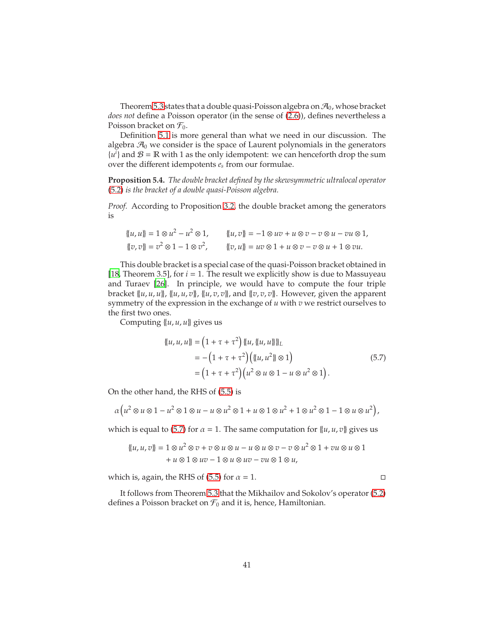Theorem [5.3](#page-39-2) states that a double quasi-Poisson algebra on  $\mathcal{A}_0$ , whose bracket *does not* define a Poisson operator (in the sense of [\(2.6\)](#page-7-0)), defines nevertheless a Poisson bracket on  $\mathcal{F}_0$ .

Definition [5.1](#page-39-3) is more general than what we need in our discussion. The algebra  $\mathcal{A}_0$  we consider is the space of Laurent polynomials in the generators  ${u}^i$  and  $\mathcal{B} = \mathbb{R}$  with 1 as the only idempotent: we can henceforth drop the sum over the different idempotents *e<sup>s</sup>* from our formulae.

<span id="page-40-1"></span>**Proposition 5.4.** *The double bracket defined by the skewsymmetric ultralocal operator* [\(5.2\)](#page-37-2) *is the bracket of a double quasi-Poisson algebra.*

*Proof.* According to Proposition [3.2,](#page-14-4) the double bracket among the generators is

$$
\begin{aligned} \n\{u, u\} &= 1 \otimes u^2 - u^2 \otimes 1, & \{u, v\} &= -1 \otimes uv + u \otimes v - v \otimes u - vu \otimes 1, \\ \n\{v, v\} &= v^2 \otimes 1 - 1 \otimes v^2, & \{v, u\} &= uv \otimes 1 + u \otimes v - v \otimes u + 1 \otimes vu. \n\end{aligned}
$$

This double bracket is a special case of the quasi-Poisson bracket obtained in [\[18,](#page-64-14) Theorem 3.5], for *i* = 1. The result we explicitly show is due to Massuyeau and Turaev [\[26\]](#page-64-15). In principle, we would have to compute the four triple bracket {{*u*, *u*, *u*}}, {{*u*, *u*, *v*}}, {{*u*, *v*, *v*}}, and {{*v*, *v*, *v*}}. However, given the apparent symmetry of the expression in the exchange of *u* with *v* we restrict ourselves to the first two ones.

Computing {{*u*, *u*, *u*}} gives us

<span id="page-40-0"></span>
$$
\begin{aligned} \n\{\{u, u, u\}\} &= \left(1 + \tau + \tau^2\right) \{\{u, \{\{u, u\}\}\}\}_L \\ \n&= -\left(1 + \tau + \tau^2\right) \left(\{\{u, u^2\}\} \otimes 1\right) \\ \n&= \left(1 + \tau + \tau^2\right) \left(u^2 \otimes u \otimes 1 - u \otimes u^2 \otimes 1\right). \n\end{aligned} \tag{5.7}
$$

On the other hand, the RHS of [\(5.5\)](#page-39-0) is

$$
\alpha \left(u^2 \otimes u \otimes 1 - u^2 \otimes 1 \otimes u - u \otimes u^2 \otimes 1 + u \otimes 1 \otimes u^2 + 1 \otimes u^2 \otimes 1 - 1 \otimes u \otimes u^2\right),\
$$

which is equal to [\(5.7\)](#page-40-0) for  $\alpha = 1$ . The same computation for  $\{u, u, v\}$  gives us

$$
\{u, u, v\} = 1 \otimes u^2 \otimes v + v \otimes u \otimes u - u \otimes u \otimes v - v \otimes u^2 \otimes 1 + vu \otimes u \otimes 1
$$
  
+  $u \otimes 1 \otimes uv - 1 \otimes u \otimes uv - vu \otimes 1 \otimes u$ ,

which is, again, the RHS of [\(5.5\)](#page-39-0) for  $\alpha = 1$ .

It follows from Theorem [5.3](#page-39-2) that the Mikhailov and Sokolov's operator [\(5.2\)](#page-37-2) defines a Poisson bracket on  $\mathcal{F}_0$  and it is, hence, Hamiltonian.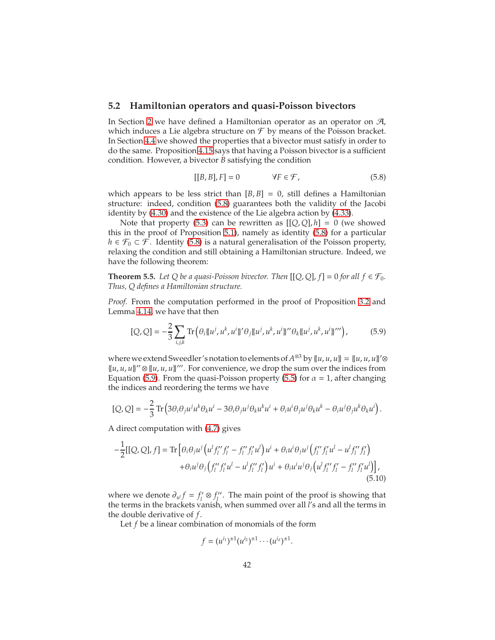### <span id="page-41-0"></span>**5.2 Hamiltonian operators and quasi-Poisson bivectors**

In Section [2](#page-3-0) we have defined a Hamiltonian operator as an operator on A, which induces a Lie algebra structure on  $\mathcal F$  by means of the Poisson bracket. In Section [4.4](#page-31-0) we showed the properties that a bivector must satisfy in order to do the same. Proposition [4.15](#page-35-1) says that having a Poisson bivector is a sufficient condition. However, a bivector *B* satisfying the condition

<span id="page-41-2"></span><span id="page-41-1"></span>
$$
[[B, B], F] = 0 \qquad \forall F \in \mathcal{F}, \tag{5.8}
$$

which appears to be less strict than  $[B, B] = 0$ , still defines a Hamiltonian structure: indeed, condition [\(5.8\)](#page-41-1) guarantees both the validity of the Jacobi identity by [\(4.30\)](#page-32-3) and the existence of the Lie algebra action by [\(4.33\)](#page-33-4).

Note that property [\(5.3\)](#page-37-0) can be rewritten as  $[[Q,Q],h] = 0$  (we showed this in the proof of Proposition [5.1\)](#page-37-1), namely as identity [\(5.8\)](#page-41-1) for a particular *h* ∈  $\mathcal{F}_0$  ⊂  $\mathcal{F}$ . Identity [\(5.8\)](#page-41-1) is a natural generalisation of the Poisson property, relaxing the condition and still obtaining a Hamiltonian structure. Indeed, we have the following theorem:

<span id="page-41-4"></span>**Theorem 5.5.** Let Q be a quasi-Poisson bivector. Then  $[[Q, Q], f] = 0$  for all  $f \in \mathcal{F}_0$ . *Thus, Q defines a Hamiltonian structure.*

*Proof.* From the computation performed in the proof of Proposition [3.2](#page-14-4) and Lemma [4.14,](#page-34-1) we have that then

$$
[Q, Q] = -\frac{2}{3} \sum_{i,j,k} \text{Tr} \left( \theta_i \{ u^j, u^k, u^i \}^t \theta_j \{ u^j, u^k, u^i \}^{\prime\prime} \theta_k \{ u^j, u^k, u^i \}^{\prime\prime} \right), \tag{5.9}
$$

where we extend Sweedler's notation to elements of  $A^{\otimes 3}$  by  $\{u, u, u\} = \{u, u, u\}'\otimes$  $\{(u, u, u)\}$ <sup>"</sup>  $\otimes$   $\{(u, u, u)\}$ ". For convenience, we drop the sum over the indices from Equation [\(5.9\)](#page-41-2). From the quasi-Poisson property [\(5.5\)](#page-39-0) for  $\alpha = 1$ , after changing the indices and reordering the terms we have

$$
[Q, Q] = -\frac{2}{3} \operatorname{Tr} \left( 3 \theta_i \theta_j u^j u^k \theta_k u^i - 3 \theta_i \theta_j u^j \theta_k u^k u^i + \theta_i u^i \theta_j u^j \theta_k u^k - \theta_i u^j \theta_j u^k \theta_k u^i \right).
$$

A direct computation with [\(4.7\)](#page-23-1) gives

$$
-\frac{1}{2}[[Q,Q],f] = \text{Tr}\left[\theta_i \theta_j u^j \left(u^l f''_l f'_l - f''_l f'_l u^l\right) u^i + \theta_i u^i \theta_j u^j \left(f''_l f'_l u^l - u^l f''_l f'_l\right) + \theta_i u^j \theta_j \left(f''_l f'_l u^l - u^l f''_l f'_l\right) u^i + \theta_i u^i u^j \theta_j \left(u^l f''_l f'_l - f''_l f'_l u^l\right)\right],
$$
\n
$$
(5.10)
$$

where we denote  $\partial_{u} f = f'_{l}$ *l* ⊗ *f* ′′ *l* . The main point of the proof is showing that the terms in the brackets vanish, when summed over all *l*'s and all the terms in the double derivative of *f*.

Let *f* be a linear combination of monomials of the form

<span id="page-41-3"></span>
$$
f=(u^{i_1})^{\pm 1}(u^{i_2})^{\pm 1}\cdots (u^{i_d})^{\pm 1}.
$$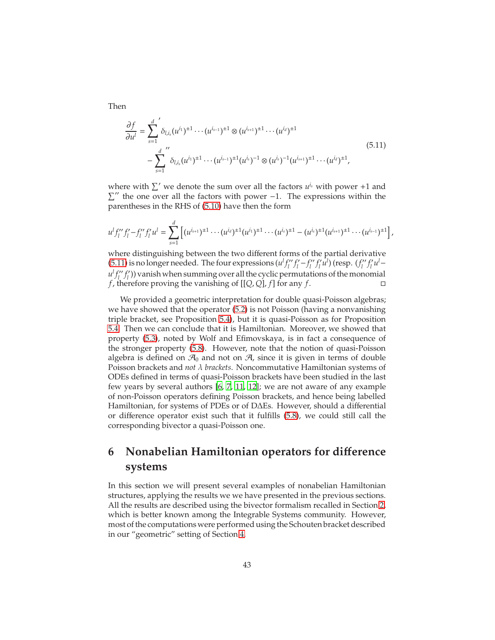Then

<span id="page-42-1"></span>
$$
\frac{\partial f}{\partial u^l} = \sum_{s=1}^d \delta_{l,i_s}(u^{i_1})^{\pm 1} \cdots (u^{i_{s-1}})^{\pm 1} \otimes (u^{i_{s+1}})^{\pm 1} \cdots (u^{i_d})^{\pm 1}
$$
\n
$$
- \sum_{s=1}^d \delta_{l,i_s}(u^{i_1})^{\pm 1} \cdots (u^{i_{s-1}})^{\pm 1} (u^{i_s})^{-1} \otimes (u^{i_s})^{-1} (u^{i_{s+1}})^{\pm 1} \cdots (u^{i_d})^{\pm 1},
$$
\n(5.11)

where with  $\sum'$  we denote the sum over all the factors  $u^{i_s}$  with power +1 and  $\Sigma''$  the one over all the factors with power −1. The expressions within the parentheses in the RHS of [\(5.10\)](#page-41-3) have then the form

$$
u^l f_l'' f_l' - f_l'' f_l' u^l = \sum_{s=1}^d \left[ (u^{i_{s+1}})^{\pm 1} \cdots (u^{i_d})^{\pm 1} (u^{i_1})^{\pm 1} \cdots (u^{i_s})^{\pm 1} - (u^{i_s})^{\pm 1} (u^{i_{s+1}})^{\pm 1} \cdots (u^{i_{s-1}})^{\pm 1} \right],
$$

where distinguishing between the two different forms of the partial derivative [\(5.11\)](#page-42-1) is no longer needed. The four expressions  $(u<sup>1</sup> f''_i)$ *l f* ′ *l*′<sup>′</sup> − *f*<sub>*l′′*</sub> *l f* ′ *l u l* ) (resp. (*f* ′′ *l f* ′ *l u l*−  $u^l f''_l$ *l f* ′ *l* )) vanish when summing over all the cyclic permutations of the monomial *f*, therefore proving the vanishing of [[*Q*, *Q*], *f*] for any *f*.

We provided a geometric interpretation for double quasi-Poisson algebras; we have showed that the operator [\(5.2\)](#page-37-2) is not Poisson (having a nonvanishing triple bracket, see Proposition [5.4\)](#page-40-1), but it is quasi-Poisson as for Proposition [5.4.](#page-40-1) Then we can conclude that it is Hamiltonian. Moreover, we showed that property [\(5.3\)](#page-37-0), noted by Wolf and Efimovskaya, is in fact a consequence of the stronger property [\(5.8\)](#page-41-1). However, note that the notion of quasi-Poisson algebra is defined on  $\mathcal{A}_0$  and not on  $\mathcal{A}_r$  since it is given in terms of double Poisson brackets and *not* λ *brackets*. Noncommutative Hamiltonian systems of ODEs defined in terms of quasi-Poisson brackets have been studied in the last few years by several authors [\[6,](#page-63-8) [7,](#page-63-9) [11,](#page-63-10) [12](#page-63-11)]; we are not aware of any example of non-Poisson operators defining Poisson brackets, and hence being labelled Hamiltonian, for systems of PDEs or of D∆Es. However, should a differential or difference operator exist such that it fulfills [\(5.8\)](#page-41-1), we could still call the corresponding bivector a quasi-Poisson one.

## <span id="page-42-0"></span>**6 Nonabelian Hamiltonian operators for di**ff**erence systems**

In this section we will present several examples of nonabelian Hamiltonian structures, applying the results we we have presented in the previous sections. All the results are described using the bivector formalism recalled in Section [2,](#page-3-0) which is better known among the Integrable Systems community. However, most of the computations were performed using the Schouten bracket described in our "geometric" setting of Section [4.](#page-20-0)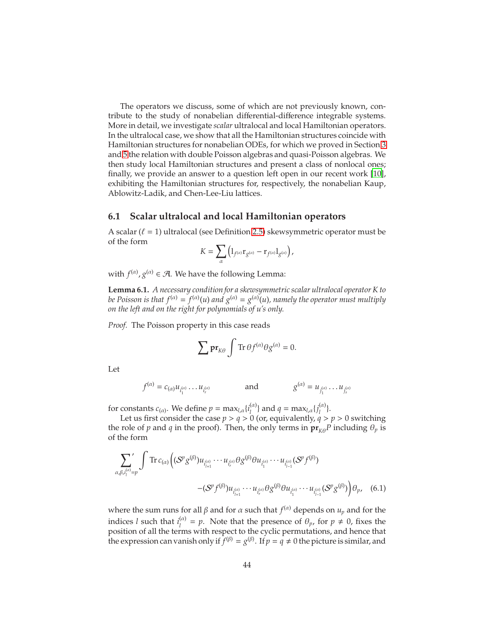The operators we discuss, some of which are not previously known, contribute to the study of nonabelian differential-difference integrable systems. More in detail, we investigate *scalar* ultralocal and local Hamiltonian operators. In the ultralocal case, we show that all the Hamiltonian structures coincide with Hamiltonian structures for nonabelian ODEs, for which we proved in Section [3](#page-8-0) and [5](#page-36-0) the relation with double Poisson algebras and quasi-Poisson algebras. We then study local Hamiltonian structures and present a class of nonlocal ones; finally, we provide an answer to a question left open in our recent work [\[10\]](#page-63-0), exhibiting the Hamiltonian structures for, respectively, the nonabelian Kaup, Ablowitz-Ladik, and Chen-Lee-Liu lattices.

### <span id="page-43-0"></span>**6.1 Scalar ultralocal and local Hamiltonian operators**

A scalar  $(\ell = 1)$  ultralocal (see Definition [2.5\)](#page-5-2) skewsymmetric operator must be of the form

$$
K=\sum_{\alpha}\left(\mathbb{1}_{f^{(\alpha)}}\mathrm{r}_{g^{(\alpha)}}-\mathrm{r}_{f^{(\alpha)}}\mathbb{1}_{g^{(\alpha)}}\right),
$$

with  $f^{(\alpha)}$ ,  $g^{(\alpha)} \in \mathcal{A}$ . We have the following Lemma:

<span id="page-43-2"></span>**Lemma 6.1.** *A necessary condition for a skewsymmetric scalar ultralocal operator K to be Poisson is that*  $f^{(\alpha)} = f^{(\alpha)}(u)$  *and*  $g^{(\alpha)} = g^{(\alpha)}(u)$ *, namely the operator must multiply on the left and on the right for polynomials of u's only.*

*Proof.* The Poisson property in this case reads

<span id="page-43-1"></span>
$$
\sum \mathbf{pr}_{K\theta} \int \mathrm{Tr} \, \theta f^{(\alpha)} \theta g^{(\alpha)} = 0.
$$

Let

$$
f^{(\alpha)} = c_{(\alpha)} u_{i_1^{(\alpha)}} \dots u_{i_r^{(\alpha)}}
$$
 and  $g^{(\alpha)} = u_{j_1^{(\alpha)}} \dots u_{j_s^{(\alpha)}}$ 

for constants  $c_{(\alpha)}$ . We define  $p = \max_{l,\alpha} \{i_j^{(\alpha)}\}$ <sup>(*a*)</sup>} and *q* = max<sub>*l*,*α*</sub> {*j*<sup>(*a*)</sup><sub>*l*</sub>  $\binom{(\alpha)}{l}$ .

Let us first consider the case  $p > q > 0$  (or, equivalently,  $q > p > 0$  switching the role of *p* and *q* in the proof). Then, the only terms in  $\mathbf{pr}_{K\theta}P$  including  $\theta_p$  is of the form

$$
\sum_{\alpha,\beta,i_{l}^{(\alpha)}=p} \int \text{Tr} \, c_{(\alpha)} \Big( (\mathcal{S}^p \mathcal{S}^{(\beta)}) u_{i_{l+1}^{(\alpha)}} \cdots u_{i_{r}^{(\alpha)}} \theta \mathcal{S}^{(\beta)} \theta u_{i_{l}^{(\alpha)}} \cdots u_{i_{l-1}^{(\alpha)}} (\mathcal{S}^p f^{(\beta)}) - (\mathcal{S}^p f^{(\beta)}) u_{i_{l+1}^{(\alpha)}} \cdots u_{i_{r}^{(\alpha)}} \theta \mathcal{S}^{(\beta)} \theta u_{i_{l}^{(\alpha)}} \cdots u_{i_{l-1}^{(\alpha)}} (\mathcal{S}^p \mathcal{S}^{(\beta)}) \Big) \theta_p, \quad (6.1)
$$

where the sum runs for all  $\beta$  and for  $\alpha$  such that  $f^{(\alpha)}$  depends on  $u_p$  and for the indices *l* such that  $i_1^{(\alpha)}$  $\theta$ <sup>(a)</sup> = *p*. Note that the presence of  $\theta$ <sub>*p*</sub>, for *p*  $\neq$  0, fixes the position of all the terms with respect to the cyclic permutations, and hence that the expression can vanish only if  $\bar{f}^{(\beta)} = g^{(\beta)}$ . If  $p = q \neq 0$  the picture is similar, and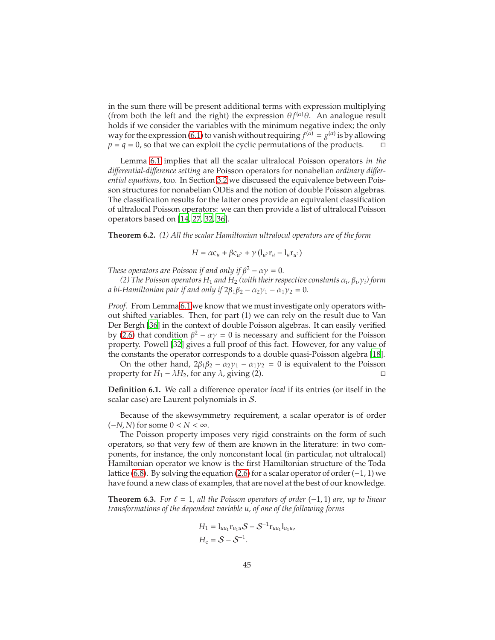in the sum there will be present additional terms with expression multiplying (from both the left and the right) the expression  $\theta f^{(\alpha)}\theta$ . An analogue result holds if we consider the variables with the minimum negative index; the only way for the expression [\(6.1\)](#page-43-1) to vanish without requiring  $f^{(\alpha)} = g^{(\alpha)}$  is by allowing  $p = q = 0$ , so that we can exploit the cyclic permutations of the products.  $\Box$ 

Lemma [6.1](#page-43-2) implies that all the scalar ultralocal Poisson operators *in the di*ff*erential-di*ff*erence setting* are Poisson operators for nonabelian *ordinary di*ff*erential equations*, too. In Section [3.2](#page-12-0) we discussed the equivalence between Poisson structures for nonabelian ODEs and the notion of double Poisson algebras. The classification results for the latter ones provide an equivalent classification of ultralocal Poisson operators: we can then provide a list of ultralocal Poisson operators based on [\[14](#page-63-1), [27](#page-64-2), [32](#page-65-5), [36](#page-65-0)].

<span id="page-44-0"></span>**Theorem 6.2.** *(1) All the scalar Hamiltonian ultralocal operators are of the form*

*H* =  $\alpha$ **c**<sub>*u*</sub> +  $\beta$ **c**<sub>*u*</sub><sup>2</sup> +  $\gamma$  (l<sub>*u*</sub>2**r**<sub>*u*</sub> - l<sub>*u*</sub>**r**<sub>*u*</sub><sup>2</sup>)

*These operators are Poisson if and only if*  $\beta^2 - \alpha \gamma = 0$ *.* 

*(2) The Poisson operators H*<sup>1</sup> *and H*<sup>2</sup> *(with their respective constants* α*<sup>i</sup> ,* β*<sup>i</sup> ,*γ*i) form a* bi-Hamiltonian pair if and only if  $2\beta_1\beta_2 - \alpha_2\gamma_1 - \alpha_1\gamma_2 = 0$ .

*Proof.* From Lemma [6.1](#page-43-2) we know that we must investigate only operators without shifted variables. Then, for part (1) we can rely on the result due to Van Der Bergh [\[36\]](#page-65-0) in the context of double Poisson algebras. It can easily verified by [\(2.6\)](#page-7-0) that condition  $\beta^2 - \alpha \gamma = 0$  is necessary and sufficient for the Poisson property. Powell [\[32\]](#page-65-5) gives a full proof of this fact. However, for any value of the constants the operator corresponds to a double quasi-Poisson algebra [\[18\]](#page-64-14).

On the other hand,  $2\beta_1\beta_2 - \alpha_2\gamma_1 - \alpha_1\gamma_2 = 0$  is equivalent to the Poisson property for *H*<sub>1</sub> –  $\lambda$ *H*<sub>2</sub>, for any  $\lambda$ , giving (2).

**Definition 6.1.** We call a difference operator *local* if its entries (or itself in the scalar case) are Laurent polynomials in S.

Because of the skewsymmetry requirement, a scalar operator is of order (−*N*, *N*) for some 0 < *N* < ∞.

The Poisson property imposes very rigid constraints on the form of such operators, so that very few of them are known in the literature: in two components, for instance, the only nonconstant local (in particular, not ultralocal) Hamiltonian operator we know is the first Hamiltonian structure of the Toda lattice [\(6.8\)](#page-49-0). By solving the equation [\(2.6\)](#page-7-0) for a scalar operator of order  $(-1, 1)$  we have found a new class of examples, that are novel at the best of our knowledge.

**Theorem 6.3.** *For*  $\ell = 1$ , all the Poisson operators of order  $(-1, 1)$  are, up to linear *transformations of the dependent variable u, of one of the following forms*

$$
H_1 = l_{uu_1}r_{u_1u}S - S^{-1}r_{uu_1}l_{u_1u},
$$
  

$$
H_c = S - S^{-1}.
$$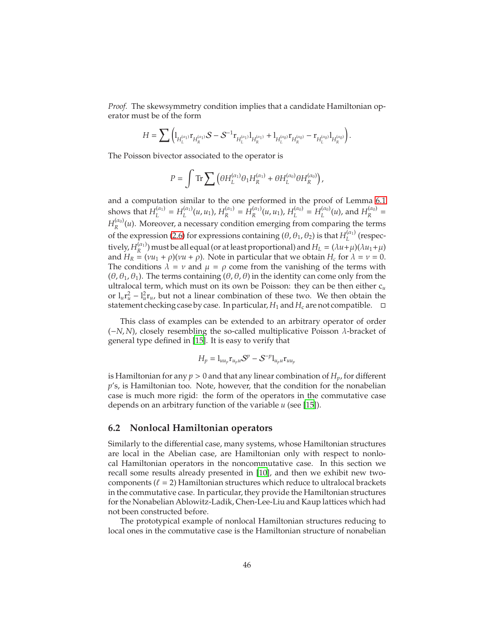*Proof.* The skewsymmetry condition implies that a candidate Hamiltonian operator must be of the form

$$
H = \sum \Big(\mathbb{1}_{H_L^{(\alpha_1)}} \mathbf{r}_{H_R^{(\alpha_1)}} S - S^{-1} \mathbf{r}_{H_L^{(\alpha_1)}} \mathbb{1}_{H_R^{(\alpha_1)}} + \mathbb{1}_{H_L^{(\alpha_0)}} \mathbf{r}_{H_R^{(\alpha_0)}} - \mathbf{r}_{H_L^{(\alpha_0)}} \mathbb{1}_{H_R^{(\alpha_0)}} \Big).
$$

The Poisson bivector associated to the operator is

$$
P = \int \text{Tr} \sum \left( \theta H_L^{(\alpha_1)} \theta_1 H_R^{(\alpha_1)} + \theta H_L^{(\alpha_0)} \theta H_R^{(\alpha_0)} \right),
$$

and a computation similar to the one performed in the proof of Lemma [6.1](#page-43-2) shows that  $H_I^{(\alpha_1)}$  $L^{(\alpha_1)} = H^{(\alpha_1)}_L$  $L^{(\alpha_1)}(u, u_1)$ ,  $H^{(\alpha_1)}_R$  $H_R^{(\alpha_1)} = H_R^{(\alpha_1)}$  $H_R^{(\alpha_1)}(u,u_1), H_L^{(\alpha_0)}$  $L^{(\alpha_0)} = H^{(\alpha_0)}_L$  $L^{(\alpha_0)}(\mu)$ , and  $H^{(\alpha_0)}_R$  $\frac{(\alpha_0)}{R}$  =  $H_{\mathcal{R}}^{(\alpha_{0})}$  $R_R^{\mu_0}(\mu)$ . Moreover, a necessary condition emerging from comparing the terms of the expression [\(2.6\)](#page-7-0) for expressions containing  $(\theta, \theta_1, \theta_2)$  is that  $H_L^{(\alpha_1)}$  $L^{(u_1)}$  (respectively,  $H_R^{(\alpha_1)}$  $R_R^{(\alpha_1)}$ ) must be all equal (or at least proportional) and  $H_L = (\lambda u + \mu)(\lambda u_1 + \mu)$ and  $H_R = (vu_1 + \rho)(vu + \rho)$ . Note in particular that we obtain  $H_c$  for  $\lambda = v = 0$ . The conditions  $\lambda = \nu$  and  $\mu = \rho$  come from the vanishing of the terms with  $(\theta, \theta_1, \theta_1)$ . The terms containing  $(\theta, \theta, \theta)$  in the identity can come only from the ultralocal term, which must on its own be Poisson: they can be then either c*<sup>u</sup>* or  $l_u r_u^2 - l_u^2 r_u$ , but not a linear combination of these two. We then obtain the statement checking case by case. In particular,  $H_1$  and  $H_c$  are not compatible.  $\Box$ 

This class of examples can be extended to an arbitrary operator of order (−*N*, *N*), closely resembling the so-called multiplicative Poisson λ-bracket of general type defined in [\[15\]](#page-63-2). It is easy to verify that

$$
H_p = 1_{uu_p} \mathbf{r}_{u_p u} S^p - S^{-p} 1_{u_p u} \mathbf{r}_{uu_p}
$$

is Hamiltonian for any  $p > 0$  and that any linear combination of  $H_p$ , for different *p*'s, is Hamiltonian too. Note, however, that the condition for the nonabelian case is much more rigid: the form of the operators in the commutative case depends on an arbitrary function of the variable *u* (see [\[15\]](#page-63-2)).

### <span id="page-45-0"></span>**6.2 Nonlocal Hamiltonian operators**

Similarly to the differential case, many systems, whose Hamiltonian structures are local in the Abelian case, are Hamiltonian only with respect to nonlocal Hamiltonian operators in the noncommutative case. In this section we recall some results already presented in [\[10](#page-63-0)], and then we exhibit new twocomponents ( $\ell = 2$ ) Hamiltonian structures which reduce to ultralocal brackets in the commutative case. In particular, they provide the Hamiltonian structures for the Nonabelian Ablowitz-Ladik, Chen-Lee-Liu and Kaup lattices which had not been constructed before.

The prototypical example of nonlocal Hamiltonian structures reducing to local ones in the commutative case is the Hamiltonian structure of nonabelian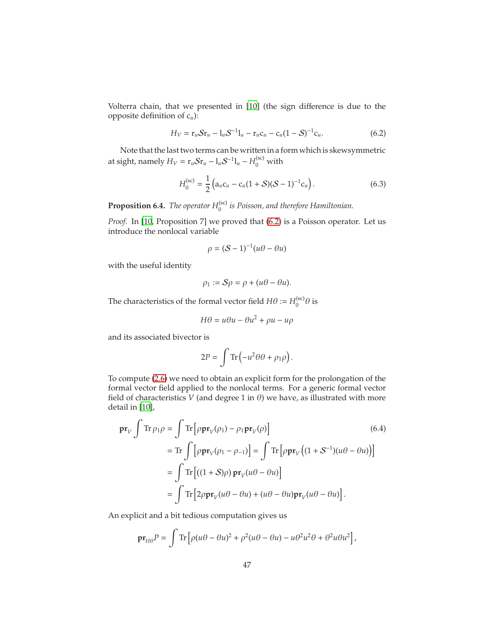Volterra chain, that we presented in [\[10\]](#page-63-0) (the sign difference is due to the opposite definition of c*u*):

$$
H_V = r_u S r_u - l_u S^{-1} l_u - r_u c_u - c_u (1 - S)^{-1} c_u.
$$
 (6.2)

Note that the last two terms can be written in a form which is skewsymmetric at sight, namely  $H_V = \frac{r_u S r_u - l_u S^{-1} l_u - H_0^{(sc)}}{v}$  with

<span id="page-46-0"></span>
$$
H_0^{(sc)} = \frac{1}{2} \left( a_u c_u - c_u (1 + S) (S - 1)^{-1} c_u \right).
$$
 (6.3)

<span id="page-46-2"></span>**Proposition 6.4.** *The operator*  $H_0^{(\text{sc})}$  *is Poisson, and therefore Hamiltonian.* 

*Proof.* In [\[10,](#page-63-0) Proposition 7] we proved that [\(6.2\)](#page-46-0) is a Poisson operator. Let us introduce the nonlocal variable

<span id="page-46-1"></span>
$$
\rho = (S-1)^{-1}(u\theta - \theta u)
$$

with the useful identity

$$
\rho_1 := \mathcal{S}\rho = \rho + (u\theta - \theta u).
$$

The characteristics of the formal vector field  $H\theta := H_0^{(sc)}$  $\int_0^{(sc)} \theta$  is

$$
H\theta = u\theta u - \theta u^2 + \rho u - u\rho
$$

and its associated bivector is

<span id="page-46-3"></span>
$$
2P = \int \text{Tr} \left( -u^2 \theta \theta + \rho_1 \rho \right).
$$

To compute [\(2.6\)](#page-7-0) we need to obtain an explicit form for the prolongation of the formal vector field applied to the nonlocal terms. For a generic formal vector field of characteristics  $V$  (and degree 1 in  $\theta$ ) we have, as illustrated with more detail in [\[10\]](#page-63-0),

$$
\mathbf{pr}_{V} \int \operatorname{Tr} \rho_{1} \rho = \int \operatorname{Tr} \left[ \rho \mathbf{pr}_{V}(\rho_{1}) - \rho_{1} \mathbf{pr}_{V}(\rho) \right] \tag{6.4}
$$
\n
$$
= \operatorname{Tr} \int \left[ \rho \mathbf{pr}_{V}(\rho_{1} - \rho_{-1}) \right] = \int \operatorname{Tr} \left[ \rho \mathbf{pr}_{V} \left( (1 + S^{-1})(u\theta - \theta u) \right) \right]
$$
\n
$$
= \int \operatorname{Tr} \left[ ((1 + S)\rho) \mathbf{pr}_{V}(u\theta - \theta u) \right]
$$
\n
$$
= \int \operatorname{Tr} \left[ 2\rho \mathbf{pr}_{V}(u\theta - \theta u) + (u\theta - \theta u) \mathbf{pr}_{V}(u\theta - \theta u) \right].
$$

An explicit and a bit tedious computation gives us

$$
\mathbf{pr}_{H\theta}P = \int \text{Tr} \left[ \rho(u\theta - \theta u)^2 + \rho^2(u\theta - \theta u) - u\theta^2 u^2 \theta + \theta^2 u \theta u^2 \right],
$$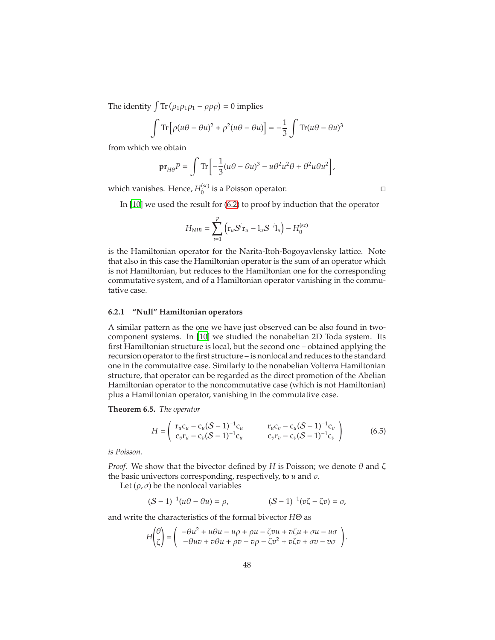The identity  $\int Tr (\rho_1 \rho_1 \rho_1 - \rho \rho \rho) = 0$  implies

$$
\int \text{Tr} \left[ \rho (u\theta - \theta u)^2 + \rho^2 (u\theta - \theta u) \right] = -\frac{1}{3} \int \text{Tr} (u\theta - \theta u)^3
$$

from which we obtain

$$
\mathbf{pr}_{H\theta}P = \int \text{Tr}\left[-\frac{1}{3}(u\theta - \theta u)^3 - u\theta^2 u^2 \theta + \theta^2 u\theta u^2\right],
$$

which vanishes. Hence,  $H_0^{(sc)}$  $\int_0^{(sc)}$  is a Poisson operator.

In [\[10\]](#page-63-0) we used the result for [\(6.2\)](#page-46-0) to proof by induction that the operator

$$
H_{NIB} = \sum_{i=1}^{p} (r_u S^{i} r_u - l_u S^{-i} l_u) - H_0^{(sc)}
$$

is the Hamiltonian operator for the Narita-Itoh-Bogoyavlensky lattice. Note that also in this case the Hamiltonian operator is the sum of an operator which is not Hamiltonian, but reduces to the Hamiltonian one for the corresponding commutative system, and of a Hamiltonian operator vanishing in the commutative case.

#### <span id="page-47-0"></span>**6.2.1 "Null" Hamiltonian operators**

A similar pattern as the one we have just observed can be also found in twocomponent systems. In [\[10\]](#page-63-0) we studied the nonabelian 2D Toda system. Its first Hamiltonian structure is local, but the second one – obtained applying the recursion operator to the first structure – is nonlocal and reduces to the standard one in the commutative case. Similarly to the nonabelian Volterra Hamiltonian structure, that operator can be regarded as the direct promotion of the Abelian Hamiltonian operator to the noncommutative case (which is not Hamiltonian) plus a Hamiltonian operator, vanishing in the commutative case.

<span id="page-47-2"></span>**Theorem 6.5.** *The operator*

<span id="page-47-1"></span>
$$
H = \begin{pmatrix} r_u c_u - c_u (S-1)^{-1} c_u & r_u c_v - c_u (S-1)^{-1} c_v \\ c_v r_u - c_v (S-1)^{-1} c_u & c_v r_v - c_v (S-1)^{-1} c_v \end{pmatrix}
$$
(6.5)

*is Poisson.*

*Proof.* We show that the bivector defined by *H* is Poisson; we denote  $\theta$  and  $\zeta$ the basic univectors corresponding, respectively, to *u* and *v*.

Let  $(\rho, \sigma)$  be the nonlocal variables

$$
(\mathcal{S}-1)^{-1}(u\theta - \theta u) = \rho, \qquad (\mathcal{S}-1)^{-1}(v\zeta - \zeta v) = \sigma,
$$

and write the characteristics of the formal bivector *H*Θ as

$$
H\begin{pmatrix} \theta \\ \zeta \end{pmatrix} = \begin{pmatrix} -\theta u^2 + u\theta u - u\rho + \rho u - \zeta vu + v\zeta u + \sigma u - u\sigma \\ -\theta uv + v\theta u + \rho v - v\rho - \zeta v^2 + v\zeta v + \sigma v - v\sigma \end{pmatrix}.
$$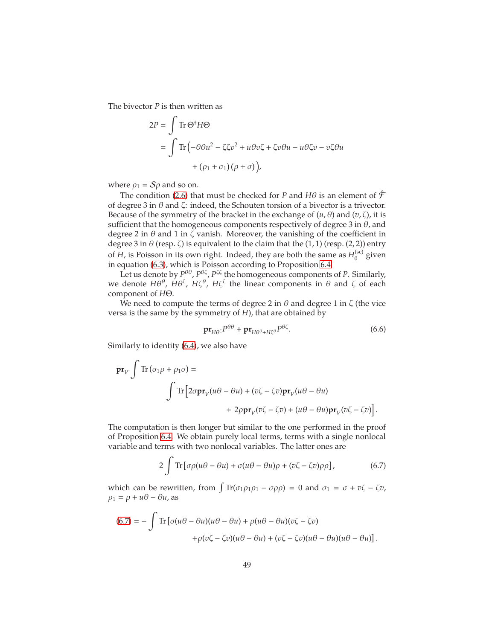The bivector *P* is then written as

$$
2P = \int \text{Tr} \Theta^{\dagger} H \Theta
$$
  
= 
$$
\int \text{Tr} \left( -\theta \theta u^2 - \zeta \zeta v^2 + u \theta v \zeta + \zeta v \theta u - u \theta \zeta v - v \zeta \theta u \right)
$$
  
+ 
$$
\left( \rho_1 + \sigma_1 \right) \left( \rho + \sigma \right) \Big),
$$

where  $\rho_1 = S\rho$  and so on.

The condition [\(2.6\)](#page-7-0) that must be checked for *P* and *H* $\theta$  is an element of  $\hat{\mathcal{F}}$ of degree 3 in  $\theta$  and  $\zeta$ : indeed, the Schouten torsion of a bivector is a trivector. Because of the symmetry of the bracket in the exchange of  $(u, \theta)$  and  $(v, \zeta)$ , it is sufficient that the homogeneous components respectively of degree 3 in  $\theta$ , and degree 2 in  $\theta$  and 1 in  $\zeta$  vanish. Moreover, the vanishing of the coefficient in degree 3 in  $\theta$  (resp.  $\zeta$ ) is equivalent to the claim that the (1, 1) (resp. (2, 2)) entry of *H*, is Poisson in its own right. Indeed, they are both the same as  $H_0^{(sc)}$  $_0^{\text{(sc)}}$  given in equation [\(6.3\)](#page-46-1), which is Poisson according to Proposition [6.4.](#page-46-2)

Let us denote by  $P^{\theta\theta}$ ,  $P^{\theta\zeta}$ ,  $P^{\zeta\zeta}$  the homogeneous components of *P*. Similarly, we denote  $H\theta^{\theta}$ ,  $H\theta^{\zeta}$ ,  $H\zeta^{\zeta}$ , the linear components in  $\theta$  and  $\zeta$  of each component of *H*Θ.

We need to compute the terms of degree 2 in  $\theta$  and degree 1 in  $\zeta$  (the vice versa is the same by the symmetry of *H*), that are obtained by

<span id="page-48-1"></span>
$$
\mathbf{pr}_{H\theta^{\zeta}} P^{\theta\theta} + \mathbf{pr}_{H\theta^{\theta} + H\zeta^{\theta}} P^{\theta\zeta}.
$$
 (6.6)

Similarly to identity [\(6.4\)](#page-46-3), we also have

$$
\mathbf{pr}_{V} \int \text{Tr} (\sigma_{1}\rho + \rho_{1}\sigma) =
$$
  

$$
\int \text{Tr} \Big[ 2\sigma \mathbf{pr}_{V}(u\theta - \theta u) + (v\zeta - \zeta v)\mathbf{pr}_{V}(u\theta - \theta u) + 2\rho \mathbf{pr}_{V}(v\zeta - \zeta v) + (u\theta - \theta u)\mathbf{pr}_{V}(v\zeta - \zeta v) \Big].
$$

The computation is then longer but similar to the one performed in the proof of Proposition [6.4.](#page-46-2) We obtain purely local terms, terms with a single nonlocal variable and terms with two nonlocal variables. The latter ones are

<span id="page-48-0"></span>
$$
2\int \text{Tr}\left[\sigma\rho(u\theta - \theta u) + \sigma(u\theta - \theta u)\rho + (v\zeta - \zeta v)\rho\rho\right],\tag{6.7}
$$

which can be rewritten, from  $\int Tr(\sigma_1 \rho_1 \rho_1 - \sigma \rho \rho) = 0$  and  $\sigma_1 = \sigma + \nu \zeta - \zeta \nu$ ,  $\rho_1 = \rho + u\theta - \theta u$ , as

$$
(6.7) = -\int \text{Tr} \left[ \sigma(u\theta - \theta u)(u\theta - \theta u) + \rho(u\theta - \theta u)(v\zeta - \zeta v) \right. \\ \left. + \rho(v\zeta - \zeta v)(u\theta - \theta u) + (v\zeta - \zeta v)(u\theta - \theta u)(u\theta - \theta u) \right].
$$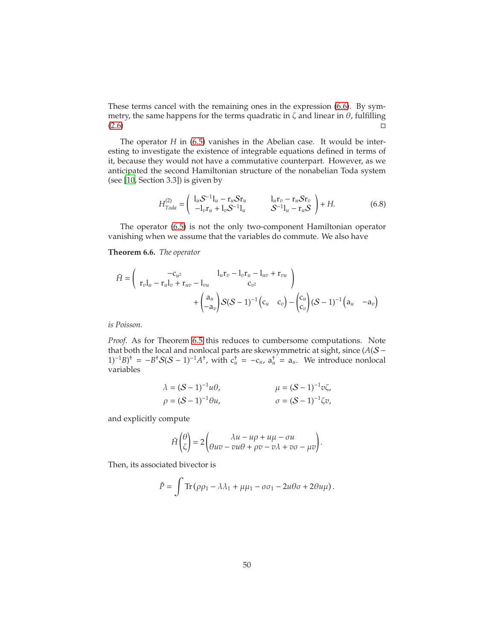These terms cancel with the remaining ones in the expression [\(6.6\)](#page-48-1). By symmetry, the same happens for the terms quadratic in  $\zeta$  and linear in  $\theta$ , fulfilling  $(2.6)$ 

The operator *H* in [\(6.5\)](#page-47-1) vanishes in the Abelian case. It would be interesting to investigate the existence of integrable equations defined in terms of it, because they would not have a commutative counterpart. However, as we anticipated the second Hamiltonian structure of the nonabelian Toda system (see [\[10,](#page-63-0) Section 3.3]) is given by

<span id="page-49-0"></span>
$$
H_{Toda}^{(2)} = \begin{pmatrix} l_u S^{-1}l_u - r_u S r_u & l_u r_v - r_u S r_v \\ -l_v r_u + l_v S^{-1}l_u & S^{-1}l_u - r_u S \end{pmatrix} + H.
$$
 (6.8)

The operator [\(6.5\)](#page-47-1) is not the only two-component Hamiltonian operator vanishing when we assume that the variables do commute. We also have

#### <span id="page-49-1"></span>**Theorem 6.6.** *The operator*

$$
\tilde{H} = \begin{pmatrix} -c_{u^2} & l_u r_v - l_v r_u - l_{uv} + r_{vu} \\ r_v l_u - r_u l_v + r_{uv} - l_{vu} & c_{v^2} \end{pmatrix} + \begin{pmatrix} a_u \\ -a_v \end{pmatrix} S(S-1)^{-1} \begin{pmatrix} c_u & c_v \end{pmatrix} - \begin{pmatrix} c_u \\ c_v \end{pmatrix} (S-1)^{-1} \begin{pmatrix} a_u & -a_v \end{pmatrix}
$$

*is Poisson.*

*Proof.* As for Theorem [6.5](#page-47-2) this reduces to cumbersome computations. Note that both the local and nonlocal parts are skewsymmetric at sight, since (*A*(S −  $(1)^{-1}B$ <sup>+</sup> =  $-B^{\dagger}S(S-1)^{-1}A^{\dagger}$ , with  $c_{u}^{\dagger} = -c_{u}$ ,  $a_{u}^{\dagger} = a_{u}$ . We introduce nonlocal variables

$$
\lambda = (S - 1)^{-1}u\theta, \qquad \mu = (S - 1)^{-1}v\zeta, \n\rho = (S - 1)^{-1}\theta u, \qquad \sigma = (S - 1)^{-1}\zeta v,
$$

and explicitly compute

$$
\tilde{H}\begin{pmatrix} \theta \\ \zeta \end{pmatrix} = 2 \begin{pmatrix} \lambda u - u\rho + u\mu - \sigma u \\ \theta uv - vu\theta + \rho v - v\lambda + v\sigma - \mu v \end{pmatrix}.
$$

Then, its associated bivector is

$$
\tilde{P} = \int \text{Tr} \left( \rho \rho_1 - \lambda \lambda_1 + \mu \mu_1 - \sigma \sigma_1 - 2u \theta \sigma + 2\theta u \mu \right).
$$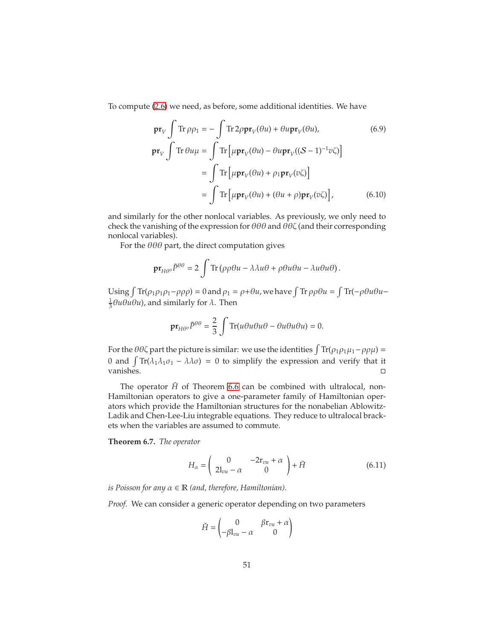To compute [\(2.6\)](#page-7-0) we need, as before, some additional identities. We have

<span id="page-50-0"></span>
$$
\mathbf{pr}_{V} \int \text{Tr} \rho \rho_{1} = -\int \text{Tr} 2\rho \mathbf{pr}_{V}(\theta u) + \theta u \mathbf{pr}_{V}(\theta u), \qquad (6.9)
$$

$$
\mathbf{pr}_{V} \int \text{Tr} \theta u \mu = \int \text{Tr} \left[ \mu \mathbf{pr}_{V}(\theta u) - \theta u \mathbf{pr}_{V}((S-1)^{-1}v\zeta) \right]
$$

$$
= \int \text{Tr} \left[ \mu \mathbf{pr}_{V}(\theta u) + \rho_{1} \mathbf{pr}_{V}(v\zeta) \right]
$$

$$
= \int \text{Tr} \left[ \mu \mathbf{pr}_{V}(\theta u) + (\theta u + \rho) \mathbf{pr}_{V}(v\zeta) \right], \qquad (6.10)
$$

and similarly for the other nonlocal variables. As previously, we only need to check the vanishing of the expression for  $\theta\theta\theta$  and  $\theta\theta\zeta$  (and their corresponding nonlocal variables).

For the  $\theta\theta\theta$  part, the direct computation gives

<span id="page-50-1"></span>
$$
\mathbf{pr}_{H\theta^{\theta}}\tilde{P}^{\theta\theta}=2\int\text{Tr}\left(\rho\rho\theta u-\lambda\lambda u\theta+\rho\theta u\theta u-\lambda u\theta u\theta\right).
$$

Using  $\int Tr(\rho_1 \rho_1 \rho_1 - \rho \rho \rho) = 0$  and  $\rho_1 = \rho + \theta u$ , we have  $\int Tr \rho \rho \theta u = \int Tr(-\rho \theta u \theta u \frac{1}{3}$ θuθuθu), and similarly for  $\lambda$ . Then

$$
\mathbf{pr}_{H\theta^{\theta}}\tilde{P}^{\theta\theta} = \frac{2}{3}\int \text{Tr}(u\theta u\theta u\theta - \theta u\theta u\theta u) = 0.
$$

For the  $\theta\theta\zeta$  part the picture is similar: we use the identities  $\int \text{Tr}(\rho_1 \rho_1 \mu_1 - \rho \rho \mu) =$ 0 and  $\int \text{Tr}(\lambda_1 \lambda_1 \sigma_1 - \lambda \lambda \sigma) = 0$  to simplify the expression and verify that it vanishes.

The operator  $\tilde{H}$  of Theorem [6.6](#page-49-1) can be combined with ultralocal, non-Hamiltonian operators to give a one-parameter family of Hamiltonian operators which provide the Hamiltonian structures for the nonabelian Ablowitz-Ladik and Chen-Lee-Liu integrable equations. They reduce to ultralocal brackets when the variables are assumed to commute.

<span id="page-50-2"></span>**Theorem 6.7.** *The operator*

$$
H_{\alpha} = \begin{pmatrix} 0 & -2r_{vu} + \alpha \\ 2l_{vu} - \alpha & 0 \end{pmatrix} + \tilde{H}
$$
 (6.11)

*is Poisson for any*  $\alpha \in \mathbb{R}$  *(and, therefore, Hamiltonian).* 

*Proof.* We can consider a generic operator depending on two parameters

<span id="page-50-3"></span>
$$
\check{H} = \begin{pmatrix} 0 & \beta \mathbf{r}_{vu} + \alpha \\ -\beta \mathbf{l}_{vu} - \alpha & 0 \end{pmatrix}
$$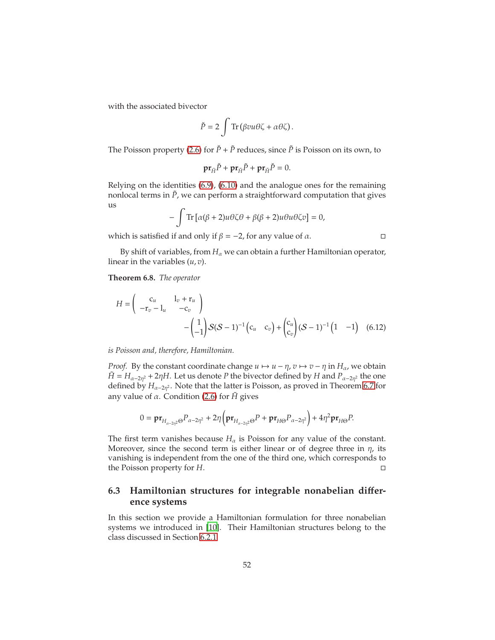with the associated bivector

$$
\check{P} = 2 \int \operatorname{Tr} \left( \beta vu \theta \zeta + \alpha \theta \zeta \right).
$$

The Poisson property [\(2.6\)](#page-7-0) for  $\check{P}$  +  $\tilde{P}$  reduces, since  $\tilde{P}$  is Poisson on its own, to

<span id="page-51-1"></span>
$$
\mathbf{pr}_{\tilde{H}}\check{P} + \mathbf{pr}_{\check{H}}\tilde{P} + \mathbf{pr}_{\check{H}}\check{P} = 0.
$$

Relying on the identities [\(6.9\)](#page-50-0), [\(6.10\)](#page-50-1) and the analogue ones for the remaining nonlocal terms in  $\tilde{P}$ , we can perform a straightforward computation that gives us

$$
-\int \text{Tr}\left[\alpha(\beta+2)u\theta\zeta\theta+\beta(\beta+2)u\theta u\theta\zeta v\right]=0,
$$

which is satisfied if and only if  $\beta = -2$ , for any value of  $\alpha$ .  $\Box$ 

By shift of variables, from  $H_\alpha$  we can obtain a further Hamiltonian operator, linear in the variables (*u*, *v*).

**Theorem 6.8.** *The operator*

$$
H = \begin{pmatrix} c_u & 1_v + r_u \\ -r_v - 1_u & -c_v \end{pmatrix} - \begin{pmatrix} 1 \\ -1 \end{pmatrix} S(S-1)^{-1} (c_u & c_v) + \begin{pmatrix} c_u \\ c_v \end{pmatrix} (S-1)^{-1} (1 -1) \quad (6.12)
$$

*is Poisson and, therefore, Hamiltonian.*

*Proof.* By the constant coordinate change  $u \mapsto u - \eta$ ,  $v \mapsto v - \eta$  in  $H_\alpha$ , we obtain  $\tilde{H} = H_{\alpha-2\eta^2} + 2\eta H$ . Let us denote *P* the bivector defined by *H* and  $P_{\alpha-2\eta^2}$  the one defined by *H*α−2<sup>η</sup> <sup>2</sup> . Note that the latter is Poisson, as proved in Theorem [6.7](#page-50-2) for any value of α. Condition [\(2.6\)](#page-7-0) for *H*˜ gives

$$
0 = \mathbf{pr}_{H_{\alpha-2\eta^2}\Theta} P_{\alpha-2\eta^2} + 2\eta \left(\mathbf{pr}_{H_{\alpha-2\eta^2}\Theta} P + \mathbf{pr}_{H\Theta} P_{\alpha-2\eta^2}\right) + 4\eta^2 \mathbf{pr}_{H\Theta} P.
$$

The first term vanishes because  $H_{\alpha}$  is Poisson for any value of the constant. Moreover, since the second term is either linear or of degree three in  $\eta$ , its vanishing is independent from the one of the third one, which corresponds to the Poisson property for *H*.

### <span id="page-51-0"></span>**6.3 Hamiltonian structures for integrable nonabelian di**ff**erence systems**

In this section we provide a Hamiltonian formulation for three nonabelian systems we introduced in [\[10](#page-63-0)]. Their Hamiltonian structures belong to the class discussed in Section [6.2.1](#page-47-0)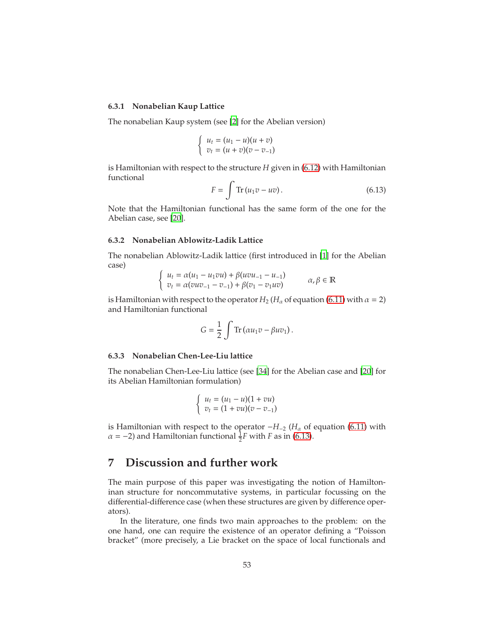#### <span id="page-52-0"></span>**6.3.1 Nonabelian Kaup Lattice**

The nonabelian Kaup system (see [\[2](#page-63-12)] for the Abelian version)

$$
\begin{cases}\n u_t = (u_1 - u)(u + v) \\
 v_t = (u + v)(v - v_{-1})\n\end{cases}
$$

is Hamiltonian with respect to the structure *H* given in [\(6.12\)](#page-51-1) with Hamiltonian functional

<span id="page-52-4"></span>
$$
F = \int \text{Tr}\left(u_1 v - uv\right). \tag{6.13}
$$

Note that the Hamiltonian functional has the same form of the one for the Abelian case, see [\[20\]](#page-64-5).

#### <span id="page-52-1"></span>**6.3.2 Nonabelian Ablowitz-Ladik Lattice**

The nonabelian Ablowitz-Ladik lattice (first introduced in [\[1\]](#page-63-13) for the Abelian case)

$$
\begin{cases}\n u_t = \alpha(u_1 - u_1 \nu u) + \beta(u \nu u_{-1} - u_{-1}) \\
 v_t = \alpha(vuv_{-1} - v_{-1}) + \beta(v_1 - v_1 uv)\n\end{cases}\n\alpha, \beta \in \mathbb{R}
$$

is Hamiltonian with respect to the operator  $H_2$  ( $H_\alpha$  of equation [\(6.11\)](#page-50-3) with  $\alpha = 2$ ) and Hamiltonian functional

$$
G = \frac{1}{2} \int \text{Tr} (\alpha u_1 v - \beta u v_1).
$$

#### <span id="page-52-2"></span>**6.3.3 Nonabelian Chen-Lee-Liu lattice**

The nonabelian Chen-Lee-Liu lattice (see [\[34](#page-65-6)] for the Abelian case and [\[20\]](#page-64-5) for its Abelian Hamiltonian formulation)

$$
\begin{cases}\n u_t = (u_1 - u)(1 + vu) \\
 v_t = (1 + vu)(v - v_{-1})\n\end{cases}
$$

is Hamiltonian with respect to the operator  $-H_{-2}$  ( $H_{\alpha}$  of equation [\(6.11\)](#page-50-3) with  $\alpha = -2$ ) and Hamiltonian functional  $\frac{1}{2}F$  with *F* as in [\(6.13\)](#page-52-4).

## <span id="page-52-3"></span>**7 Discussion and further work**

The main purpose of this paper was investigating the notion of Hamiltoninan structure for noncommutative systems, in particular focussing on the differential-difference case (when these structures are given by difference operators).

In the literature, one finds two main approaches to the problem: on the one hand, one can require the existence of an operator defining a "Poisson bracket" (more precisely, a Lie bracket on the space of local functionals and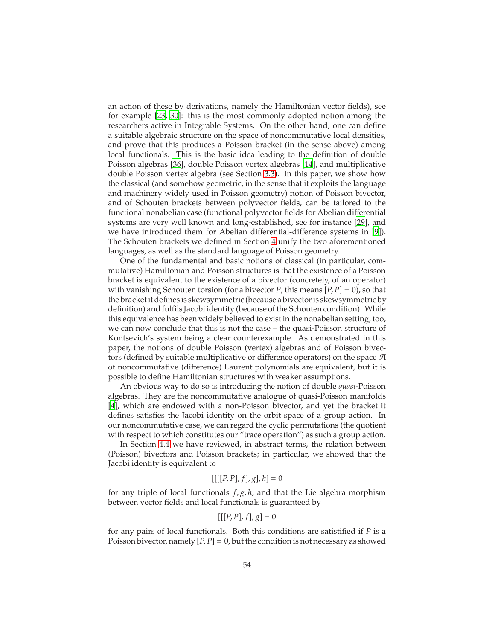an action of these by derivations, namely the Hamiltonian vector fields), see for example [\[23,](#page-64-0) [30\]](#page-64-4): this is the most commonly adopted notion among the researchers active in Integrable Systems. On the other hand, one can define a suitable algebraic structure on the space of noncommutative local densities, and prove that this produces a Poisson bracket (in the sense above) among local functionals. This is the basic idea leading to the definition of double Poisson algebras [\[36\]](#page-65-0), double Poisson vertex algebras [\[14](#page-63-1)], and multiplicative double Poisson vertex algebra (see Section [3.3\)](#page-16-0). In this paper, we show how the classical (and somehow geometric, in the sense that it exploits the language and machinery widely used in Poisson geometry) notion of Poisson bivector, and of Schouten brackets between polyvector fields, can be tailored to the functional nonabelian case (functional polyvector fields for Abelian differential systems are very well known and long-established, see for instance [\[29\]](#page-64-6), and we have introduced them for Abelian differential-difference systems in [\[9](#page-63-3)]). The Schouten brackets we defined in Section [4](#page-20-0) unify the two aforementioned languages, as well as the standard language of Poisson geometry.

One of the fundamental and basic notions of classical (in particular, commutative) Hamiltonian and Poisson structures is that the existence of a Poisson bracket is equivalent to the existence of a bivector (concretely, of an operator) with vanishing Schouten torsion (for a bivector *P*, this means  $[P, P] = 0$ ), so that the bracket it defines is skewsymmetric (because a bivector is skewsymmetric by definition) and fulfils Jacobi identity (because of the Schouten condition). While this equivalence has been widely believed to exist in the nonabelian setting, too, we can now conclude that this is not the case – the quasi-Poisson structure of Kontsevich's system being a clear counterexample. As demonstrated in this paper, the notions of double Poisson (vertex) algebras and of Poisson bivectors (defined by suitable multiplicative or difference operators) on the space  $\mathcal A$ of noncommutative (difference) Laurent polynomials are equivalent, but it is possible to define Hamiltonian structures with weaker assumptions.

An obvious way to do so is introducing the notion of double *quasi*-Poisson algebras. They are the noncommutative analogue of quasi-Poisson manifolds [\[4](#page-63-7)], which are endowed with a non-Poisson bivector, and yet the bracket it defines satisfies the Jacobi identity on the orbit space of a group action. In our noncommutative case, we can regard the cyclic permutations (the quotient with respect to which constitutes our "trace operation") as such a group action.

In Section [4.4](#page-31-0) we have reviewed, in abstract terms, the relation between (Poisson) bivectors and Poisson brackets; in particular, we showed that the Jacobi identity is equivalent to

$$
[[[[P, P], f], g], h] = 0
$$

for any triple of local functionals *f*, *g*, *h*, and that the Lie algebra morphism between vector fields and local functionals is guaranteed by

$$
[[[P, P], f], g] = 0
$$

for any pairs of local functionals. Both this conditions are satistified if *P* is a Poisson bivector, namely  $[P, P] = 0$ , but the condition is not necessary as showed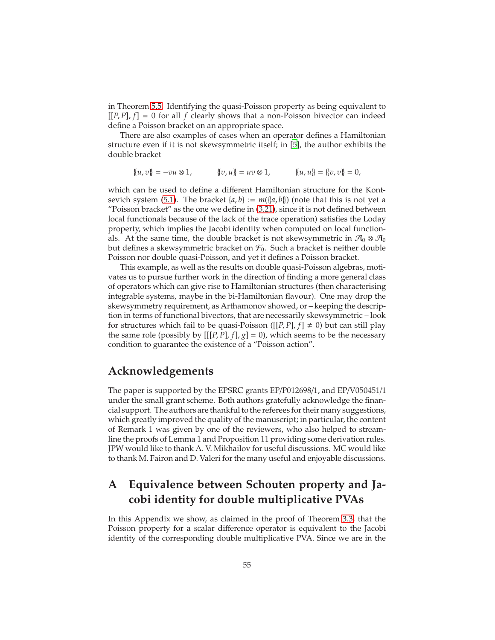in Theorem [5.5.](#page-41-4) Identifying the quasi-Poisson property as being equivalent to  $[[P, P], f] = 0$  for all *f* clearly shows that a non-Poisson bivector can indeed define a Poisson bracket on an appropriate space.

There are also examples of cases when an operator defines a Hamiltonian structure even if it is not skewsymmetric itself; in [\[5](#page-63-14)], the author exhibits the double bracket

$$
\{u,v\} = -vu \otimes 1, \qquad \{v,u\} = uv \otimes 1, \qquad \{u,u\} = \{v,v\} = 0,
$$

which can be used to define a different Hamiltonian structure for the Kont-sevich system [\(5.1\)](#page-37-3). The bracket  $\{a, b\} := m(\{a, b\})$  (note that this is not yet a "Poisson bracket" as the one we define in [\(3.21\)](#page-16-1), since it is not defined between local functionals because of the lack of the trace operation) satisfies the Loday property, which implies the Jacobi identity when computed on local functionals. At the same time, the double bracket is not skewsymmetric in  $\mathcal{A}_0 \otimes \mathcal{A}_0$ but defines a skewsymmetric bracket on  $\mathcal{F}_0$ . Such a bracket is neither double Poisson nor double quasi-Poisson, and yet it defines a Poisson bracket.

This example, as well as the results on double quasi-Poisson algebras, motivates us to pursue further work in the direction of finding a more general class of operators which can give rise to Hamiltonian structures (then characterising integrable systems, maybe in the bi-Hamiltonian flavour). One may drop the skewsymmetry requirement, as Arthamonov showed, or – keeping the description in terms of functional bivectors, that are necessarily skewsymmetric – look for structures which fail to be quasi-Poisson ([ $[P, P]$ ,  $f$ ]  $\neq$  0) but can still play the same role (possibly by  $[[[P, P], f], g] = 0$ ), which seems to be the necessary condition to guarantee the existence of a "Poisson action".

## **Acknowledgements**

The paper is supported by the EPSRC grants EP/P012698/1, and EP/V050451/1 under the small grant scheme. Both authors gratefully acknowledge the financial support. The authors are thankful to the referees for their many suggestions, which greatly improved the quality of the manuscript; in particular, the content of Remark 1 was given by one of the reviewers, who also helped to streamline the proofs of Lemma 1 and Proposition 11 providing some derivation rules. JPW would like to thank A. V. Mikhailov for useful discussions. MC would like to thank M. Fairon and D. Valeri for the many useful and enjoyable discussions.

## <span id="page-54-0"></span>**A Equivalence between Schouten property and Jacobi identity for double multiplicative PVAs**

In this Appendix we show, as claimed in the proof of Theorem [3.3,](#page-18-0) that the Poisson property for a scalar difference operator is equivalent to the Jacobi identity of the corresponding double multiplicative PVA. Since we are in the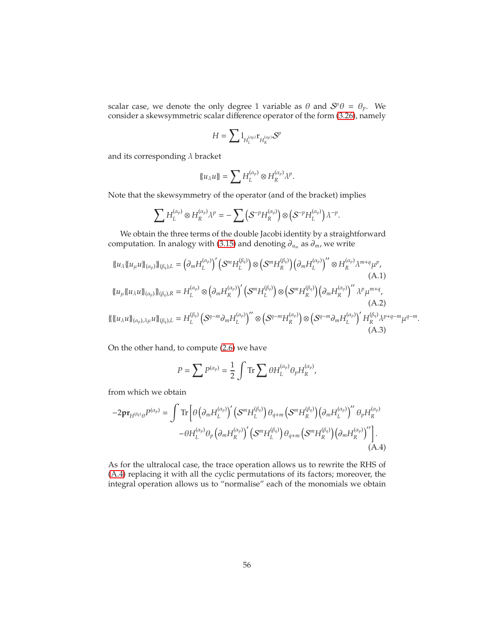scalar case, we denote the only degree 1 variable as  $\theta$  and  $S^p\theta = \theta_p$ . We consider a skewsymmetric scalar difference operator of the form [\(3.26\)](#page-19-2), namely

$$
H = \sum \mathbb{1}_{H_L^{(\alpha_p)}} \mathbf{r}_{H_R^{(\alpha_p)}} \mathcal{S}^p
$$

and its corresponding  $\lambda$  bracket

<span id="page-55-1"></span>
$$
\{u_{\lambda}u\}=\sum H_L^{(\alpha_p)}\otimes H_R^{(\alpha_p)}\lambda^p.
$$

Note that the skewsymmetry of the operator (and of the bracket) implies

$$
\sum H_L^{(\alpha_p)} \otimes H_R^{(\alpha_p)} \lambda^p = -\sum \left( S^{-p} H_R^{(\alpha_p)} \right) \otimes \left( S^{-p} H_L^{(\alpha_p)} \right) \lambda^{-p}.
$$

We obtain the three terms of the double Jacobi identity by a straightforward computation. In analogy with [\(3.15\)](#page-14-3) and denoting ∂*<sup>u</sup><sup>m</sup>* as ∂*m*, we write

$$
\{u_{\lambda}\{u_{\mu}u\}\}_{(\alpha_p)}\}_{(\beta_q),L} = (\partial_m H_L^{(\alpha_p)})' \left(S^m H_L^{(\beta_q)}\right) \otimes \left(S^m H_R^{(\beta_q)}\right) \left(\partial_m H_L^{(\alpha_p)}\right)'' \otimes H_R^{(\alpha_p)} \lambda^{m+q} \mu^p,
$$
\n(A.1)\n
$$
\{u_{\mu}\{u_{\lambda}u\}\}_{(\alpha_p)}\}_{(\beta_q),R} = H_L^{(\alpha_p)} \otimes \left(\partial_m H_R^{(\alpha_p)}\right)' \left(S^m H_L^{(\beta_q)}\right) \otimes \left(S^m H_R^{(\beta_q)}\right) \left(\partial_m H_R^{(\alpha_p)}\right)'' \lambda^p \mu^{m+q},
$$
\n(A.2)\n
$$
\{\{\{u_{\lambda}u\}\}_{(\alpha_p),\lambda\mu}u\}_{(\beta_q),L} = H_L^{(\beta_q)} \left(S^{q-m} \partial_m H_L^{(\alpha_p)}\right)'' \otimes \left(S^{q-m} H_R^{(\alpha_p)}\right) \otimes \left(S^{q-m} \partial_m H_L^{(\alpha_p)}\right)' H_R^{(\beta_q)} \lambda^{p+q-m} \mu^{q-m}.
$$
\n(A.3)

On the other hand, to compute [\(2.6\)](#page-7-0) we have

<span id="page-55-3"></span><span id="page-55-2"></span><span id="page-55-0"></span>
$$
P = \sum P^{(\alpha_p)} = \frac{1}{2} \int \text{Tr} \sum \theta H_L^{(\alpha_p)} \theta_p H_R^{(\alpha_p)},
$$

from which we obtain

$$
-2\mathbf{pr}_{H^{(\beta_q)}\theta}P^{(\alpha_p)} = \int \mathrm{Tr}\left[\theta\left(\partial_m H_L^{(\alpha_p)}\right)' \left(\mathcal{S}^m H_L^{(\beta_q)}\right) \theta_{q+m} \left(\mathcal{S}^m H_R^{(\beta_q)}\right) \left(\partial_m H_L^{(\alpha_p)}\right)'' \theta_p H_R^{(\alpha_p)}\right.- \theta H_L^{(\alpha_p)} \theta_p \left(\partial_m H_R^{(\alpha_p)}\right)' \left(\mathcal{S}^m H_L^{(\beta_q)}\right) \theta_{q+m} \left(\mathcal{S}^m H_R^{(\beta_q)}\right) \left(\partial_m H_R^{(\alpha_p)}\right)''\right].
$$
\n(A.4)

As for the ultralocal case, the trace operation allows us to rewrite the RHS of [\(A.4\)](#page-55-0) replacing it with all the cyclic permutations of its factors; moreover, the integral operation allows us to "normalise" each of the monomials we obtain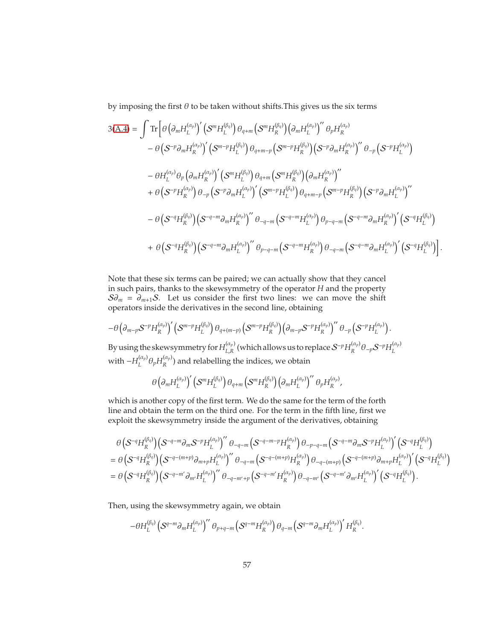by imposing the first  $\theta$  to be taken without shifts. This gives us the six terms

$$
3(A.4) = \int \text{Tr}\left[\theta\left(\partial_m H_L^{(\alpha_p)}\right)' \left(S^m H_L^{(\beta_q)}\right) \theta_{q+m} \left(S^m H_R^{(\beta_q)}\right) \left(\partial_m H_L^{(\alpha_p)}\right)'' \theta_p H_R^{(\alpha_p)}\right.- \theta\left(S^{-p}\partial_m H_R^{(\alpha_p)}\right)' \left(S^{m-p} H_L^{(\beta_q)}\right) \theta_{q+m-p} \left(S^{m-p} H_R^{(\beta_q)}\right) \left(S^{-p}\partial_m H_R^{(\alpha_p)}\right)'' \theta_{-p} \left(S^{-p} H_L^{(\alpha_p)}\right)- \theta H_L^{(\alpha_p)} \theta_p \left(\partial_m H_R^{(\alpha_p)}\right)' \left(S^m H_L^{(\beta_q)}\right) \theta_{q+m} \left(S^m H_R^{(\beta_q)}\right) \left(\partial_m H_R^{(\alpha_p)}\right)''\right.+ \theta\left(S^{-p} H_R^{(\alpha_p)}\right) \theta_{-p} \left(S^{-p}\partial_m H_L^{(\alpha_p)}\right)' \left(S^{m-p} H_L^{(\beta_q)}\right) \theta_{q+m-p} \left(S^{m-p} H_R^{(\beta_q)}\right) \left(S^{-p}\partial_m H_L^{(\alpha_p)}\right)''\right.- \theta\left(S^{-q} H_R^{(\beta_q)}\right) \left(S^{-q-m}\partial_m H_R^{(\alpha_p)}\right)'' \theta_{-q-m} \left(S^{-q-m} H_L^{(\alpha_p)}\right) \theta_{p-q-m} \left(S^{-q-m}\partial_m H_R^{(\alpha_p)}\right)' \left(S^{-q} H_L^{(\beta_q)}\right)+ \theta\left(S^{-q} H_R^{(\beta_q)}\right) \left(S^{-q-m}\partial_m H_L^{(\alpha_p)}\right)'' \theta_{p-q-m} \left(S^{-q-m} H_R^{(\alpha_p)}\right) \theta_{-q-m} \left(S^{-q-m}\partial_m H_L^{(\alpha_p)}\right)' \left(S^{-q} H_L^{(\beta_q)}\right)\right].
$$

Note that these six terms can be paired; we can actually show that they cancel in such pairs, thanks to the skewsymmetry of the operator *H* and the property  $S\partial_m = \partial_{m+1}S$ . Let us consider the first two lines: we can move the shift operators inside the derivatives in the second line, obtaining

$$
-\theta \left(\partial_{m-p} \mathcal{S}^{-p} H^{(\alpha_p)}_R\right)' \left(\mathcal{S}^{m-p} H^{(\beta_q)}_L\right) \theta_{q+(m-p)} \left(\mathcal{S}^{m-p} H^{(\beta_q)}_R\right) \left(\partial_{m-p} \mathcal{S}^{-p} H^{(\alpha_p)}_R\right)'' \theta_{-p} \left(\mathcal{S}^{-p} H^{(\alpha_p)}_L\right).
$$

By using the skewsymmetry for  $H_{LR}^{(\alpha_p)}$  $L_R^{(\alpha_p)}$  (which allows us to replace  ${\cal S}^{-p}H_R^{(\alpha_p)}$ *R* θ<sup>−</sup>*p*S <sup>−</sup>*<sup>p</sup>H* (α*p*) *L* with  $-H_I^{(\alpha_p)}$  $\int_L^{(\alpha_p)} \theta_p H_R^{(\alpha_p)}$  $R_R^{(top)}$ ) and relabelling the indices, we obtain

$$
\theta \left(\partial_m H_L^{(\alpha_p)}\right)' \left(\mathcal{S}^m H_L^{(\beta_q)}\right) \theta_{q+m} \left(\mathcal{S}^m H_R^{(\beta_q)}\right) \left(\partial_m H_L^{(\alpha_p)}\right)'' \theta_p H_R^{(\alpha_p)},
$$

which is another copy of the first term. We do the same for the term of the forth line and obtain the term on the third one. For the term in the fifth line, first we exploit the skewsymmetry inside the argument of the derivatives, obtaining

$$
\theta\left(S^{-q}H_R^{(\beta_q)}\right)\left(S^{-q-m}\partial_mS^{-p}H_L^{(\alpha_p)}\right)''\theta_{-q-m}\left(S^{-q-m-p}H_R^{(\alpha_p)}\right)\theta_{-p-q-m}\left(S^{-q-m}\partial_mS^{-p}H_L^{(\alpha_p)}\right)\left(S^{-q}H_L^{(\beta_q)}\right)
$$
\n
$$
=\theta\left(S^{-q}H_R^{(\beta_q)}\right)\left(S^{-q-(m+p)}\partial_{m+p}H_L^{(\alpha_p)}\right)''\theta_{-q-m}\left(S^{-q-(m+p)}H_R^{(\alpha_p)}\right)\theta_{-q-(m+p)}\left(S^{-q-(m+p)}\partial_{m+p}H_L^{(\alpha_p)}\right)\left(S^{-q}H_L^{(\beta_q)}\right)
$$
\n
$$
=\theta\left(S^{-q}H_R^{(\beta_q)}\right)\left(S^{-q-m'}\partial_{m'}H_L^{(\alpha_p)}\right)''\theta_{-q-m'+p}\left(S^{-q-m'}H_R^{(\alpha_p)}\right)\theta_{-q-m'}\left(S^{-q-m'}\partial_{m'}H_L^{(\alpha_p)}\right)\left(S^{-q}H_L^{(\beta_q)}\right).
$$

Then, using the skewsymmetry again, we obtain

$$
-\theta H_L^{(\beta_q)}\left(S^{q-m}\partial_m H_L^{(\alpha_p)}\right)''\theta_{p+q-m}\left(S^{q-m}H_R^{(\alpha_p)}\right)\theta_{q-m}\left(S^{q-m}\partial_m H_L^{(\alpha_p)}\right)'H_R^{(\beta_q)}.
$$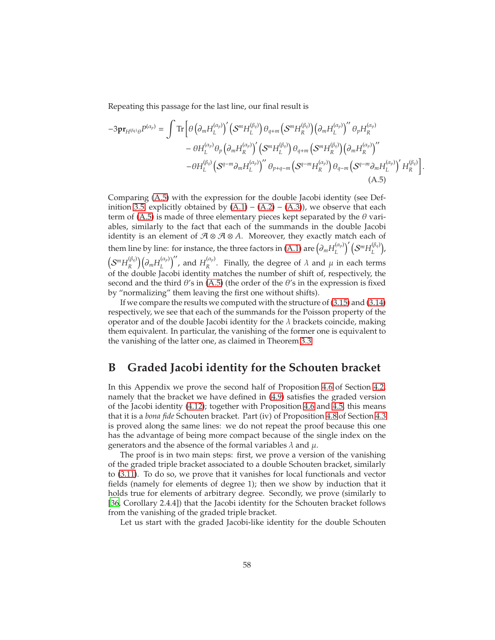Repeating this passage for the last line, our final result is

$$
-3\mathbf{pr}_{H^{(\beta_q)}\theta}P^{(\alpha_p)} = \int \mathrm{Tr}\left[\theta\left(\partial_m H_L^{(\alpha_p)}\right)' \left(\mathcal{S}^m H_L^{(\beta_q)}\right) \theta_{q+m} \left(\mathcal{S}^m H_R^{(\beta_q)}\right) \left(\partial_m H_L^{(\alpha_p)}\right)'' \theta_p H_R^{(\alpha_p)}\right.- \theta H_L^{(\alpha_p)} \theta_p \left(\partial_m H_R^{(\alpha_p)}\right)' \left(\mathcal{S}^m H_L^{(\beta_q)}\right) \theta_{q+m} \left(\mathcal{S}^m H_R^{(\beta_q)}\right) \left(\partial_m H_R^{(\alpha_p)}\right)''\right.- \theta H_L^{(\beta_q)} \left(\mathcal{S}^{q-m} \partial_m H_L^{(\alpha_p)}\right)'' \theta_{p+q-m} \left(\mathcal{S}^{q-m} H_R^{(\alpha_p)}\right) \theta_{q-m} \left(\mathcal{S}^{q-m} \partial_m H_L^{(\alpha_p)}\right)' H_R^{(\beta_q)}\right]
$$
\n(A.5)

<span id="page-57-1"></span>.

Comparing [\(A.5\)](#page-57-1) with the expression for the double Jacobi identity (see Def-inition [3.5,](#page-17-0) explicitly obtained by  $(A.1) - (A.2) - (A.3)$  $(A.1) - (A.2) - (A.3)$  $(A.1) - (A.2) - (A.3)$  $(A.1) - (A.2) - (A.3)$ , we observe that each term of [\(A.5\)](#page-57-1) is made of three elementary pieces kept separated by the  $\theta$  variables, similarly to the fact that each of the summands in the double Jacobi identity is an element of  $A \otimes A \otimes A$ . Moreover, they exactly match each of them line by line: for instance, the three factors in [\(A.1\)](#page-55-1) are  $\left(\partial_m H_L^{(\alpha_p)}\right)$  $\left(\mathcal{S}^m H_L^{(\beta_q)}\right)'$ ( $\binom{(\beta_q)}{L}$ ),  $\bigl( \mathcal{S}^m H_{\scriptscriptstyle R}^{(\beta_q)} \bigr)$  $\binom{(\beta_q)}{R}$   $\left(\partial_m H_L^{(\alpha_p)}\right)$  $\binom{(\alpha_p)}{L}$ , and  $H_R^{(\alpha_p)}$  $R^{\mu_p}$ . Finally, the degree of  $\lambda$  and  $\mu$  in each terms of the double Jacobi identity matches the number of shift of, respectively, the second and the third  $\theta$ 's in [\(A.5\)](#page-57-1) (the order of the  $\theta$ 's in the expression is fixed by "normalizing" them leaving the first one without shifts).

If we compare the results we computed with the structure of [\(3.15\)](#page-14-3) and [\(3.14\)](#page-14-0) respectively, we see that each of the summands for the Poisson property of the operator and of the double Jacobi identity for the  $\lambda$  brackets coincide, making them equivalent. In particular, the vanishing of the former one is equivalent to the vanishing of the latter one, as claimed in Theorem [3.3.](#page-18-0)

## <span id="page-57-0"></span>**B Graded Jacobi identity for the Schouten bracket**

In this Appendix we prove the second half of Proposition [4.6](#page-27-4) of Section [4.2,](#page-23-0) namely that the bracket we have defined in [\(4.9\)](#page-25-0) satisfies the graded version of the Jacobi identity [\(4.12\)](#page-27-2); together with Proposition [4.6](#page-27-4) and [4.5,](#page-27-3) this means that it is a *bona fide* Schouten bracket. Part (iv) of Proposition [4.8](#page-28-5) of Section [4.3](#page-28-0) is proved along the same lines: we do not repeat the proof because this one has the advantage of being more compact because of the single index on the generators and the absence of the formal variables  $\lambda$  and  $\mu$ .

The proof is in two main steps: first, we prove a version of the vanishing of the graded triple bracket associated to a double Schouten bracket, similarly to [\(3.11\)](#page-12-2). To do so, we prove that it vanishes for local functionals and vector fields (namely for elements of degree 1); then we show by induction that it holds true for elements of arbitrary degree. Secondly, we prove (similarly to [\[36,](#page-65-0) Corollary 2.4.4]) that the Jacobi identity for the Schouten bracket follows from the vanishing of the graded triple bracket.

Let us start with the graded Jacobi-like identity for the double Schouten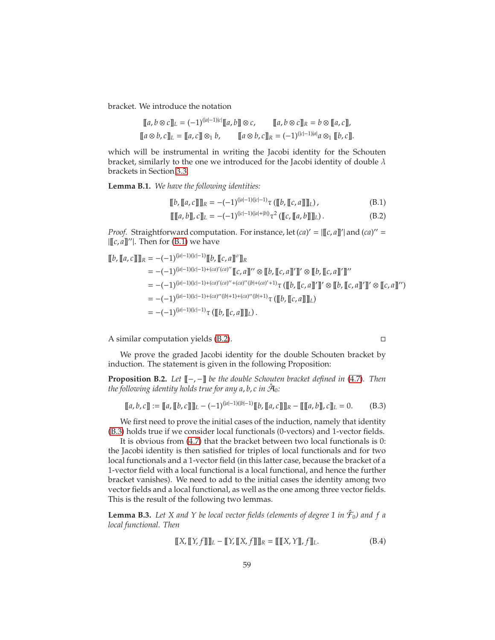bracket. We introduce the notation

$$
\begin{aligned}\n\llbracket a, b \otimes c \rrbracket_L &= (-1)^{(|a|-1)|c|} \llbracket a, b \rrbracket \otimes c, & \llbracket a, b \otimes c \rrbracket_R &= b \otimes \llbracket a, c \rrbracket, \\
\llbracket a \otimes b, c \rrbracket_L &= \llbracket a, c \rrbracket \otimes b, & \llbracket a \otimes b, c \rrbracket_R &= (-1)^{(|c|-1)|a|} a \otimes_1 \llbracket b, c \rrbracket.\n\end{aligned}
$$

which will be instrumental in writing the Jacobi identity for the Schouten bracket, similarly to the one we introduced for the Jacobi identity of double  $\lambda$ brackets in Section [3.3.](#page-16-0)

<span id="page-58-5"></span>**Lemma B.1.** *We have the following identities:*

$$
[[b, [[a, c]]]]_R = -(-1)^{(|a|-1)(|c|-1)} \tau ([[[b, [[c, a]]]]_L), \qquad (B.1)
$$

$$
\llbracket [\![a, b]\!] \rfloor, c \rrbracket_L = -(-1)^{(|c|-1)(|a|+|b|)} \tau^2 \left( [\![c, [\![a, b]\!] \!] \rrbracket_L \right). \tag{B.2}
$$

*Proof.* Straightforward computation. For instance, let  $(ca)' = |[c, a]|'$  and  $(ca)'' = c$  $[[[c, a]]'']$ . Then for [\(B.1\)](#page-58-1) we have

$$
\llbracket b, \llbracket a, c \rrbracket \rrbracket_R = -(-1)^{(|a|-1)(|c|-1)} \llbracket b, \llbracket c, a \rrbracket^{\sigma} \rrbracket_R
$$
  
= -(-1)^{(|a|-1)(|c|-1)+(ca)'(ca)''} \llbracket c, a \rrbracket'' \otimes \llbracket b, \llbracket c, a \rrbracket' \rrbracket' \otimes \llbracket b, \llbracket c, a \rrbracket' \rrbracket''  
= -(-1)^{(|a|-1)(|c|-1)+(ca)'(ca)'' + (ca)''(|b|+ (ca)'+1)} \tau (\llbracket b, \llbracket c, a \rrbracket' \rrbracket' \otimes \llbracket b, \llbracket c, a \rrbracket' \rrbracket' \otimes \llbracket c, a \rrbracket' \rrbracket' \otimes \llbracket c, a \rrbracket' \rrbracket'  
= -(-1)^{(|a|-1)(|c|-1)+(ca)''(|b|+1)+(ca)''(|b|+1)} \tau (\llbracket b, \llbracket c, a \rrbracket \rrbracket\_L)  
= -(-1)^{(|a|-1)(|c|-1)} \tau (\llbracket b, \llbracket c, a \rrbracket \rrbracket\_L).

A similar computation yields [\(B.2\)](#page-58-2).

<span id="page-58-3"></span><span id="page-58-2"></span><span id="page-58-1"></span>

We prove the graded Jacobi identity for the double Schouten bracket by induction. The statement is given in the following Proposition:

<span id="page-58-0"></span>**Proposition B.2.** *Let* [[−, −]] *be the double Schouten bracket defined in* [\(4.7\)](#page-23-1)*. Then the following identity holds true for any a*, *b*, *c in* Aˆ 0*:*

$$
[[a, b, c]] := [[a, [[b, c]]]]_L - (-1)^{(|a|-1)(|b|-1)} [[b, [[a, c]]]]_R - [[[a, b]]_c, c]]_L = 0.
$$
 (B.3)

We first need to prove the initial cases of the induction, namely that identity [\(B.3\)](#page-58-3) holds true if we consider local functionals (0-vectors) and 1-vector fields.

It is obvious from [\(4.7\)](#page-23-1) that the bracket between two local functionals is 0: the Jacobi identity is then satisfied for triples of local functionals and for two local functionals and a 1-vector field (in this latter case, because the bracket of a 1-vector field with a local functional is a local functional, and hence the further bracket vanishes). We need to add to the initial cases the identity among two vector fields and a local functional, as well as the one among three vector fields. This is the result of the following two lemmas.

<span id="page-58-6"></span>**Lemma B.3.** Let X and Y be local vector fields (elements of degree 1 in  $\hat{\mathcal{F}}_0$ ) and f a *local functional. Then*

<span id="page-58-4"></span>
$$
\llbracket X, \llbracket Y, f \rrbracket \rrbracket_L - \llbracket Y, \llbracket X, f \rrbracket \rrbracket_R = \llbracket \llbracket X, Y \rrbracket, f \rrbracket_L. \tag{B.4}
$$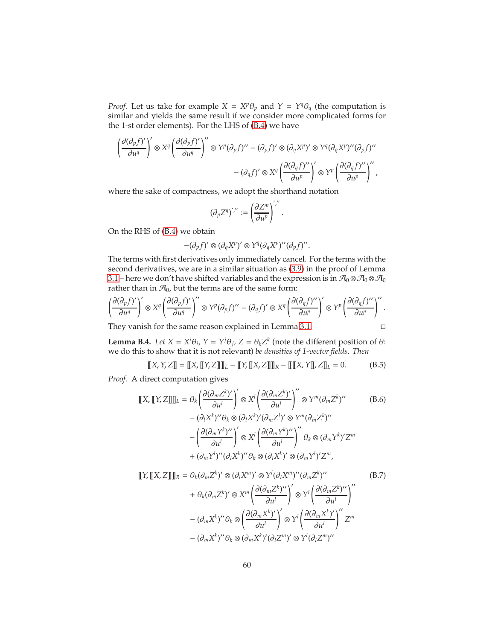*Proof.* Let us take for example  $X = X^p \theta_p$  and  $Y = Y^q \theta_q$  (the computation is similar and yields the same result if we consider more complicated forms for the 1-st order elements). For the LHS of [\(B.4\)](#page-58-4) we have

$$
\left(\frac{\partial (\partial_p f)'}{\partial u^q}\right)' \otimes X^q \left(\frac{\partial (\partial_p f)'}{\partial u^q}\right)'' \otimes Y^p (\partial_p f)'' - (\partial_p f)' \otimes (\partial_q X^p)'\otimes Y^q (\partial_q X^p)'' (\partial_p f)'' \\ - (\partial_q f)' \otimes X^q \left(\frac{\partial (\partial_q f)''}{\partial u^p}\right)' \otimes Y^p \left(\frac{\partial (\partial_q f)''}{\partial u^p}\right)'',
$$

where the sake of compactness, we adopt the shorthand notation

$$
(\partial_p Z^q)^{\'{\prime}\prime\prime}:=\left(\frac{\partial Z^m}{\partial u^p}\right)^{\'{\prime}\prime\prime}.
$$

On the RHS of [\(B.4\)](#page-58-4) we obtain

 $-(\partial_p f)' \otimes (\partial_q X^p)' \otimes Y^q (\partial_q X^p)'' (\partial_p f)''$ .

The terms with first derivatives only immediately cancel. For the terms with the second derivatives, we are in a similar situation as [\(3.9\)](#page-11-1) in the proof of Lemma [3.1](#page-10-5) – here we don't have shifted variables and the expression is in  $\mathcal{A}_0 \otimes \mathcal{A}_0 \otimes \mathcal{A}_0$ rather than in  $\mathcal{A}_0$ , but the terms are of the same form:

$$
\left(\frac{\partial (\partial_p f)'}{\partial u^q}\right)' \otimes X^q \left(\frac{\partial (\partial_p f)'}{\partial u^q}\right)'' \otimes Y^p (\partial_p f)'' - (\partial_q f)' \otimes X^q \left(\frac{\partial (\partial_q f)''}{\partial u^p}\right)' \otimes Y^p \left(\frac{\partial (\partial_q f)''}{\partial u^p}\right)''.
$$

They vanish for the same reason explained in Lemma [3.1.](#page-10-5)

<span id="page-59-2"></span><span id="page-59-1"></span><span id="page-59-0"></span>
$$
\Box
$$

<span id="page-59-3"></span>**Lemma B.4.** *Let*  $X = X^i \theta_i$ ,  $Y = Y^j \theta_j$ ,  $Z = \theta_k Z^k$  (note the different position of  $\theta$ : we do this to show that it is not relevant) *be densities of 1-vector fields. Then*

$$
\llbracket X, Y, Z \rrbracket = \llbracket X, \llbracket Y, Z \rrbracket \rrbracket_L - \llbracket Y, \llbracket X, Z \rrbracket \rrbracket_R - \llbracket \llbracket X, Y \rrbracket, Z \rrbracket_L = 0. \tag{B.5}
$$

*Proof.* A direct computation gives

$$
\llbracket X, \llbracket Y, Z \rrbracket \rrbracket_L = \theta_k \left( \frac{\partial (\partial_m Z^k)'}{\partial u^l} \right)' \otimes X^l \left( \frac{\partial (\partial_m Z^k)'}{\partial u^l} \right)'' \otimes Y^m (\partial_m Z^k)'' \qquad (B.6)
$$

$$
- (\partial_l X^k)'' \theta_k \otimes (\partial_l X^k)' (\partial_m Z^l)' \otimes Y^m (\partial_m Z^k)''
$$

$$
- \left( \frac{\partial (\partial_m Y^k)''}{\partial u^l} \right)' \otimes X^l \left( \frac{\partial (\partial_m Y^k)''}{\partial u^l} \right)'' \theta_k \otimes (\partial_m Y^k)' Z^m
$$

$$
+ (\partial_m Y^l)'' (\partial_l X^k)'' \theta_k \otimes (\partial_l X^k)' \otimes (\partial_m Y^l)' Z^m,
$$

$$
\llbracket Y, \llbracket X, Z \rrbracket \rrbracket_R = \theta_k(\partial_m Z^k)' \otimes (\partial_l X^m)' \otimes Y^l(\partial_l X^m)''(\partial_m Z^k)''
$$
\n
$$
+ \theta_k(\partial_m Z^k)' \otimes X^m \left( \frac{\partial(\partial_m Z^k)''}{\partial u^l} \right)' \otimes Y^l \left( \frac{\partial(\partial_m Z^k)''}{\partial u^l} \right)''
$$
\n
$$
- (\partial_m X^k)'' \theta_k \otimes \left( \frac{\partial(\partial_m X^k)'}{\partial u^l} \right)' \otimes Y^l \left( \frac{\partial(\partial_m X^k)'}{\partial u^l} \right)'' Z^m
$$
\n
$$
- (\partial_m X^k)'' \theta_k \otimes (\partial_m X^k)'(\partial_l Z^m)' \otimes Y^l(\partial_l Z^m)''
$$
\n
$$
(8.7)
$$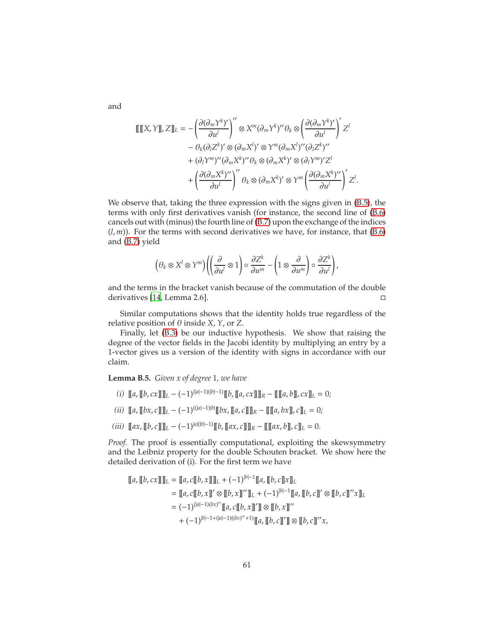$$
\begin{split} \llbracket \llbracket X, Y \rrbracket, Z \rrbracket_L &= -\left( \frac{\partial(\partial_m Y^k)'}{\partial u^l} \right)'' \otimes X^m (\partial_m Y^k)'' \theta_k \otimes \left( \frac{\partial(\partial_m Y^k)'}{\partial u^l} \right)' Z^l \\ &- \theta_k (\partial_l Z^k)' \otimes (\partial_m X^l)'' \otimes Y^m (\partial_m X^l)'' (\partial_l Z^k)'' \\ &+ (\partial_l Y^m)'' (\partial_m X^k)'' \theta_k \otimes (\partial_m X^k)' \otimes (\partial_l Y^m) Z^l \\ &+ \left( \frac{\partial(\partial_m X^k)''}{\partial u^l} \right)'' \theta_k \otimes (\partial_m X^k)' \otimes Y^m \left( \frac{\partial(\partial_m X^k)''}{\partial u^l} \right)' Z^l. \end{split}
$$

We observe that, taking the three expression with the signs given in [\(B.5\)](#page-59-0), the terms with only first derivatives vanish (for instance, the second line of [\(B.6\)](#page-59-1) cancels out with (minus) the fourth line of [\(B.7\)](#page-59-2) upon the exchange of the indices  $(l, m)$ ). For the terms with second derivatives we have, for instance, that  $(B.6)$ and [\(B.7\)](#page-59-2) yield

$$
\left(\theta_k\otimes X^l\otimes Y^m\right)\left(\left(\frac{\partial}{\partial u^l}\otimes 1\right)\circ\frac{\partial Z^k}{\partial u^m}-\left(1\otimes\frac{\partial}{\partial u^m}\right)\circ\frac{\partial Z^k}{\partial u^l}\right),\right
$$

and the terms in the bracket vanish because of the commutation of the double derivatives [\[14,](#page-63-1) Lemma 2.6].

Similar computations shows that the identity holds true regardless of the relative position of  $\theta$  inside *X*, *Y*, or *Z*.

Finally, let [\(B.3\)](#page-58-3) be our inductive hypothesis. We show that raising the degree of the vector fields in the Jacobi identity by multiplying an entry by a 1-vector gives us a version of the identity with signs in accordance with our claim.

<span id="page-60-0"></span>**Lemma B.5.** *Given x of degree* 1*, we have*

- *(i)*  $[ [a, [b, cx]] ]_L (1)^{(|a|-1)(|b|-1)} [ [b, [a, cx]] ]_R [ [ [a, b]], cx]_L = 0;$
- $(iii)$   $[[(a, [b \times, c]]]_L (-1)^{((|a|-1)|b|)} [[b \times, [a, c]]]_R [[[a, bx]], c]]_L = 0;$
- *(iii)*  $[ [a x, [b, c]]] [L (-1)^{|a|(|b|-1)} [b, [ [a x, c]]] [R [[a x, b]], c]] [L = 0.$

*Proof.* The proof is essentially computational, exploiting the skewsymmetry and the Leibniz property for the double Schouten bracket. We show here the detailed derivation of (i). For the first term we have

$$
\llbracket a, \llbracket b, cx \rrbracket \rrbracket_L = \llbracket a, c \llbracket b, x \rrbracket \rrbracket_L + (-1)^{|b|-1} \llbracket a, \llbracket b, c \rrbracket x \rrbracket_L
$$
\n
$$
= \llbracket a, c \llbracket b, x \rrbracket' \otimes \llbracket b, x \rrbracket'' \rrbracket_L + (-1)^{|b|-1} \llbracket a, \llbracket b, c \rrbracket' \otimes \llbracket b, c \rrbracket'' x \rrbracket_L
$$
\n
$$
= (-1)^{(|a|-1)(bx)''} \llbracket a, c \llbracket b, x \rrbracket'' \rrbracket \otimes \llbracket b, x \rrbracket''
$$
\n
$$
+ (-1)^{|b|-1 + (|a|-1)((bc)''+1)} \llbracket a, \llbracket b, c \rrbracket'' \llbracket b, c \rrbracket'' x,
$$

and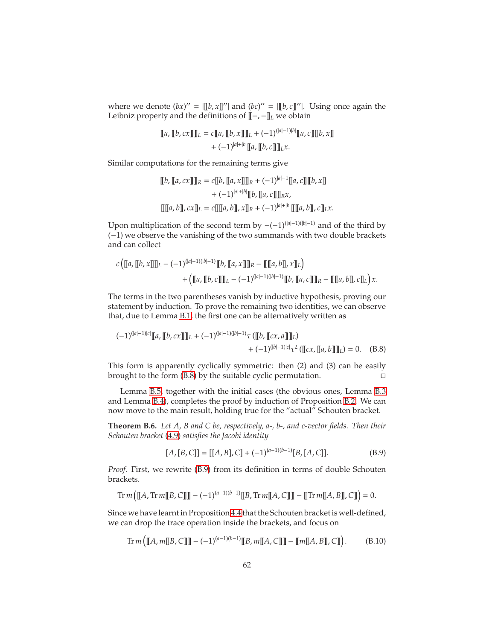where we denote  $(bx)'' = [[b, x]]'']$  and  $(bc)'' = [[b, c]]'']$ . Using once again the Leibniz property and the definitions of [[−, −]]*<sup>L</sup>* we obtain

$$
\llbracket a, \llbracket b, cx \rrbracket \rrbracket_L = c \llbracket a, \llbracket b, x \rrbracket \rrbracket_L + (-1)^{(|a|-1)|b|} \llbracket a, c \rrbracket \llbracket b, x \rrbracket
$$

$$
+ (-1)^{|a|+|b|} \llbracket a, \llbracket b, c \rrbracket \rrbracket_L x.
$$

Similar computations for the remaining terms give

$$
\begin{aligned} [\![b,\lbrack\! \lbrack a,cx\rbrack\! \rbrack\! \rbrack]_R &= c [\![b,\lbrack\! \lbrack a,x\rbrack\! \rbrack\! \rbrack]_R + (-1)^{|a|-1} [\![a,c]\! \rbrack\! \rbrack [b,x]\! \rbrack \\ &+ (-1)^{|a|+|b|} [\![b,\lbrack\! \lbrack a,c\rbrack\! \rbrack\! \rbrack]_R x, \\ [\![\lbrack\! \lbrack a,b\rbrack\! \rbrack, cx]\! \rbrack_L &= c [\![\lbrack\! \lbrack a,b\rbrack\! \rbrack, x]\! \rbrack_R + (-1)^{|a|+|b|} [\![\lbrack\! \lbrack a,b\rbrack\! \rbrack, c]\! \rbrack_L x. \end{aligned}
$$

Upon multiplication of the second term by  $-(-1)^{(|a|-1)(|b|-1)}$  and of the third by (−1) we observe the vanishing of the two summands with two double brackets and can collect

$$
c\left(\llbracket a,\llbracket b,x \rrbracket\rrbracket_L-(-1)^{(|a|-1)(|b|-1)}\llbracket b,\llbracket a,x \rrbracket\rrbracket_R-\llbracket \llbracket a,b \rrbracket, x\rrbracket_L\right)\\+\left(\llbracket a,\llbracket b,c \rrbracket\rrbracket_L-(-1)^{(|a|-1)(|b|-1)}\llbracket b,\llbracket a,c \rrbracket\rrbracket_R-\llbracket \llbracket a,b \rrbracket, c\rrbracket_L\right)x.
$$

The terms in the two parentheses vanish by inductive hypothesis, proving our statement by induction. To prove the remaining two identities, we can observe that, due to Lemma [B.1,](#page-58-5) the first one can be alternatively written as

$$
(-1)^{(|a|-1)|c|} \llbracket a, \llbracket b, cx \rrbracket \rrbracket_L + (-1)^{(|a|-1)(|b|-1)} \tau (\llbracket b, \llbracket cx, a \rrbracket \rrbracket_L) + (-1)^{(|b|-1)|c|} \tau^2 (\llbracket cx, \llbracket a, b \rrbracket \rrbracket_L) = 0. \quad (B.8)
$$

This form is apparently cyclically symmetric: then (2) and (3) can be easily brought to the form [\(B.8\)](#page-61-1) by the suitable cyclic permutation.

Lemma [B.5,](#page-60-0) together with the initial cases (the obvious ones, Lemma [B.3](#page-58-6) and Lemma [B.4\)](#page-59-3), completes the proof by induction of Proposition [B.2.](#page-58-0) We can now move to the main result, holding true for the "actual" Schouten bracket.

<span id="page-61-0"></span>**Theorem B.6.** *Let A, B and C be, respectively, a-, b-, and c-vector fields. Then their Schouten bracket* [\(4.9\)](#page-25-0) *satisfies the Jacobi identity*

<span id="page-61-3"></span><span id="page-61-2"></span><span id="page-61-1"></span>
$$
[A, [B, C]] = [[A, B], C] + (-1)^{(a-1)(b-1)} [B, [A, C]].
$$
 (B.9)

*Proof.* First, we rewrite [\(B.9\)](#page-61-2) from its definition in terms of double Schouten brackets.

$$
\text{Tr } m\left(\llbracket A, \text{Tr } m\llbracket B, C \rrbracket \rrbracket - (-1)^{(a-1)(b-1)} \llbracket B, \text{Tr } m\llbracket A, C \rrbracket \rrbracket - \llbracket \text{Tr } m\llbracket A, B \rrbracket, C \rrbracket \right) = 0.
$$

Since we have learnt in Proposition [4.4](#page-25-1) that the Schouten bracket is well-defined, we can drop the trace operation inside the brackets, and focus on

$$
\operatorname{Tr} m([A, m[[B, C]]] - (-1)^{(a-1)(b-1)}[[B, m[[A, C]]] - [[m[[A, B]], C]]) \qquad (B.10)
$$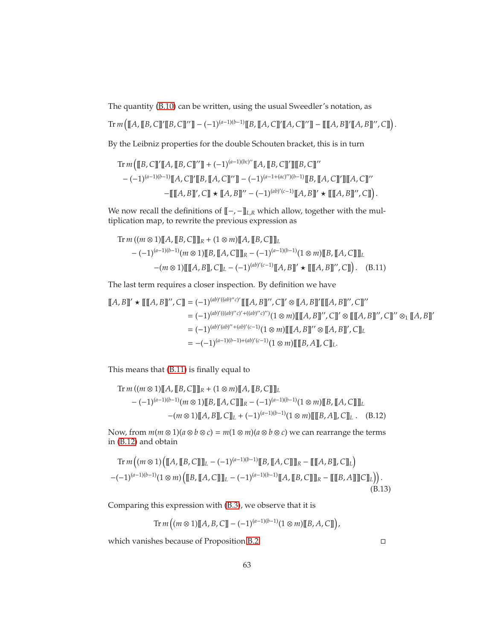The quantity [\(B.10\)](#page-61-3) can be written, using the usual Sweedler's notation, as

 $\text{Tr } m([A, [B, C]]'[B, C]]''] - (-1)^{(a-1)(b-1)}[B, [A, C]]'[A, C]]''] - [[A, B]]'[A, B]]'', C]]$ .

By the Leibniz properties for the double Schouten bracket, this is in turn

$$
\operatorname{Tr} m \left( \llbracket B, C \rrbracket' \llbracket A, \llbracket B, C \rrbracket'' \rrbracket + (-1)^{(a-1)(bc)''} \llbracket A, \llbracket B, C \rrbracket' \rrbracket \llbracket B, C \rrbracket''
$$
\n
$$
- (-1)^{(a-1)(b-1)} \llbracket A, C \rrbracket' \llbracket B, \llbracket A, C \rrbracket'' \rrbracket - (-1)^{(a-1 + (ac)'')(b-1)} \llbracket B, \llbracket A, C \rrbracket' \rrbracket \llbracket A, C \rrbracket''
$$
\n
$$
- \llbracket \llbracket A, B \rrbracket', C \rrbracket \star \llbracket A, B \rrbracket'' - (-1)^{(ab)'(c-1)} \llbracket A, B \rrbracket' \star \llbracket \llbracket A, B \rrbracket'', C \rrbracket \right).
$$

We now recall the definitions of  $[\![\!-,-]\!]_{L,R}$  which allow, together with the multiplication map, to rewrite the previous expression as

<span id="page-62-1"></span>Tr 
$$
m((m \otimes 1)[[A, [B, C]]]_R + (1 \otimes m)[[A, [B, C]]]_L
$$
  
\n $-(-1)^{(a-1)(b-1)}(m \otimes 1)[[B, [A, C]]]_R - (-1)^{(a-1)(b-1)}(1 \otimes m)[[B, [A, C]]]_L$   
\n $-(m \otimes 1)[[A, B], C]_L - (-1)^{(ab)'(c-1)}[A, B]' \star [[[A, B]]', C]]).$  (B.11)

The last term requires a closer inspection. By definition we have

$$
\llbracket A, B \rrbracket' \star \llbracket \llbracket A, B \rrbracket'', C \rrbracket = (-1)^{(ab)'((ab)''c)'} \llbracket \llbracket A, B \rrbracket'', C \rrbracket' \otimes \llbracket A, B \rrbracket'' \llbracket \llbracket A, B \rrbracket'', C \rrbracket''
$$
\n
$$
= (-1)^{(ab)'((ab)''c)' + ((ab)''c)''} (1 \otimes m) \llbracket \llbracket A, B \rrbracket'', C \rrbracket' \otimes \llbracket \llbracket A, B \rrbracket'', C \rrbracket'' \otimes_1 \llbracket A, B \rrbracket''
$$
\n
$$
= (-1)^{(ab)'(ab)'' + (ab)'(c-1)} (1 \otimes m) \llbracket \llbracket A, B \rrbracket'' \otimes \llbracket A, B \rrbracket'', C \rrbracket' \otimes_1 \llbracket A, B \rrbracket''
$$
\n
$$
= -(-1)^{(a-1)(b-1)+(ab)'(c-1)} (1 \otimes m) \llbracket \llbracket B, A \rrbracket, C \rrbracket_L.
$$

This means that [\(B.11\)](#page-62-1) is finally equal to

Tr 
$$
m((m \otimes 1)[A, [B, C]]_R + (1 \otimes m)[A, [B, C]]_L
$$
  
\n $-(-1)^{(a-1)(b-1)}(m \otimes 1)[B, [A, C]]_R - (-1)^{(a-1)(b-1)}(1 \otimes m)[B, [A, C]]_L$   
\n $- (m \otimes 1)[A, B], C]]_L + (-1)^{(a-1)(b-1)}(1 \otimes m)[[B, A], C]]_L$ . (B.12)

Now, from  $m(m \otimes 1)(a \otimes b \otimes c) = m(1 \otimes m)(a \otimes b \otimes c)$  we can rearrange the terms in [\(B.12\)](#page-62-2) and obtain

$$
\operatorname{Tr} m((m \otimes 1) ([[A, [B, C]]]_L - (-1)^{(a-1)(b-1)} [[B, [A, C]]]_R - [[[A, B]], C]]_L)
$$

$$
-(-1)^{(a-1)(b-1)} (1 \otimes m) ([[B, [A, C]]]_L - (-1)^{(a-1)(b-1)} [[A, [B, C]]]_R - [[[B, A]]]C]]_L)).
$$
(B.13)

Comparing this expression with [\(B.3\)](#page-58-3), we observe that it is

$$
\mathrm{Tr}\,m\left((m\otimes 1)[\![A,B,C]\!]\!]-(-1)^{(a-1)(b-1)}(1\otimes m)[\![B,A,C]\!]\right),
$$

which vanishes because of Proposition [B.2.](#page-58-0)

<span id="page-62-2"></span><span id="page-62-0"></span>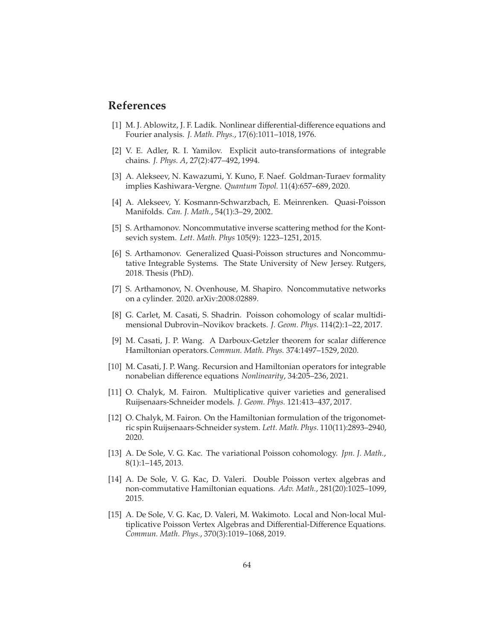### **References**

- <span id="page-63-13"></span>[1] M. J. Ablowitz, J. F. Ladik. Nonlinear differential-difference equations and Fourier analysis. *J. Math. Phys.*, 17(6):1011–1018, 1976.
- <span id="page-63-12"></span>[2] V. E. Adler, R. I. Yamilov. Explicit auto-transformations of integrable chains. *J. Phys. A*, 27(2):477–492, 1994.
- <span id="page-63-6"></span>[3] A. Alekseev, N. Kawazumi, Y. Kuno, F. Naef. Goldman-Turaev formality implies Kashiwara-Vergne. *Quantum Topol.* 11(4):657–689, 2020.
- <span id="page-63-7"></span>[4] A. Alekseev, Y. Kosmann-Schwarzbach, E. Meinrenken. Quasi-Poisson Manifolds. *Can. J. Math.*, 54(1):3–29, 2002.
- <span id="page-63-14"></span>[5] S. Arthamonov. Noncommutative inverse scattering method for the Kontsevich system. *Lett. Math. Phys* 105(9): 1223–1251, 2015.
- <span id="page-63-8"></span>[6] S. Arthamonov. Generalized Quasi-Poisson structures and Noncommutative Integrable Systems. The State University of New Jersey. Rutgers, 2018. Thesis (PhD).
- <span id="page-63-9"></span>[7] S. Arthamonov, N. Ovenhouse, M. Shapiro. Noncommutative networks on a cylinder. 2020. arXiv:2008:02889.
- <span id="page-63-5"></span>[8] G. Carlet, M. Casati, S. Shadrin. Poisson cohomology of scalar multidimensional Dubrovin–Novikov brackets. *J. Geom. Phys.* 114(2):1–22, 2017.
- <span id="page-63-3"></span>[9] M. Casati, J. P. Wang. A Darboux-Getzler theorem for scalar difference Hamiltonian operators.*Commun. Math. Phys.* 374:1497–1529, 2020.
- <span id="page-63-0"></span>[10] M. Casati, J. P. Wang. Recursion and Hamiltonian operators for integrable nonabelian difference equations *Nonlinearity*, 34:205–236, 2021.
- <span id="page-63-10"></span>[11] O. Chalyk, M. Fairon. Multiplicative quiver varieties and generalised Ruijsenaars-Schneider models. *J. Geom. Phys.* 121:413–437, 2017.
- <span id="page-63-11"></span>[12] O. Chalyk, M. Fairon. On the Hamiltonian formulation of the trigonometric spin Ruijsenaars-Schneider system. *Lett. Math. Phys.* 110(11):2893–2940, 2020.
- <span id="page-63-4"></span>[13] A. De Sole, V. G. Kac. The variational Poisson cohomology. *Jpn. J. Math.*, 8(1):1–145, 2013.
- <span id="page-63-1"></span>[14] A. De Sole, V. G. Kac, D. Valeri. Double Poisson vertex algebras and non-commutative Hamiltonian equations. *Adv. Math.*, 281(20):1025–1099, 2015.
- <span id="page-63-2"></span>[15] A. De Sole, V. G. Kac, D. Valeri, M. Wakimoto. Local and Non-local Multiplicative Poisson Vertex Algebras and Differential-Difference Equations. *Commun. Math. Phys.*, 370(3):1019–1068, 2019.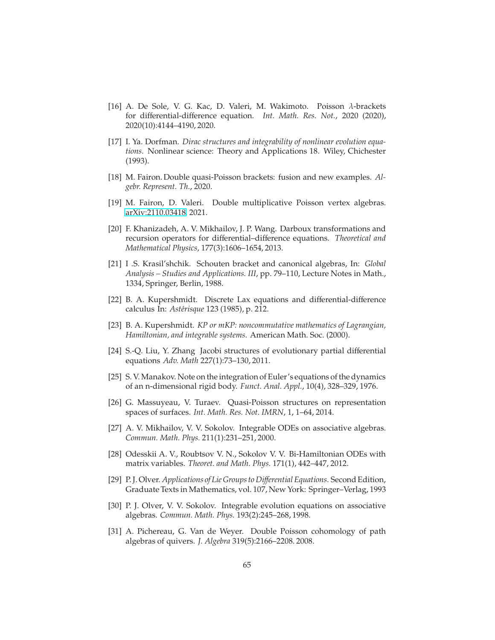- <span id="page-64-8"></span>[16] A. De Sole, V. G. Kac, D. Valeri, M. Wakimoto. Poisson λ-brackets for differential-difference equation. *Int. Math. Res. Not.*, 2020 (2020), 2020(10):4144–4190, 2020.
- <span id="page-64-7"></span>[17] I. Ya. Dorfman. *Dirac structures and integrability of nonlinear evolution equations*. Nonlinear science: Theory and Applications 18. Wiley, Chichester (1993).
- <span id="page-64-14"></span>[18] M. Fairon. Double quasi-Poisson brackets: fusion and new examples. *Algebr. Represent. Th.*, 2020.
- <span id="page-64-9"></span>[19] M. Fairon, D. Valeri. Double multiplicative Poisson vertex algebras. [arXiv:2110.03418,](http://arxiv.org/abs/2110.03418) 2021.
- <span id="page-64-5"></span>[20] F. Khanizadeh, A. V. Mikhailov, J. P. Wang. Darboux transformations and recursion operators for differential–difference equations. *Theoretical and Mathematical Physics*, 177(3):1606–1654, 2013.
- <span id="page-64-11"></span>[21] I .S. Krasil'shchik. Schouten bracket and canonical algebras, In: *Global Analysis – Studies and Applications. III*, pp. 79–110, Lecture Notes in Math., 1334, Springer, Berlin, 1988.
- <span id="page-64-10"></span>[22] B. A. Kupershmidt. Discrete Lax equations and differential-difference calculus In: *Ast´erisque* 123 (1985), p. 212.
- <span id="page-64-0"></span>[23] B. A. Kupershmidt. *KP or mKP: noncommutative mathematics of Lagrangian, Hamiltonian, and integrable systems*. American Math. Soc. (2000).
- <span id="page-64-13"></span>[24] S.-Q. Liu, Y. Zhang Jacobi structures of evolutionary partial differential equations *Adv. Math* 227(1):73–130, 2011.
- <span id="page-64-1"></span>[25] S. V. Manakov. Note on the integration of Euler's equations of the dynamics of an n-dimensional rigid body. *Funct. Anal. Appl.*, 10(4), 328–329, 1976.
- <span id="page-64-15"></span>[26] G. Massuyeau, V. Turaev. Quasi-Poisson structures on representation spaces of surfaces. *Int. Math. Res. Not. IMRN*, 1, 1–64, 2014.
- <span id="page-64-2"></span>[27] A. V. Mikhailov, V. V. Sokolov. Integrable ODEs on associative algebras. *Commun. Math. Phys.* 211(1):231–251, 2000.
- <span id="page-64-3"></span>[28] Odesskii A. V., Roubtsov V. N., Sokolov V. V. Bi-Hamiltonian ODEs with matrix variables. *Theoret. and Math. Phys.* 171(1), 442–447, 2012.
- <span id="page-64-6"></span>[29] P. J. Olver. *Applications of Lie Groups to Di*ff*erential Equations*. Second Edition, Graduate Texts in Mathematics, vol. 107, New York: Springer–Verlag, 1993
- <span id="page-64-4"></span>[30] P. J. Olver, V. V. Sokolov. Integrable evolution equations on associative algebras. *Commun. Math. Phys.* 193(2):245–268, 1998.
- <span id="page-64-12"></span>[31] A. Pichereau, G. Van de Weyer. Double Poisson cohomology of path algebras of quivers. *J. Algebra* 319(5):2166–2208. 2008.